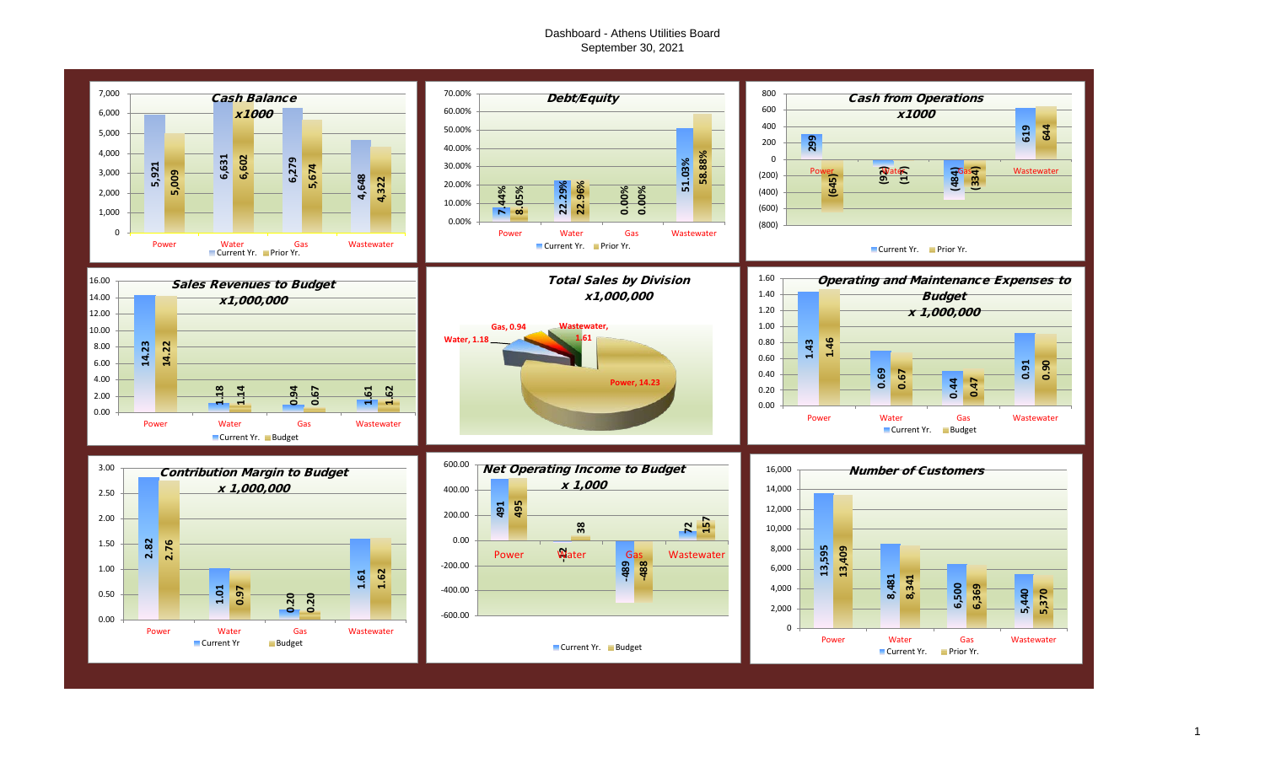#### Dashboard - Athens Utilities Board September 30, 2021



1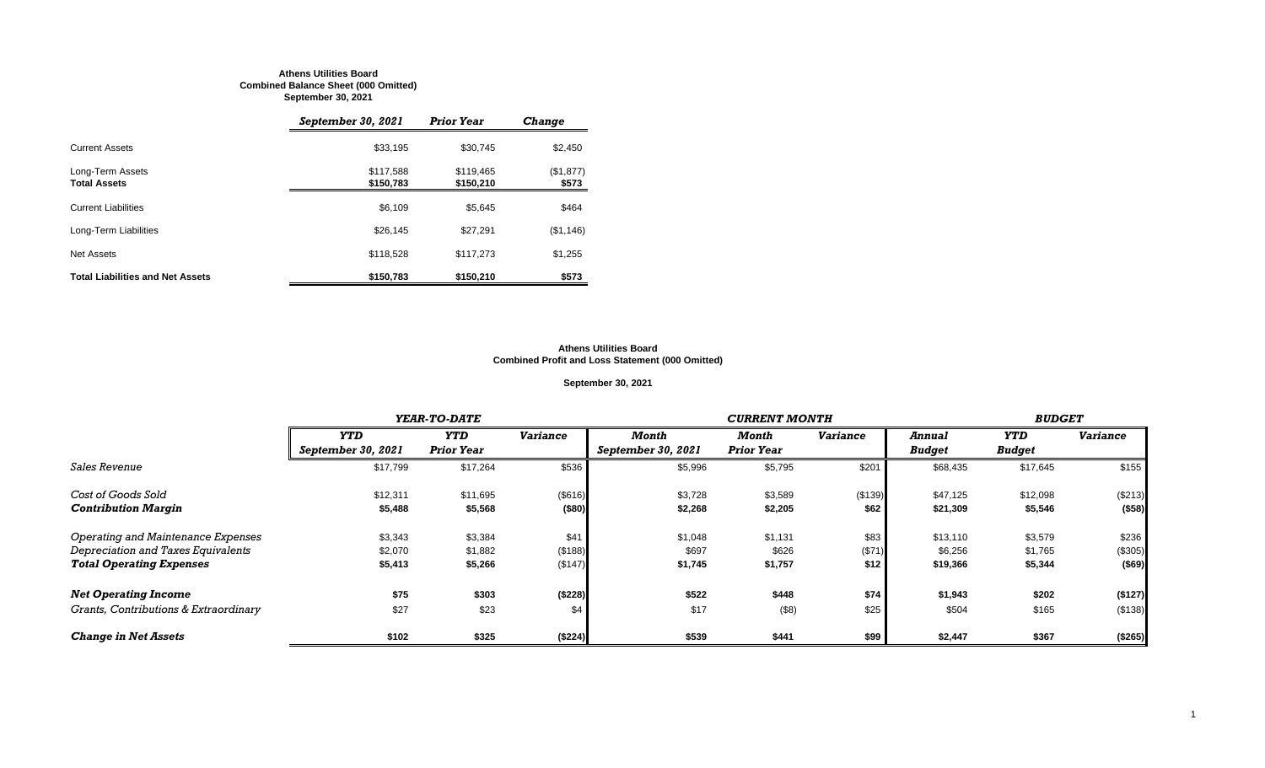#### **Athens Utilities Board Combined Balance Sheet (000 Omitted) September 30, 2021**

|                                         | September 30, 2021     | <b>Prior Year</b>      | <b>Change</b>      |
|-----------------------------------------|------------------------|------------------------|--------------------|
| <b>Current Assets</b>                   | \$33,195               | \$30,745               | \$2,450            |
| Long-Term Assets<br><b>Total Assets</b> | \$117,588<br>\$150,783 | \$119.465<br>\$150,210 | (\$1,877)<br>\$573 |
| <b>Current Liabilities</b>              | \$6,109                | \$5.645                | \$464              |
| Long-Term Liabilities                   | \$26,145               | \$27,291               | (\$1,146)          |
| Net Assets                              | \$118,528              | \$117.273              | \$1,255            |
| <b>Total Liabilities and Net Assets</b> | \$150,783              | \$150,210              | \$573              |

#### **Athens Utilities Board Combined Profit and Loss Statement (000 Omitted)**

#### **September 30, 2021**

|                                       |                    | YEAR-TO-DATE      |                 | <b>CURRENT MONTH</b> |                   |                 |               | <b>BUDGET</b> |                 |
|---------------------------------------|--------------------|-------------------|-----------------|----------------------|-------------------|-----------------|---------------|---------------|-----------------|
|                                       | <b>YTD</b>         | <b>YTD</b>        | <b>Variance</b> | Month                | Month             | <b>Variance</b> | <b>Annual</b> | YTD           | <b>Variance</b> |
|                                       | September 30, 2021 | <b>Prior Year</b> |                 | September 30, 2021   | <b>Prior Year</b> |                 | <b>Budget</b> | <b>Budget</b> |                 |
| <b>Sales Revenue</b>                  | \$17,799           | \$17,264          | \$536           | \$5,996              | \$5,795           | \$201           | \$68,435      | \$17,645      | \$155           |
| Cost of Goods Sold                    | \$12,311           | \$11,695          | (\$616)         | \$3,728              | \$3,589           | (\$139)         | \$47,125      | \$12,098      | (\$213)         |
| <b>Contribution Margin</b>            | \$5,488            | \$5,568           | (\$80)          | \$2,268              | \$2,205           | \$62            | \$21,309      | \$5,546       | (\$58)          |
| Operating and Maintenance Expenses    | \$3,343            | \$3,384           | \$41            | \$1,048              | \$1,131           | \$83            | \$13,110      | \$3,579       | \$236           |
| Depreciation and Taxes Equivalents    | \$2,070            | \$1,882           | (\$188)         | \$697                | \$626             | (\$71)          | \$6,256       | \$1,765       | (\$305)         |
| <b>Total Operating Expenses</b>       | \$5,413            | \$5,266           | (\$147)         | \$1,745              | \$1,757           | \$12            | \$19,366      | \$5,344       | $($ \$69)       |
| <b>Net Operating Income</b>           | \$75               | \$303             | (\$228)         | \$522                | \$448             | \$74            | \$1,943       | \$202         | (\$127)         |
| Grants, Contributions & Extraordinary | \$27               | \$23              | \$4             | \$17                 | (\$8)             | \$25            | \$504         | \$165         | (\$138)         |
| <b>Change in Net Assets</b>           | \$102              | \$325             | (\$224)         | \$539                | \$441             | \$99            | \$2,447       | \$367         | (\$265)         |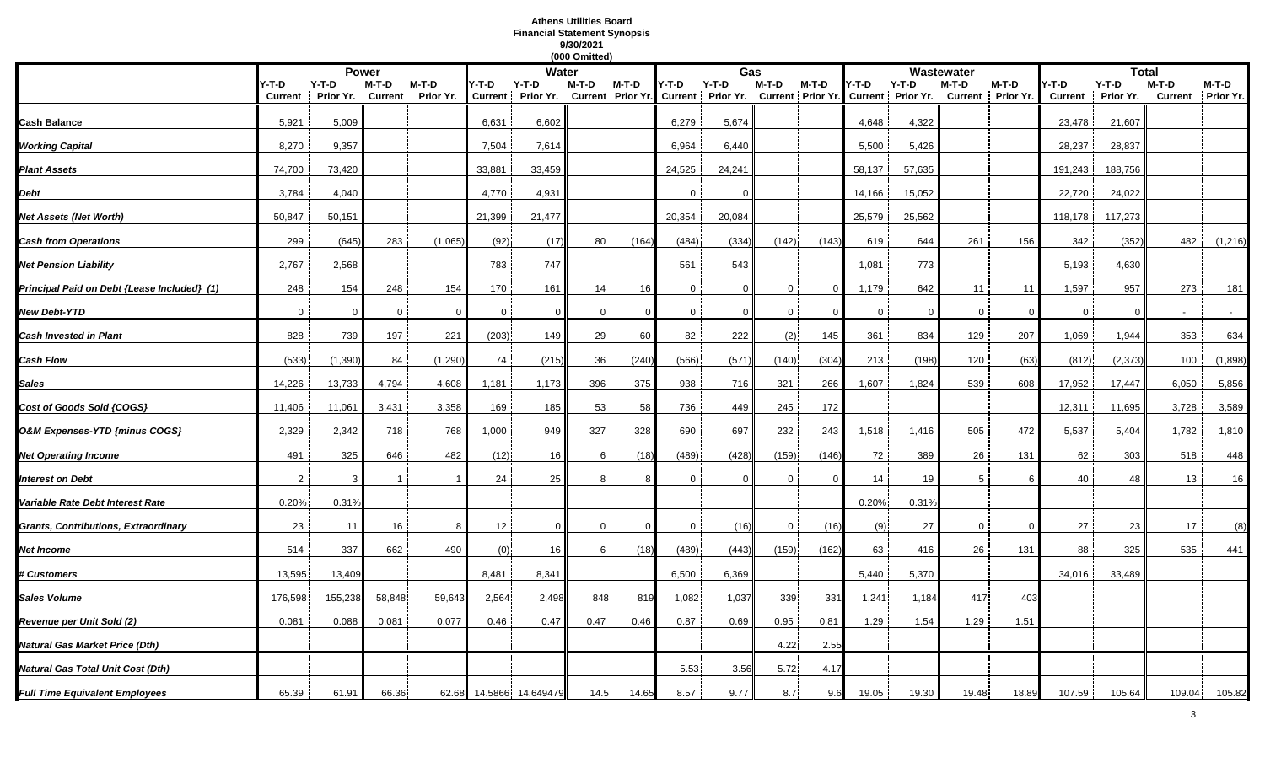## **Athens Utilities Board Financial Statement Synopsis 9/30/2021**

|                                             |                         |                      |                         |                    |                         |                      | (000 Omitted) |          |              |                                                |                |                                   |             |                              |                  |                    |                         |                      |        |                            |
|---------------------------------------------|-------------------------|----------------------|-------------------------|--------------------|-------------------------|----------------------|---------------|----------|--------------|------------------------------------------------|----------------|-----------------------------------|-------------|------------------------------|------------------|--------------------|-------------------------|----------------------|--------|----------------------------|
|                                             |                         |                      | <b>Power</b>            |                    |                         | Water                |               |          |              |                                                | Gas            |                                   |             |                              | Wastewater       |                    |                         | <b>Total</b>         |        |                            |
|                                             | Y-T-D<br><b>Current</b> | $Y-T-D$<br>Prior Yr. | M-T-D<br><b>Current</b> | M-T-D<br>Prior Yr. | Y-T-D<br><b>Current</b> | $Y-T-D$<br>Prior Yr. | M-T-D         | M-T-D    | Y-T-D        | $Y-T-D$<br>Current Prior Yr. Current Prior Yr. | $M-T-D$        | M-T-D<br><b>Current Prior Yr.</b> | '-T-D       | $Y-T-D$<br>Current Prior Yr. | M-T-D<br>Current | M-T-D<br>Prior Yr. | Y-T-D<br><b>Current</b> | $Y-T-D$<br>Prior Yr. | M-T-D  | M-T-D<br>Current Prior Yr. |
| <b>Cash Balance</b>                         | 5,921                   | 5,009                |                         |                    | 6,631                   | 6,602                |               |          | 6,279        | 5,674                                          |                |                                   | 4,648       | 4,322                        |                  |                    | 23,478                  | 21,607               |        |                            |
| <b>Working Capital</b>                      | 8,270                   | 9,357                |                         |                    | 7,504                   | 7,614                |               |          | 6,964        | 6,440                                          |                |                                   | 5,500       | 5,426                        |                  |                    | 28,237                  | 28,837               |        |                            |
| <b>Plant Assets</b>                         | 74,700                  | 73,420               |                         |                    | 33,881                  | 33,459               |               |          | 24,525       | 24,241                                         |                |                                   | 58,137      | 57,635                       |                  |                    | 191,243                 | 188,756              |        |                            |
| Debt                                        | 3,784                   | 4,040                |                         |                    | 4,770                   | 4,931                |               |          | $\Omega$     | $\Omega$                                       |                |                                   | 14,166      | 15,052                       |                  |                    | 22,720                  | 24,022               |        |                            |
| Net Assets (Net Worth)                      | 50,847                  | 50,151               |                         |                    | 21,399                  | 21,477               |               |          | 20,354       | 20,084                                         |                |                                   | 25,579      | 25,562                       |                  |                    | 118,178                 | 117,273              |        |                            |
| <b>Cash from Operations</b>                 | 299                     | (645)                | 283                     | (1,065)            | (92)                    | (17)                 | 80            | (164)    | (484)        | (334)                                          | (142)          | (143)                             | 619         | 644                          | 261              | 156                | 342                     | (352)                | 482    | (1,216)                    |
| <b>Net Pension Liability</b>                | 2,767                   | 2,568                |                         |                    | 783                     | 747                  |               |          | 561          | 543                                            |                |                                   | 1,081       | 773                          |                  |                    | 5,193                   | 4,630                |        |                            |
| Principal Paid on Debt {Lease Included} (1) | 248                     | 154                  | 248                     | 154                | 170                     | 161                  | 14            | 16       | $\mathbf{0}$ | $\Omega$                                       | 0              | $\Omega$                          | 1,179       | 642                          | 11               | 11                 | 1,597                   | 957                  | 273    | 181                        |
| <b>New Debt-YTD</b>                         | $\Omega$                | $\Omega$             | $\mathbf 0$             | -0                 | 0                       | $\mathbf{0}$         | $\mathbf 0$   |          | 0            | $\Omega$                                       | $\mathbf 0$    |                                   | $\mathbf 0$ | $\Omega$                     | $\mathbf 0$      | $\Omega$           | $\overline{0}$          | $\Omega$             |        |                            |
| <b>Cash Invested in Plant</b>               | 828                     | 739                  | 197                     | 221                | (203)                   | 149                  | 29            | 60       | 82           | 222                                            | (2)            | 145                               | 361         | 834                          | 129              | 207                | 1,069                   | 1,944                | 353    | 634                        |
| Cash Flow                                   | (533)                   | (1, 390)             | 84                      | (1, 290)           | 74                      | (215)                | 36            | (240)    | (566)        | (571)                                          | (140)          | (304)                             | 213         | (198)                        | 120              | (63)               | (812)                   | (2, 373)             | 100    | (1,898)                    |
| Sales                                       | 14,226                  | 13,733               | 4,794                   | 4,608              | 1,181                   | 1,173                | 396           | 375      | 938          | 716                                            | 321            | 266                               | 1,607       | 1,824                        | 539              | 608                | 17,952                  | 17,447               | 6,050  | 5,856                      |
| Cost of Goods Sold {COGS}                   | 11,406                  | 11,061               | 3,431                   | 3,358              | 169                     | 185                  | 53            | 58       | 736          | 449                                            | 245            | 172                               |             |                              |                  |                    | 12,311                  | 11,695               | 3,728  | 3,589                      |
| O&M Expenses-YTD {minus COGS}               | 2,329                   | 2,342                | 718                     | 768                | 1,000                   | 949                  | 327           | 328      | 690          | 697                                            | 232            | 243                               | 1,518       | 1,416                        | 505              | 472                | 5,537                   | 5,404                | 1,782  | 1,810                      |
| Net Operating Income                        | 491                     | 325                  | 646                     | 482                | (12)                    | 16                   | 6             | (18)     | (489)        | (428)                                          | (159)          | (146)                             | 72          | 389                          | 26               | 131                | 62                      | 303                  | 518    | 448                        |
| nterest on Debt                             | $\overline{2}$          | 3                    |                         |                    | 24                      | 25                   | 8             |          | $\Omega$     | $\Omega$                                       | $\Omega$       | $\Omega$                          | 14          | 19                           | 5                |                    | 40                      | 48                   | 13     | 16                         |
| Variable Rate Debt Interest Rate            | 0.20%                   | 0.31%                |                         |                    |                         |                      |               |          |              |                                                |                |                                   | 0.20%       | 0.31%                        |                  |                    |                         |                      |        |                            |
| Grants, Contributions, Extraordinary        | 23                      | 11                   | 16                      | 8                  | 12                      | $\Omega$             | $\mathbf{0}$  | $\Omega$ | $\mathbf{0}$ | (16)                                           | 0 <sup>1</sup> | (16)                              | (9)         | 27                           | $\Omega$         | $\Omega$           | 27                      | 23                   | 17     | (8)                        |
| Net Income                                  | 514                     | 337                  | 662                     | 490                | (0)                     | 16                   | 6             | (18)     | (489)        | (443)                                          | (159)          | (162)                             | 63          | 416                          | 26               | 131                | 88                      | 325                  | 535    | 441                        |
| <b>t Customers</b>                          | 13,595                  | 13,409               |                         |                    | 8,481                   | 8,341                |               |          | 6,500        | 6,369                                          |                |                                   | 5,440       | 5,370                        |                  |                    | 34,016                  | 33,489               |        |                            |
| Sales Volume                                | 176,598                 | 155,238              | 58,848                  | 59,643             | 2,564                   | 2,498                | 848           | 81       | 1,082        | 1,037                                          | 339            | 331                               | 1,241       | 1,184                        | 417              | 403                |                         |                      |        |                            |
| Revenue per Unit Sold (2)                   | 0.081                   | 0.088                | 0.081                   | 0.077              | 0.46                    | 0.47                 | 0.47          | 0.46     | 0.87         | 0.69                                           | 0.95           | 0.81                              | 1.29        | 1.54                         | 1.29             | 1.51               |                         |                      |        |                            |
| Natural Gas Market Price (Dth)              |                         |                      |                         |                    |                         |                      |               |          |              |                                                | 4.22           | 2.55                              |             |                              |                  |                    |                         |                      |        |                            |
| Natural Gas Total Unit Cost (Dth)           |                         |                      |                         |                    |                         |                      |               |          | 5.53         | 3.56                                           | 5.72           | 4.17                              |             |                              |                  |                    |                         |                      |        |                            |
| <b>Full Time Equivalent Employees</b>       | 65.39                   | 61.91                | 66.36                   | 62.68              |                         | 14.5866 14.649479    | 14.5          | 14.65    | 8.57         | 9.77                                           | 8.7            | 9.6                               | 19.05       | 19.30                        | 19.48            | 18.89              | 107.59                  | 105.64               | 109.04 | 105.82                     |
|                                             |                         |                      |                         |                    |                         |                      |               |          |              |                                                |                |                                   |             |                              |                  |                    |                         |                      |        |                            |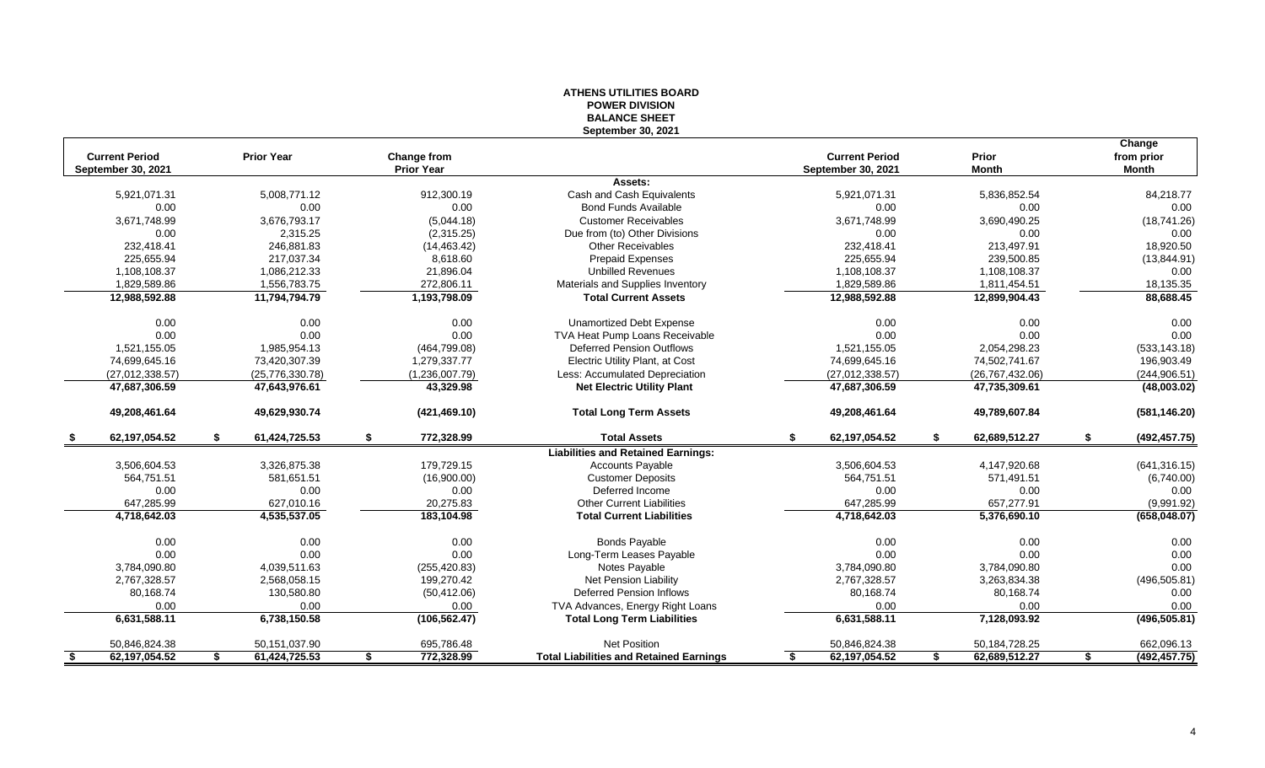| Change<br><b>Current Period</b><br><b>Prior Year</b><br><b>Current Period</b><br>Prior<br>Change from<br>from prior<br><b>Prior Year</b><br>September 30, 2021<br><b>Month</b><br><b>Month</b><br>September 30, 2021<br>Assets:<br>5,008,771.12<br>Cash and Cash Equivalents<br>84,218.77<br>5,921,071.31<br>912,300.19<br>5,921,071.31<br>5,836,852.54<br>0.00<br>0.00<br>0.00<br><b>Bond Funds Available</b><br>0.00<br>0.00<br>0.00<br>3,676,793.17<br><b>Customer Receivables</b><br>3,671,748.99<br>(5,044.18)<br>3,671,748.99<br>3,690,490.25<br>(18,741.26)<br>0.00<br>2,315.25<br>(2,315.25)<br>0.00<br>0.00<br>0.00<br>Due from (to) Other Divisions<br>232,418.41<br>246,881.83<br>213,497.91<br>18,920.50<br>(14, 463.42)<br><b>Other Receivables</b><br>232,418.41<br>225,655.94<br>217,037.34<br>8,618.60<br>Prepaid Expenses<br>225,655.94<br>239,500.85<br>(13, 844.91)<br>1,108,108.37<br>1,086,212.33<br>21,896.04<br><b>Unbilled Revenues</b><br>1,108,108.37<br>1,108,108.37<br>0.00<br>1,829,589.86<br>18,135.35<br>1,556,783.75<br>272,806.11<br>Materials and Supplies Inventory<br>1,829,589.86<br>1,811,454.51<br>88,688.45<br>12,988,592.88<br>1,193,798.09<br><b>Total Current Assets</b><br>12,988,592.88<br>12,899,904.43<br>11,794,794.79<br>0.00<br>0.00<br>0.00<br>0.00<br>0.00<br>Unamortized Debt Expense<br>0.00<br>0.00<br>0.00<br>0.00<br>0.00<br>TVA Heat Pump Loans Receivable<br>0.00<br>0.00<br>1,521,155.05<br>1,985,954.13<br><b>Deferred Pension Outflows</b><br>1,521,155.05<br>2,054,298.23<br>(533, 143.18)<br>(464, 799.08)<br>Electric Utility Plant, at Cost<br>74,699,645.16<br>74,699,645.16<br>73,420,307.39<br>1,279,337.77<br>74,502,741.67<br>196,903.49<br>(27, 012, 338.57)<br>(25,776,330.78)<br>(1,236,007.79)<br>Less: Accumulated Depreciation<br>(27,012,338.57)<br>(26, 767, 432.06)<br>(244, 906.51)<br>47,687,306.59<br>43,329.98<br><b>Net Electric Utility Plant</b><br>47,687,306.59<br>47,735,309.61<br>(48,003.02)<br>47,643,976.61<br>49,208,461.64<br>49,629,930.74<br>49,208,461.64<br>49,789,607.84<br>(421, 469.10)<br><b>Total Long Term Assets</b><br>(581, 146.20)<br>62,197,054.52<br>61,424,725.53<br>\$<br>772,328.99<br><b>Total Assets</b><br>62,197,054.52<br>62,689,512.27<br>\$<br>\$<br>\$<br>\$<br>(492, 457.75)<br>- \$<br><b>Liabilities and Retained Earnings:</b><br>3,326,875.38<br>179,729.15<br>3,506,604.53<br>4,147,920.68<br>3,506,604.53<br><b>Accounts Payable</b><br>(641, 316.15)<br>564,751.51<br>581,651.51<br>(16,900.00)<br><b>Customer Deposits</b><br>564,751.51<br>571,491.51<br>(6,740.00)<br>0.00<br>Deferred Income<br>0.00<br>0.00<br>0.00<br>0.00<br>0.00<br>657,277.91<br>647,285.99<br>627,010.16<br>20,275.83<br><b>Other Current Liabilities</b><br>647,285.99<br>(9,991.92)<br>4,535,537.05<br>(658, 048.07)<br>4,718,642.03<br>183,104.98<br><b>Total Current Liabilities</b><br>4,718,642.03<br>5,376,690.10<br>0.00<br>0.00<br>0.00<br><b>Bonds Payable</b><br>0.00<br>0.00<br>0.00<br>0.00<br>0.00<br>0.00<br>0.00<br>0.00<br>0.00<br>Long-Term Leases Payable<br>0.00<br>3,784,090.80<br>4,039,511.63<br>Notes Payable<br>3,784,090.80<br>(255, 420.83)<br>3,784,090.80<br>2,767,328.57<br>2,568,058.15<br>199,270.42<br>Net Pension Liability<br>(496, 505.81)<br>2,767,328.57<br>3,263,834.38<br>80,168.74<br>130,580.80<br>(50, 412.06)<br><b>Deferred Pension Inflows</b><br>80,168.74<br>80,168.74<br>0.00<br>0.00<br>0.00<br>0.00<br>TVA Advances, Energy Right Loans<br>0.00<br>0.00<br>0.00<br>6,631,588.11<br>6,631,588.11<br>6,738,150.58<br>(106, 562.47)<br><b>Total Long Term Liabilities</b><br>7,128,093.92<br>(496, 505.81)<br>50,151,037.90<br>695,786.48<br><b>Net Position</b><br>50,846,824.38<br>50,184,728.25<br>662,096.13<br>50,846,824.38<br>62,197,054.52<br>61,424,725.53<br>772,328.99<br>62,197,054.52<br>62,689,512.27<br>\$<br><b>Total Liabilities and Retained Earnings</b><br>\$<br>\$<br>(492, 457.75)<br>-\$<br>\$<br>\$. |  | <b>BALANCE SHEET</b><br>September 30, 2021 |  |  |
|-------------------------------------------------------------------------------------------------------------------------------------------------------------------------------------------------------------------------------------------------------------------------------------------------------------------------------------------------------------------------------------------------------------------------------------------------------------------------------------------------------------------------------------------------------------------------------------------------------------------------------------------------------------------------------------------------------------------------------------------------------------------------------------------------------------------------------------------------------------------------------------------------------------------------------------------------------------------------------------------------------------------------------------------------------------------------------------------------------------------------------------------------------------------------------------------------------------------------------------------------------------------------------------------------------------------------------------------------------------------------------------------------------------------------------------------------------------------------------------------------------------------------------------------------------------------------------------------------------------------------------------------------------------------------------------------------------------------------------------------------------------------------------------------------------------------------------------------------------------------------------------------------------------------------------------------------------------------------------------------------------------------------------------------------------------------------------------------------------------------------------------------------------------------------------------------------------------------------------------------------------------------------------------------------------------------------------------------------------------------------------------------------------------------------------------------------------------------------------------------------------------------------------------------------------------------------------------------------------------------------------------------------------------------------------------------------------------------------------------------------------------------------------------------------------------------------------------------------------------------------------------------------------------------------------------------------------------------------------------------------------------------------------------------------------------------------------------------------------------------------------------------------------------------------------------------------------------------------------------------------------------------------------------------------------------------------------------------------------------------------------------------------------------------------------------------------------------------------------------------------------------------------------------------------------------------------------------------------------------------------------------------------------------------------------------------------------------------------------------------------------------------------------------------------------------------------------------------------------------------------------------------------------------------------------------------------------------------------------------------|--|--------------------------------------------|--|--|
|                                                                                                                                                                                                                                                                                                                                                                                                                                                                                                                                                                                                                                                                                                                                                                                                                                                                                                                                                                                                                                                                                                                                                                                                                                                                                                                                                                                                                                                                                                                                                                                                                                                                                                                                                                                                                                                                                                                                                                                                                                                                                                                                                                                                                                                                                                                                                                                                                                                                                                                                                                                                                                                                                                                                                                                                                                                                                                                                                                                                                                                                                                                                                                                                                                                                                                                                                                                                                                                                                                                                                                                                                                                                                                                                                                                                                                                                                                                                                                                           |  |                                            |  |  |
|                                                                                                                                                                                                                                                                                                                                                                                                                                                                                                                                                                                                                                                                                                                                                                                                                                                                                                                                                                                                                                                                                                                                                                                                                                                                                                                                                                                                                                                                                                                                                                                                                                                                                                                                                                                                                                                                                                                                                                                                                                                                                                                                                                                                                                                                                                                                                                                                                                                                                                                                                                                                                                                                                                                                                                                                                                                                                                                                                                                                                                                                                                                                                                                                                                                                                                                                                                                                                                                                                                                                                                                                                                                                                                                                                                                                                                                                                                                                                                                           |  |                                            |  |  |
|                                                                                                                                                                                                                                                                                                                                                                                                                                                                                                                                                                                                                                                                                                                                                                                                                                                                                                                                                                                                                                                                                                                                                                                                                                                                                                                                                                                                                                                                                                                                                                                                                                                                                                                                                                                                                                                                                                                                                                                                                                                                                                                                                                                                                                                                                                                                                                                                                                                                                                                                                                                                                                                                                                                                                                                                                                                                                                                                                                                                                                                                                                                                                                                                                                                                                                                                                                                                                                                                                                                                                                                                                                                                                                                                                                                                                                                                                                                                                                                           |  |                                            |  |  |
|                                                                                                                                                                                                                                                                                                                                                                                                                                                                                                                                                                                                                                                                                                                                                                                                                                                                                                                                                                                                                                                                                                                                                                                                                                                                                                                                                                                                                                                                                                                                                                                                                                                                                                                                                                                                                                                                                                                                                                                                                                                                                                                                                                                                                                                                                                                                                                                                                                                                                                                                                                                                                                                                                                                                                                                                                                                                                                                                                                                                                                                                                                                                                                                                                                                                                                                                                                                                                                                                                                                                                                                                                                                                                                                                                                                                                                                                                                                                                                                           |  |                                            |  |  |
|                                                                                                                                                                                                                                                                                                                                                                                                                                                                                                                                                                                                                                                                                                                                                                                                                                                                                                                                                                                                                                                                                                                                                                                                                                                                                                                                                                                                                                                                                                                                                                                                                                                                                                                                                                                                                                                                                                                                                                                                                                                                                                                                                                                                                                                                                                                                                                                                                                                                                                                                                                                                                                                                                                                                                                                                                                                                                                                                                                                                                                                                                                                                                                                                                                                                                                                                                                                                                                                                                                                                                                                                                                                                                                                                                                                                                                                                                                                                                                                           |  |                                            |  |  |
|                                                                                                                                                                                                                                                                                                                                                                                                                                                                                                                                                                                                                                                                                                                                                                                                                                                                                                                                                                                                                                                                                                                                                                                                                                                                                                                                                                                                                                                                                                                                                                                                                                                                                                                                                                                                                                                                                                                                                                                                                                                                                                                                                                                                                                                                                                                                                                                                                                                                                                                                                                                                                                                                                                                                                                                                                                                                                                                                                                                                                                                                                                                                                                                                                                                                                                                                                                                                                                                                                                                                                                                                                                                                                                                                                                                                                                                                                                                                                                                           |  |                                            |  |  |
|                                                                                                                                                                                                                                                                                                                                                                                                                                                                                                                                                                                                                                                                                                                                                                                                                                                                                                                                                                                                                                                                                                                                                                                                                                                                                                                                                                                                                                                                                                                                                                                                                                                                                                                                                                                                                                                                                                                                                                                                                                                                                                                                                                                                                                                                                                                                                                                                                                                                                                                                                                                                                                                                                                                                                                                                                                                                                                                                                                                                                                                                                                                                                                                                                                                                                                                                                                                                                                                                                                                                                                                                                                                                                                                                                                                                                                                                                                                                                                                           |  |                                            |  |  |
|                                                                                                                                                                                                                                                                                                                                                                                                                                                                                                                                                                                                                                                                                                                                                                                                                                                                                                                                                                                                                                                                                                                                                                                                                                                                                                                                                                                                                                                                                                                                                                                                                                                                                                                                                                                                                                                                                                                                                                                                                                                                                                                                                                                                                                                                                                                                                                                                                                                                                                                                                                                                                                                                                                                                                                                                                                                                                                                                                                                                                                                                                                                                                                                                                                                                                                                                                                                                                                                                                                                                                                                                                                                                                                                                                                                                                                                                                                                                                                                           |  |                                            |  |  |
|                                                                                                                                                                                                                                                                                                                                                                                                                                                                                                                                                                                                                                                                                                                                                                                                                                                                                                                                                                                                                                                                                                                                                                                                                                                                                                                                                                                                                                                                                                                                                                                                                                                                                                                                                                                                                                                                                                                                                                                                                                                                                                                                                                                                                                                                                                                                                                                                                                                                                                                                                                                                                                                                                                                                                                                                                                                                                                                                                                                                                                                                                                                                                                                                                                                                                                                                                                                                                                                                                                                                                                                                                                                                                                                                                                                                                                                                                                                                                                                           |  |                                            |  |  |
|                                                                                                                                                                                                                                                                                                                                                                                                                                                                                                                                                                                                                                                                                                                                                                                                                                                                                                                                                                                                                                                                                                                                                                                                                                                                                                                                                                                                                                                                                                                                                                                                                                                                                                                                                                                                                                                                                                                                                                                                                                                                                                                                                                                                                                                                                                                                                                                                                                                                                                                                                                                                                                                                                                                                                                                                                                                                                                                                                                                                                                                                                                                                                                                                                                                                                                                                                                                                                                                                                                                                                                                                                                                                                                                                                                                                                                                                                                                                                                                           |  |                                            |  |  |
|                                                                                                                                                                                                                                                                                                                                                                                                                                                                                                                                                                                                                                                                                                                                                                                                                                                                                                                                                                                                                                                                                                                                                                                                                                                                                                                                                                                                                                                                                                                                                                                                                                                                                                                                                                                                                                                                                                                                                                                                                                                                                                                                                                                                                                                                                                                                                                                                                                                                                                                                                                                                                                                                                                                                                                                                                                                                                                                                                                                                                                                                                                                                                                                                                                                                                                                                                                                                                                                                                                                                                                                                                                                                                                                                                                                                                                                                                                                                                                                           |  |                                            |  |  |
|                                                                                                                                                                                                                                                                                                                                                                                                                                                                                                                                                                                                                                                                                                                                                                                                                                                                                                                                                                                                                                                                                                                                                                                                                                                                                                                                                                                                                                                                                                                                                                                                                                                                                                                                                                                                                                                                                                                                                                                                                                                                                                                                                                                                                                                                                                                                                                                                                                                                                                                                                                                                                                                                                                                                                                                                                                                                                                                                                                                                                                                                                                                                                                                                                                                                                                                                                                                                                                                                                                                                                                                                                                                                                                                                                                                                                                                                                                                                                                                           |  |                                            |  |  |
|                                                                                                                                                                                                                                                                                                                                                                                                                                                                                                                                                                                                                                                                                                                                                                                                                                                                                                                                                                                                                                                                                                                                                                                                                                                                                                                                                                                                                                                                                                                                                                                                                                                                                                                                                                                                                                                                                                                                                                                                                                                                                                                                                                                                                                                                                                                                                                                                                                                                                                                                                                                                                                                                                                                                                                                                                                                                                                                                                                                                                                                                                                                                                                                                                                                                                                                                                                                                                                                                                                                                                                                                                                                                                                                                                                                                                                                                                                                                                                                           |  |                                            |  |  |
|                                                                                                                                                                                                                                                                                                                                                                                                                                                                                                                                                                                                                                                                                                                                                                                                                                                                                                                                                                                                                                                                                                                                                                                                                                                                                                                                                                                                                                                                                                                                                                                                                                                                                                                                                                                                                                                                                                                                                                                                                                                                                                                                                                                                                                                                                                                                                                                                                                                                                                                                                                                                                                                                                                                                                                                                                                                                                                                                                                                                                                                                                                                                                                                                                                                                                                                                                                                                                                                                                                                                                                                                                                                                                                                                                                                                                                                                                                                                                                                           |  |                                            |  |  |
|                                                                                                                                                                                                                                                                                                                                                                                                                                                                                                                                                                                                                                                                                                                                                                                                                                                                                                                                                                                                                                                                                                                                                                                                                                                                                                                                                                                                                                                                                                                                                                                                                                                                                                                                                                                                                                                                                                                                                                                                                                                                                                                                                                                                                                                                                                                                                                                                                                                                                                                                                                                                                                                                                                                                                                                                                                                                                                                                                                                                                                                                                                                                                                                                                                                                                                                                                                                                                                                                                                                                                                                                                                                                                                                                                                                                                                                                                                                                                                                           |  |                                            |  |  |
|                                                                                                                                                                                                                                                                                                                                                                                                                                                                                                                                                                                                                                                                                                                                                                                                                                                                                                                                                                                                                                                                                                                                                                                                                                                                                                                                                                                                                                                                                                                                                                                                                                                                                                                                                                                                                                                                                                                                                                                                                                                                                                                                                                                                                                                                                                                                                                                                                                                                                                                                                                                                                                                                                                                                                                                                                                                                                                                                                                                                                                                                                                                                                                                                                                                                                                                                                                                                                                                                                                                                                                                                                                                                                                                                                                                                                                                                                                                                                                                           |  |                                            |  |  |
|                                                                                                                                                                                                                                                                                                                                                                                                                                                                                                                                                                                                                                                                                                                                                                                                                                                                                                                                                                                                                                                                                                                                                                                                                                                                                                                                                                                                                                                                                                                                                                                                                                                                                                                                                                                                                                                                                                                                                                                                                                                                                                                                                                                                                                                                                                                                                                                                                                                                                                                                                                                                                                                                                                                                                                                                                                                                                                                                                                                                                                                                                                                                                                                                                                                                                                                                                                                                                                                                                                                                                                                                                                                                                                                                                                                                                                                                                                                                                                                           |  |                                            |  |  |
|                                                                                                                                                                                                                                                                                                                                                                                                                                                                                                                                                                                                                                                                                                                                                                                                                                                                                                                                                                                                                                                                                                                                                                                                                                                                                                                                                                                                                                                                                                                                                                                                                                                                                                                                                                                                                                                                                                                                                                                                                                                                                                                                                                                                                                                                                                                                                                                                                                                                                                                                                                                                                                                                                                                                                                                                                                                                                                                                                                                                                                                                                                                                                                                                                                                                                                                                                                                                                                                                                                                                                                                                                                                                                                                                                                                                                                                                                                                                                                                           |  |                                            |  |  |
|                                                                                                                                                                                                                                                                                                                                                                                                                                                                                                                                                                                                                                                                                                                                                                                                                                                                                                                                                                                                                                                                                                                                                                                                                                                                                                                                                                                                                                                                                                                                                                                                                                                                                                                                                                                                                                                                                                                                                                                                                                                                                                                                                                                                                                                                                                                                                                                                                                                                                                                                                                                                                                                                                                                                                                                                                                                                                                                                                                                                                                                                                                                                                                                                                                                                                                                                                                                                                                                                                                                                                                                                                                                                                                                                                                                                                                                                                                                                                                                           |  |                                            |  |  |
|                                                                                                                                                                                                                                                                                                                                                                                                                                                                                                                                                                                                                                                                                                                                                                                                                                                                                                                                                                                                                                                                                                                                                                                                                                                                                                                                                                                                                                                                                                                                                                                                                                                                                                                                                                                                                                                                                                                                                                                                                                                                                                                                                                                                                                                                                                                                                                                                                                                                                                                                                                                                                                                                                                                                                                                                                                                                                                                                                                                                                                                                                                                                                                                                                                                                                                                                                                                                                                                                                                                                                                                                                                                                                                                                                                                                                                                                                                                                                                                           |  |                                            |  |  |
|                                                                                                                                                                                                                                                                                                                                                                                                                                                                                                                                                                                                                                                                                                                                                                                                                                                                                                                                                                                                                                                                                                                                                                                                                                                                                                                                                                                                                                                                                                                                                                                                                                                                                                                                                                                                                                                                                                                                                                                                                                                                                                                                                                                                                                                                                                                                                                                                                                                                                                                                                                                                                                                                                                                                                                                                                                                                                                                                                                                                                                                                                                                                                                                                                                                                                                                                                                                                                                                                                                                                                                                                                                                                                                                                                                                                                                                                                                                                                                                           |  |                                            |  |  |
|                                                                                                                                                                                                                                                                                                                                                                                                                                                                                                                                                                                                                                                                                                                                                                                                                                                                                                                                                                                                                                                                                                                                                                                                                                                                                                                                                                                                                                                                                                                                                                                                                                                                                                                                                                                                                                                                                                                                                                                                                                                                                                                                                                                                                                                                                                                                                                                                                                                                                                                                                                                                                                                                                                                                                                                                                                                                                                                                                                                                                                                                                                                                                                                                                                                                                                                                                                                                                                                                                                                                                                                                                                                                                                                                                                                                                                                                                                                                                                                           |  |                                            |  |  |
|                                                                                                                                                                                                                                                                                                                                                                                                                                                                                                                                                                                                                                                                                                                                                                                                                                                                                                                                                                                                                                                                                                                                                                                                                                                                                                                                                                                                                                                                                                                                                                                                                                                                                                                                                                                                                                                                                                                                                                                                                                                                                                                                                                                                                                                                                                                                                                                                                                                                                                                                                                                                                                                                                                                                                                                                                                                                                                                                                                                                                                                                                                                                                                                                                                                                                                                                                                                                                                                                                                                                                                                                                                                                                                                                                                                                                                                                                                                                                                                           |  |                                            |  |  |
|                                                                                                                                                                                                                                                                                                                                                                                                                                                                                                                                                                                                                                                                                                                                                                                                                                                                                                                                                                                                                                                                                                                                                                                                                                                                                                                                                                                                                                                                                                                                                                                                                                                                                                                                                                                                                                                                                                                                                                                                                                                                                                                                                                                                                                                                                                                                                                                                                                                                                                                                                                                                                                                                                                                                                                                                                                                                                                                                                                                                                                                                                                                                                                                                                                                                                                                                                                                                                                                                                                                                                                                                                                                                                                                                                                                                                                                                                                                                                                                           |  |                                            |  |  |
|                                                                                                                                                                                                                                                                                                                                                                                                                                                                                                                                                                                                                                                                                                                                                                                                                                                                                                                                                                                                                                                                                                                                                                                                                                                                                                                                                                                                                                                                                                                                                                                                                                                                                                                                                                                                                                                                                                                                                                                                                                                                                                                                                                                                                                                                                                                                                                                                                                                                                                                                                                                                                                                                                                                                                                                                                                                                                                                                                                                                                                                                                                                                                                                                                                                                                                                                                                                                                                                                                                                                                                                                                                                                                                                                                                                                                                                                                                                                                                                           |  |                                            |  |  |
|                                                                                                                                                                                                                                                                                                                                                                                                                                                                                                                                                                                                                                                                                                                                                                                                                                                                                                                                                                                                                                                                                                                                                                                                                                                                                                                                                                                                                                                                                                                                                                                                                                                                                                                                                                                                                                                                                                                                                                                                                                                                                                                                                                                                                                                                                                                                                                                                                                                                                                                                                                                                                                                                                                                                                                                                                                                                                                                                                                                                                                                                                                                                                                                                                                                                                                                                                                                                                                                                                                                                                                                                                                                                                                                                                                                                                                                                                                                                                                                           |  |                                            |  |  |
|                                                                                                                                                                                                                                                                                                                                                                                                                                                                                                                                                                                                                                                                                                                                                                                                                                                                                                                                                                                                                                                                                                                                                                                                                                                                                                                                                                                                                                                                                                                                                                                                                                                                                                                                                                                                                                                                                                                                                                                                                                                                                                                                                                                                                                                                                                                                                                                                                                                                                                                                                                                                                                                                                                                                                                                                                                                                                                                                                                                                                                                                                                                                                                                                                                                                                                                                                                                                                                                                                                                                                                                                                                                                                                                                                                                                                                                                                                                                                                                           |  |                                            |  |  |
|                                                                                                                                                                                                                                                                                                                                                                                                                                                                                                                                                                                                                                                                                                                                                                                                                                                                                                                                                                                                                                                                                                                                                                                                                                                                                                                                                                                                                                                                                                                                                                                                                                                                                                                                                                                                                                                                                                                                                                                                                                                                                                                                                                                                                                                                                                                                                                                                                                                                                                                                                                                                                                                                                                                                                                                                                                                                                                                                                                                                                                                                                                                                                                                                                                                                                                                                                                                                                                                                                                                                                                                                                                                                                                                                                                                                                                                                                                                                                                                           |  |                                            |  |  |
|                                                                                                                                                                                                                                                                                                                                                                                                                                                                                                                                                                                                                                                                                                                                                                                                                                                                                                                                                                                                                                                                                                                                                                                                                                                                                                                                                                                                                                                                                                                                                                                                                                                                                                                                                                                                                                                                                                                                                                                                                                                                                                                                                                                                                                                                                                                                                                                                                                                                                                                                                                                                                                                                                                                                                                                                                                                                                                                                                                                                                                                                                                                                                                                                                                                                                                                                                                                                                                                                                                                                                                                                                                                                                                                                                                                                                                                                                                                                                                                           |  |                                            |  |  |
|                                                                                                                                                                                                                                                                                                                                                                                                                                                                                                                                                                                                                                                                                                                                                                                                                                                                                                                                                                                                                                                                                                                                                                                                                                                                                                                                                                                                                                                                                                                                                                                                                                                                                                                                                                                                                                                                                                                                                                                                                                                                                                                                                                                                                                                                                                                                                                                                                                                                                                                                                                                                                                                                                                                                                                                                                                                                                                                                                                                                                                                                                                                                                                                                                                                                                                                                                                                                                                                                                                                                                                                                                                                                                                                                                                                                                                                                                                                                                                                           |  |                                            |  |  |
|                                                                                                                                                                                                                                                                                                                                                                                                                                                                                                                                                                                                                                                                                                                                                                                                                                                                                                                                                                                                                                                                                                                                                                                                                                                                                                                                                                                                                                                                                                                                                                                                                                                                                                                                                                                                                                                                                                                                                                                                                                                                                                                                                                                                                                                                                                                                                                                                                                                                                                                                                                                                                                                                                                                                                                                                                                                                                                                                                                                                                                                                                                                                                                                                                                                                                                                                                                                                                                                                                                                                                                                                                                                                                                                                                                                                                                                                                                                                                                                           |  |                                            |  |  |
|                                                                                                                                                                                                                                                                                                                                                                                                                                                                                                                                                                                                                                                                                                                                                                                                                                                                                                                                                                                                                                                                                                                                                                                                                                                                                                                                                                                                                                                                                                                                                                                                                                                                                                                                                                                                                                                                                                                                                                                                                                                                                                                                                                                                                                                                                                                                                                                                                                                                                                                                                                                                                                                                                                                                                                                                                                                                                                                                                                                                                                                                                                                                                                                                                                                                                                                                                                                                                                                                                                                                                                                                                                                                                                                                                                                                                                                                                                                                                                                           |  |                                            |  |  |
|                                                                                                                                                                                                                                                                                                                                                                                                                                                                                                                                                                                                                                                                                                                                                                                                                                                                                                                                                                                                                                                                                                                                                                                                                                                                                                                                                                                                                                                                                                                                                                                                                                                                                                                                                                                                                                                                                                                                                                                                                                                                                                                                                                                                                                                                                                                                                                                                                                                                                                                                                                                                                                                                                                                                                                                                                                                                                                                                                                                                                                                                                                                                                                                                                                                                                                                                                                                                                                                                                                                                                                                                                                                                                                                                                                                                                                                                                                                                                                                           |  |                                            |  |  |
|                                                                                                                                                                                                                                                                                                                                                                                                                                                                                                                                                                                                                                                                                                                                                                                                                                                                                                                                                                                                                                                                                                                                                                                                                                                                                                                                                                                                                                                                                                                                                                                                                                                                                                                                                                                                                                                                                                                                                                                                                                                                                                                                                                                                                                                                                                                                                                                                                                                                                                                                                                                                                                                                                                                                                                                                                                                                                                                                                                                                                                                                                                                                                                                                                                                                                                                                                                                                                                                                                                                                                                                                                                                                                                                                                                                                                                                                                                                                                                                           |  |                                            |  |  |
|                                                                                                                                                                                                                                                                                                                                                                                                                                                                                                                                                                                                                                                                                                                                                                                                                                                                                                                                                                                                                                                                                                                                                                                                                                                                                                                                                                                                                                                                                                                                                                                                                                                                                                                                                                                                                                                                                                                                                                                                                                                                                                                                                                                                                                                                                                                                                                                                                                                                                                                                                                                                                                                                                                                                                                                                                                                                                                                                                                                                                                                                                                                                                                                                                                                                                                                                                                                                                                                                                                                                                                                                                                                                                                                                                                                                                                                                                                                                                                                           |  |                                            |  |  |
|                                                                                                                                                                                                                                                                                                                                                                                                                                                                                                                                                                                                                                                                                                                                                                                                                                                                                                                                                                                                                                                                                                                                                                                                                                                                                                                                                                                                                                                                                                                                                                                                                                                                                                                                                                                                                                                                                                                                                                                                                                                                                                                                                                                                                                                                                                                                                                                                                                                                                                                                                                                                                                                                                                                                                                                                                                                                                                                                                                                                                                                                                                                                                                                                                                                                                                                                                                                                                                                                                                                                                                                                                                                                                                                                                                                                                                                                                                                                                                                           |  |                                            |  |  |

# **ATHENS UTILITIES BOARD POWER DIVISION**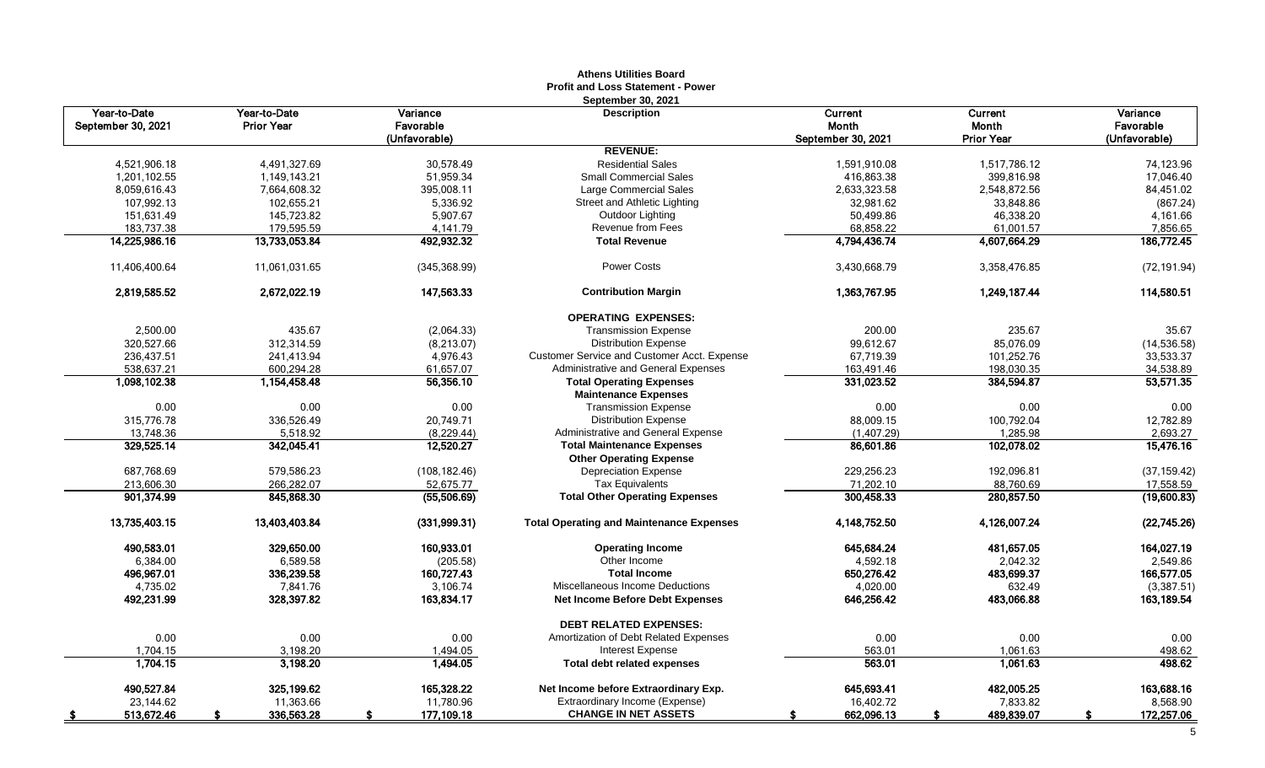|                    |                   |               | <b>Athens Utilities Board</b><br><b>Profit and Loss Statement - Power</b> |                    |                   |               |
|--------------------|-------------------|---------------|---------------------------------------------------------------------------|--------------------|-------------------|---------------|
|                    |                   |               | September 30, 2021                                                        |                    |                   |               |
| Year-to-Date       | Year-to-Date      | Variance      | <b>Description</b>                                                        | Current            | Current           | Variance      |
| September 30, 2021 | <b>Prior Year</b> | Favorable     |                                                                           | Month              | Month             | Favorable     |
|                    |                   | (Unfavorable) |                                                                           | September 30, 2021 | <b>Prior Year</b> | (Unfavorable) |
|                    |                   |               | <b>REVENUE:</b>                                                           |                    |                   |               |
| 4,521,906.18       | 4,491,327.69      | 30,578.49     | <b>Residential Sales</b>                                                  | 1,591,910.08       | 1,517,786.12      | 74.123.96     |
| 1,201,102.55       | 1,149,143.21      | 51,959.34     | <b>Small Commercial Sales</b>                                             | 416,863.38         | 399,816.98        | 17,046.40     |
| 8,059,616.43       | 7,664,608.32      | 395,008.11    | Large Commercial Sales                                                    | 2,633,323.58       | 2,548,872.56      | 84,451.02     |
| 107,992.13         | 102,655.21        | 5,336.92      | Street and Athletic Lighting                                              | 32,981.62          | 33,848.86         | (867.24)      |
| 151,631.49         | 145,723.82        | 5,907.67      | Outdoor Lighting                                                          | 50,499.86          | 46,338.20         | 4,161.66      |
| 183.737.38         | 179,595.59        | 4.141.79      | <b>Revenue from Fees</b>                                                  | 68,858.22          | 61.001.57         | 7.856.65      |
| 14,225,986.16      | 13,733,053.84     | 492,932.32    | <b>Total Revenue</b>                                                      | 4,794,436.74       | 4,607,664.29      | 186,772.45    |
| 11,406,400.64      | 11,061,031.65     | (345, 368.99) | <b>Power Costs</b>                                                        | 3,430,668.79       | 3,358,476.85      | (72, 191.94)  |
| 2,819,585.52       | 2,672,022.19      | 147,563.33    | <b>Contribution Margin</b>                                                | 1,363,767.95       | 1,249,187.44      | 114,580.51    |
|                    |                   |               | <b>OPERATING EXPENSES:</b>                                                |                    |                   |               |
| 2.500.00           | 435.67            | (2,064.33)    | <b>Transmission Expense</b>                                               | 200.00             | 235.67            | 35.67         |
| 320,527.66         | 312,314.59        | (8,213.07)    | <b>Distribution Expense</b>                                               | 99,612.67          | 85,076.09         | (14, 536.58)  |
| 236,437.51         | 241.413.94        | 4.976.43      | <b>Customer Service and Customer Acct. Expense</b>                        | 67.719.39          | 101,252.76        | 33,533.37     |
| 538,637.21         | 600,294.28        | 61,657.07     | Administrative and General Expenses                                       | 163,491.46         | 198,030.35        | 34,538.89     |
| 1,098,102.38       | 1,154,458.48      | 56,356.10     | <b>Total Operating Expenses</b>                                           | 331,023.52         | 384,594.87        | 53,571.35     |
|                    |                   |               | <b>Maintenance Expenses</b>                                               |                    |                   |               |
| 0.00               | 0.00              | 0.00          | <b>Transmission Expense</b>                                               | 0.00               | 0.00              | 0.00          |
| 315,776.78         | 336,526.49        | 20,749.71     | <b>Distribution Expense</b>                                               | 88,009.15          | 100,792.04        | 12,782.89     |
| 13,748.36          | 5,518.92          | (8,229.44)    | Administrative and General Expense                                        | (1,407.29)         | 1,285.98          | 2,693.27      |
| 329,525.14         | 342,045.41        | 12,520.27     | <b>Total Maintenance Expenses</b>                                         | 86,601.86          | 102,078.02        | 15,476.16     |
|                    |                   |               | <b>Other Operating Expense</b>                                            |                    |                   |               |
| 687,768.69         | 579,586.23        | (108, 182.46) | <b>Depreciation Expense</b>                                               | 229,256.23         | 192,096.81        | (37, 159.42)  |
| 213,606.30         | 266,282.07        | 52.675.77     | <b>Tax Equivalents</b>                                                    | 71,202.10          | 88.760.69         | 17,558.59     |
| 901,374.99         | 845,868.30        | (55,506.69)   | <b>Total Other Operating Expenses</b>                                     | 300,458.33         | 280,857.50        | (19,600.83)   |
| 13,735,403.15      | 13,403,403.84     | (331,999.31)  | <b>Total Operating and Maintenance Expenses</b>                           | 4,148,752.50       | 4,126,007.24      | (22,745.26)   |
| 490,583.01         | 329,650.00        | 160,933.01    | <b>Operating Income</b>                                                   | 645,684.24         | 481,657.05        | 164,027.19    |
| 6,384.00           | 6,589.58          | (205.58)      | Other Income                                                              | 4,592.18           | 2,042.32          | 2,549.86      |
| 496,967.01         | 336,239.58        | 160,727.43    | <b>Total Income</b>                                                       | 650,276.42         | 483,699.37        | 166,577.05    |
| 4,735.02           | 7,841.76          | 3,106.74      | Miscellaneous Income Deductions                                           | 4,020.00           | 632.49            | (3,387.51)    |
| 492,231.99         | 328,397.82        | 163,834.17    | Net Income Before Debt Expenses                                           | 646,256.42         | 483,066.88        | 163,189.54    |
|                    |                   |               | <b>DEBT RELATED EXPENSES:</b>                                             |                    |                   |               |
| 0.00               | 0.00              | 0.00          | Amortization of Debt Related Expenses                                     | 0.00               | 0.00              | 0.00          |
| 1,704.15           | 3,198.20          | 1,494.05      | Interest Expense                                                          | 563.01             | 1,061.63          | 498.62        |
| 1,704.15           | 3,198.20          | 1,494.05      | <b>Total debt related expenses</b>                                        | 563.01             | 1,061.63          | 498.62        |
| 490,527.84         | 325,199.62        | 165,328.22    | Net Income before Extraordinary Exp.                                      | 645,693.41         | 482,005.25        | 163,688.16    |
| 23,144.62          | 11,363.66         | 11,780.96     | Extraordinary Income (Expense)                                            | 16,402.72          | 7,833.82          | 8,568.90      |
| 513,672.46         | 336,563.28        | 177,109.18    | <b>CHANGE IN NET ASSETS</b>                                               | 662,096.13         | 489,839.07        | 172,257.06    |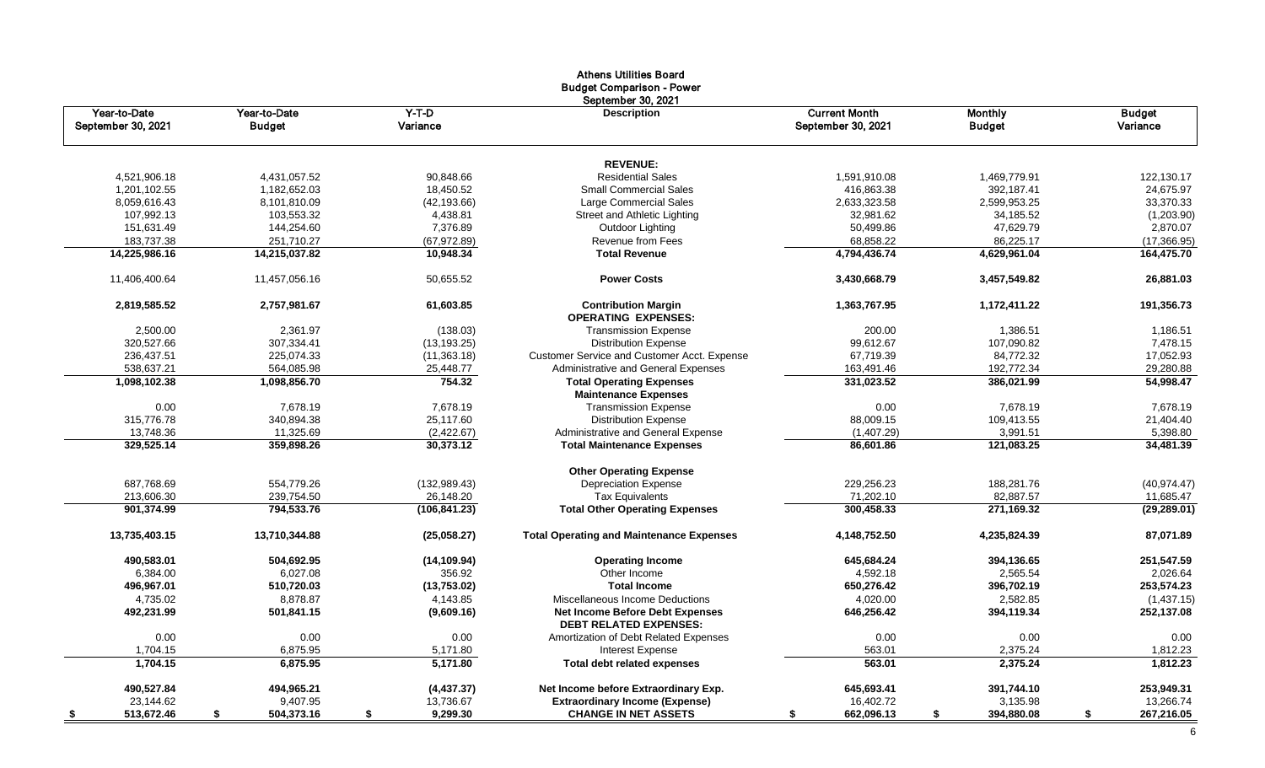|                                    |                               |                     | Athens Othitles Doard<br><b>Budget Comparison - Power</b>               |                                            |                                 |                           |
|------------------------------------|-------------------------------|---------------------|-------------------------------------------------------------------------|--------------------------------------------|---------------------------------|---------------------------|
| Year-to-Date<br>September 30, 2021 | Year-to-Date<br><b>Budget</b> | $Y-T-D$<br>Variance | September 30, 2021<br><b>Description</b>                                | <b>Current Month</b><br>September 30, 2021 | <b>Monthly</b><br><b>Budget</b> | <b>Budget</b><br>Variance |
|                                    |                               |                     | <b>REVENUE:</b>                                                         |                                            |                                 |                           |
| 4,521,906.18                       | 4,431,057.52                  | 90,848.66           | <b>Residential Sales</b>                                                | 1,591,910.08                               | 1,469,779.91                    | 122,130.17                |
| 1,201,102.55                       | 1,182,652.03                  | 18,450.52           | <b>Small Commercial Sales</b>                                           | 416,863.38                                 | 392,187.41                      | 24,675.97                 |
| 8,059,616.43                       | 8,101,810.09                  | (42, 193.66)        | Large Commercial Sales                                                  | 2,633,323.58                               | 2,599,953.25                    | 33,370.33                 |
| 107,992.13                         | 103,553.32                    | 4,438.81            | Street and Athletic Lighting                                            | 32,981.62                                  | 34,185.52                       | (1,203.90)                |
| 151,631.49                         | 144,254.60                    | 7,376.89            | Outdoor Lighting                                                        | 50,499.86                                  | 47,629.79                       | 2,870.07                  |
| 183,737.38                         | 251,710.27                    | (67, 972.89)        | Revenue from Fees                                                       | 68,858.22                                  | 86,225.17                       | (17, 366.95)              |
| 14,225,986.16                      | 14,215,037.82                 | 10,948.34           | <b>Total Revenue</b>                                                    | 4,794,436.74                               | 4,629,961.04                    | 164,475.70                |
| 11,406,400.64                      | 11,457,056.16                 | 50,655.52           | <b>Power Costs</b>                                                      | 3,430,668.79                               | 3,457,549.82                    | 26,881.03                 |
| 2,819,585.52                       | 2,757,981.67                  | 61,603.85           | <b>Contribution Margin</b><br><b>OPERATING EXPENSES:</b>                | 1,363,767.95                               | 1,172,411.22                    | 191,356.73                |
| 2,500.00                           | 2,361.97                      | (138.03)            | <b>Transmission Expense</b>                                             | 200.00                                     | 1,386.51                        | 1,186.51                  |
| 320,527.66                         | 307,334.41                    | (13, 193.25)        | <b>Distribution Expense</b>                                             | 99,612.67                                  | 107,090.82                      | 7,478.15                  |
| 236,437.51                         | 225,074.33                    | (11,363.18)         | Customer Service and Customer Acct. Expense                             | 67,719.39                                  | 84,772.32                       | 17,052.93                 |
| 538,637.21                         | 564,085.98                    | 25,448.77           | Administrative and General Expenses                                     | 163,491.46                                 | 192,772.34                      | 29,280.88                 |
| 1,098,102.38                       | 1,098,856.70                  | 754.32              | <b>Total Operating Expenses</b>                                         | 331,023.52                                 | 386,021.99                      | 54,998.47                 |
|                                    |                               |                     | <b>Maintenance Expenses</b>                                             |                                            |                                 |                           |
| 0.00                               | 7,678.19                      | 7,678.19            | <b>Transmission Expense</b>                                             | 0.00                                       | 7,678.19                        | 7,678.19                  |
| 315,776.78                         | 340,894.38                    | 25,117.60           | <b>Distribution Expense</b>                                             | 88,009.15                                  | 109,413.55                      | 21,404.40                 |
| 13,748.36                          | 11,325.69                     | (2,422.67)          | Administrative and General Expense                                      | (1,407.29)                                 | 3,991.51                        | 5,398.80                  |
| 329,525.14                         | 359,898.26                    | 30.373.12           | <b>Total Maintenance Expenses</b>                                       | 86,601.86                                  | 121,083.25                      | 34,481.39                 |
|                                    |                               |                     | <b>Other Operating Expense</b>                                          |                                            |                                 |                           |
| 687,768.69                         | 554,779.26                    | (132,989.43)        | <b>Depreciation Expense</b>                                             | 229,256.23                                 | 188,281.76                      | (40, 974.47)              |
| 213,606.30                         | 239,754.50                    | 26,148.20           | Tax Equivalents                                                         | 71,202.10                                  | 82,887.57                       | 11,685.47                 |
| 901,374.99                         | 794,533.76                    | (106, 841.23)       | <b>Total Other Operating Expenses</b>                                   | 300,458.33                                 | 271,169.32                      | (29, 289.01)              |
| 13,735,403.15                      | 13,710,344.88                 | (25.058.27)         | <b>Total Operating and Maintenance Expenses</b>                         | 4,148,752.50                               | 4,235,824.39                    | 87,071.89                 |
| 490,583.01                         | 504,692.95                    | (14, 109.94)        | <b>Operating Income</b>                                                 | 645,684.24                                 | 394,136.65                      | 251,547.59                |
| 6,384.00                           | 6,027.08                      | 356.92              | Other Income                                                            | 4,592.18                                   | 2,565.54                        | 2,026.64                  |
| 496,967.01                         | 510,720.03                    | (13,753.02)         | <b>Total Income</b>                                                     | 650,276.42                                 | 396,702.19                      | 253,574.23                |
| 4,735.02                           | 8,878.87                      | 4,143.85            | Miscellaneous Income Deductions                                         | 4,020.00                                   | 2,582.85                        | (1,437.15)                |
| 492,231.99                         | 501,841.15                    | (9,609.16)          | <b>Net Income Before Debt Expenses</b><br><b>DEBT RELATED EXPENSES:</b> | 646,256.42                                 | 394,119.34                      | 252,137.08                |
| 0.00                               | 0.00                          | 0.00                | Amortization of Debt Related Expenses                                   | 0.00                                       | 0.00                            | 0.00                      |
| 1,704.15                           | 6,875.95                      | 5,171.80            | Interest Expense                                                        | 563.01                                     | 2,375.24                        | 1,812.23                  |
| 1.704.15                           | 6.875.95                      | 5.171.80            | <b>Total debt related expenses</b>                                      | 563.01                                     | 2,375.24                        | 1,812.23                  |
| 490,527.84                         | 494,965.21                    | (4, 437.37)         | Net Income before Extraordinary Exp.                                    | 645,693.41                                 | 391,744.10                      | 253,949.31                |
| 23,144.62                          | 9,407.95                      | 13,736.67           | <b>Extraordinary Income (Expense)</b>                                   | 16,402.72                                  | 3,135.98                        | 13,266.74                 |
| 513,672.46                         | 504,373.16<br>\$              | 9,299.30<br>\$      | <b>CHANGE IN NET ASSETS</b>                                             | 662,096.13                                 | 394,880.08<br>\$                | \$<br>267,216.05          |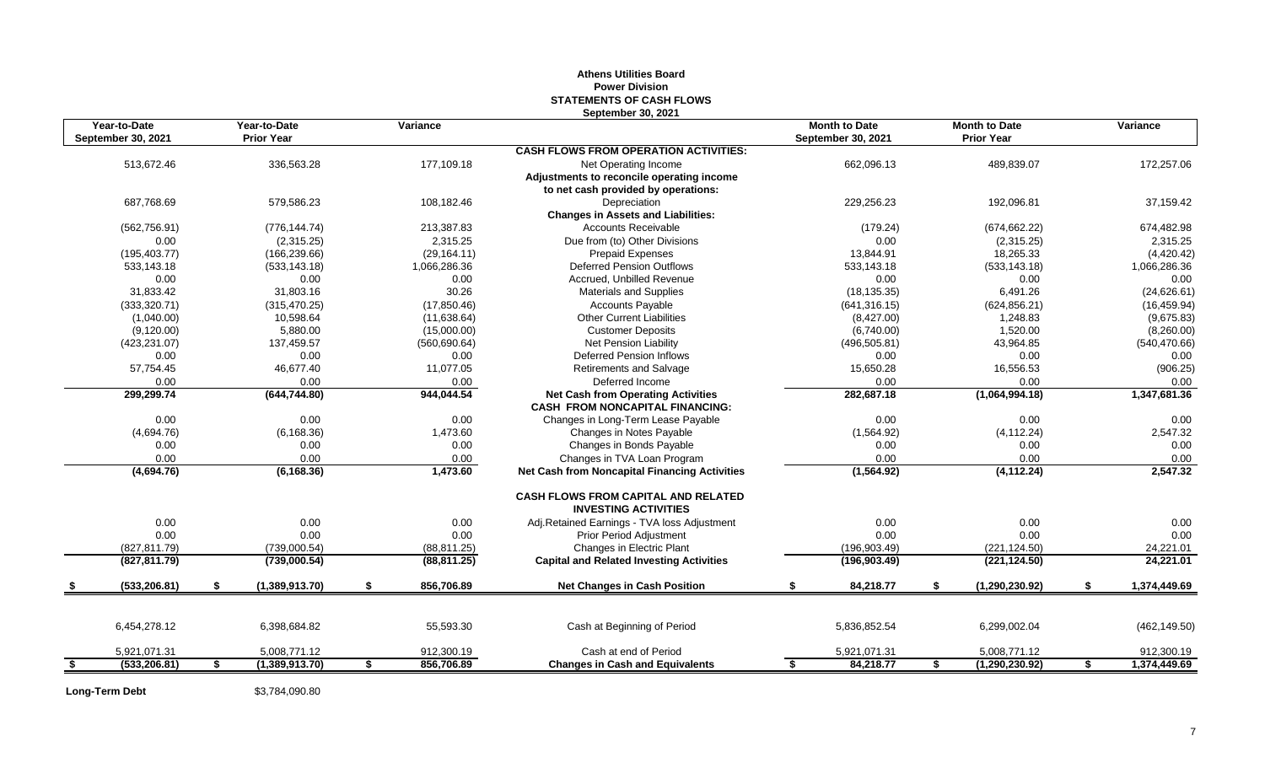### **STATEMENTS OF CASH FLOWS September 30, 2021 Year-to-Date Year-to-Date Variance Month to Date Month to Date Variance September 30, 2021 Prior Year September 30, 2021 Prior Year CASH FLOWS FROM OPERATION ACTIVITIES:** 513,672.46 336,563.28 177,109.18 Net Operating Income 662,096.13 489,839.07 172,257.06 **Adjustments to reconcile operating income to net cash provided by operations:** 687,768.69 579,586.23 108,182.46 Depreciation 229,256.23 192,096.81 37,159.42 **Changes in Assets and Liabilities:** (562,756.91) (776,144.74) 213,387.83 Accounts Receivable (179.24) (674,662.22) 674,482.98 0.00 (2,315.25) 2,315.25 Due from (to) Other Divisions 0.00 (2,315.25) 2,315.25 (195,403.77) (166,239.66) (29,164.11) Prepaid Expenses 13,844.91 18,265.33 (4,420.42) 533,143.18 (533,143.18) 1,066,286.36 Deferred Pension Outflows 533,143.18 (533,143.18) 1,066,286.36 0.00 0.00 0.00 Accrued, Unbilled Revenue 0.00 0.00 0.00 31,833.42 31,803.16 30.26 Materials and Supplies (18,135.35) 6,491.26 (24,626.61) (333,320.71) (315,470.25) (17,850.46) Cccounts Payable (641,316.15) (624,856.21) (16,459.94) (1,040.00) 10,598.64 (11,638.64) Other Current Liabilities (8,427.00) 1,248.83 (9,675.83) (9,120.00) 5,880.00 (15,000.00) Customer Deposits (6,740.00) 1,520.00 (8,260.00) (423,231.07) 137,459.57 (560,690.64) Net Pension Liability (496,505.81) 43,964.85 (540,470.66) 0.00 0.00 0.00 Deferred Pension Inflows 0.00 0.00 0.00 57,754.45 46,677.40 11,077.05 Retirements and Salvage 15,650.28 16,556.53 (906.25) 0.00 0.00 0.00 Deferred Income 0.00 0.00 0.00 **299,299.74 (644,744.80) 944,044.54 Net Cash from Operating Activities 282,687.18 (1,064,994.18) 1,347,681.36 CASH FROM NONCAPITAL FINANCING:** 0.00 0.00 0.00 0.00 0.00 0.00 Changes in Long-Term Lease Payable 0.00 0.00 0.00 0.00 0.00 0.00 0.00 (4,694.76) (6,168.36) 1,473.60 Changes in Notes Payable (1,564.92) (4,112.24) 2,547.32 0.00 0.00 0.00 Changes in Bonds Payable 0.00 0.00 0.00 0.00 0.00 0.00 Changes in TVA Loan Program 0.00 0.00 0.00 **(4,694.76) (6,168.36) 1,473.60 Net Cash from Noncapital Financing Activities (1,564.92) (4,112.24) 2,547.32 CASH FLOWS FROM CAPITAL AND RELATED INVESTING ACTIVITIES** 0.00 0.00 0.00 0.00 0.00 Adj.Retained Earnings - TVA loss Adjustment 0.00 0.00 0.00 0.00 0.00 0.00 0.00 0.00 0.00 0.00 Prior Period Adjustment 0.00 0.00 0.00 (827,811.79) (739,000.54) (88,811.25) Changes in Electric Plant (196,903.49) (221,124.50) 24,221.01 **(827,811.79) (739,000.54) (88,811.25) Capital and Related Investing Activities (196,903.49) (221,124.50) 24,221.01 \$ (533,206.81) \$ (1,389,913.70) \$ 856,706.89 Net Changes in Cash Position \$ 84,218.77 \$ (1,290,230.92) \$ 1,374,449.69** 6,454,278.12 6,398,684.82 55,593.30 Cash at Beginning of Period 5,836,852.54 6,299,002.04 (462,149.50) 5,921,071.31 5,008,771.12 912,300.19 Cash at end of Period 5,921,071.31 5,008,771.12 912,300.19 **\$ (533,206.81) \$ (1,389,913.70) \$ 856,706.89 Changes in Cash and Equivalents \$ 84,218.77 \$ (1,290,230.92) \$ 1,374,449.69**

**Athens Utilities Board Power Division**

**Long-Term Debt** \$3,784,090.80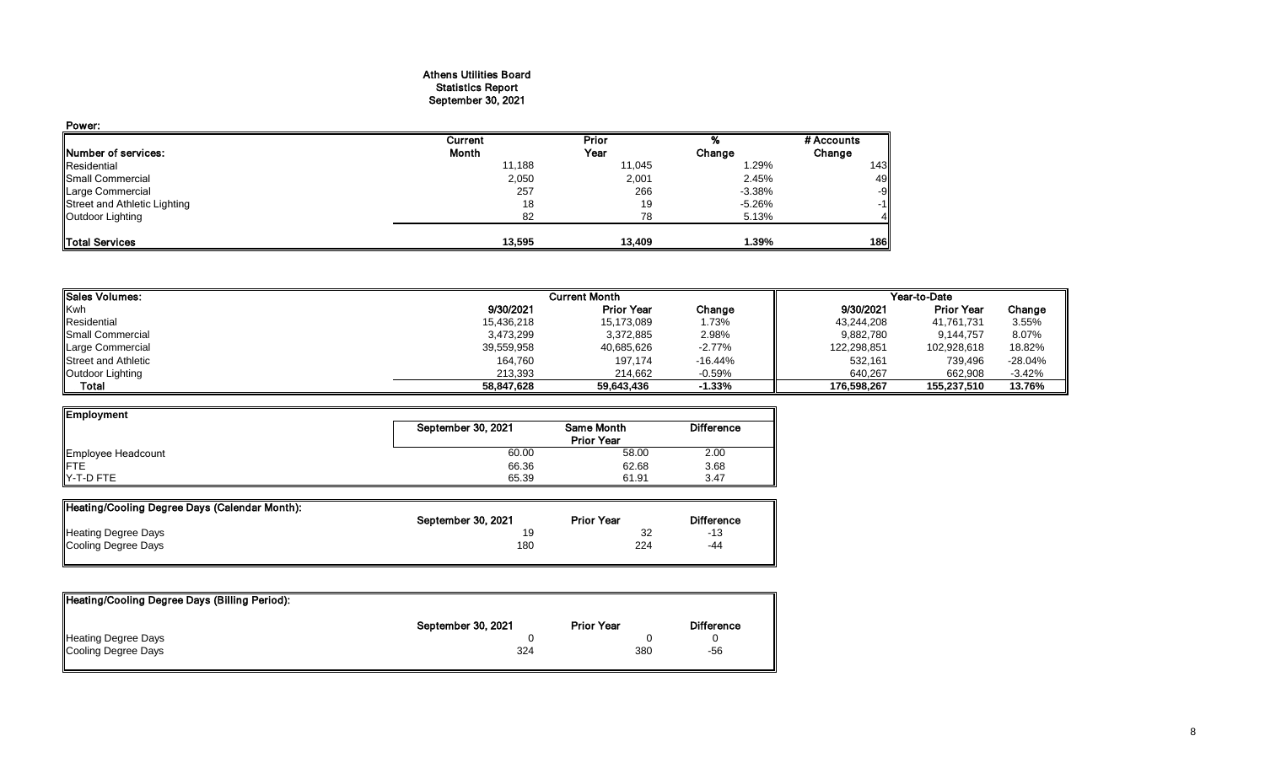#### Athens Utilities Board Statistics Report September 30, 2021

| Power:                       |         |        |           |            |
|------------------------------|---------|--------|-----------|------------|
|                              | Current | Prior  |           | # Accounts |
| Number of services:          | Month   | Year   | Change    | Change     |
| Residential                  | 11,188  | 11,045 | 1.29%     | 143        |
| Small Commercial             | 2,050   | 2,001  | 2.45%     | 49         |
| Large Commercial             | 257     | 266    | $-3.38\%$ | -9         |
| Street and Athletic Lighting | 18      | 19     | -5.26%    | $-1$       |
| Outdoor Lighting             | 82      | 78     | 5.13%     |            |
| <b>ITotal Services</b>       | 13.595  | 13.409 | 1.39%     | 186        |

| <b>Sales Volumes:</b>      | <b>Current Month</b> |                   |           | Year-to-Date |                   |           |  |
|----------------------------|----------------------|-------------------|-----------|--------------|-------------------|-----------|--|
| Kwh                        | 9/30/2021            | <b>Prior Year</b> | Change    | 9/30/2021    | <b>Prior Year</b> | Change    |  |
| Residential                | 15,436,218           | 15,173,089        | 1.73%     | 43,244,208   | 41,761,731        | 3.55%     |  |
| <b>I</b> Small Commercial  | 3,473,299            | 3,372,885         | 2.98%     | 9,882,780    | 9,144,757         | 8.07%     |  |
| Large Commercial           | 39,559,958           | 40,685,626        | $-2.77\%$ | 122,298,851  | 102,928,618       | 18.82%    |  |
| <b>Street and Athletic</b> | 164,760              | 197,174           | $-16.44%$ | 532,161      | 739,496           | $-28.04%$ |  |
| Outdoor Lighting           | 213,393              | 214,662           | $-0.59\%$ | 640.267      | 662,908           | $-3.42%$  |  |
| Total                      | 58.847.628           | 59.643.436        | $-1.33%$  | 176.598.267  | 155.237.510       | 13.76%    |  |

| Employment         |                    |                   |                   |
|--------------------|--------------------|-------------------|-------------------|
|                    | September 30, 2021 | <b>Same Month</b> | <b>Difference</b> |
|                    |                    | <b>Prior Year</b> |                   |
| Employee Headcount | 60.00              | 58.00             | 2.00              |
| <b>IFTE</b>        | 66.36              | 62.68             | 3.68              |
| Y-T-D FTE          | 65.39              | 61.91             | 3.47              |

| Heating/Cooling Degree Days (Calendar Month): |                    |                   |                   |
|-----------------------------------------------|--------------------|-------------------|-------------------|
|                                               | September 30, 2021 | <b>Prior Year</b> | <b>Difference</b> |
| <b>Heating Degree Days</b>                    |                    | 32                | $-13$             |
| Cooling Degree Days                           | 180                | 224               | -44               |

| Heating/Cooling Degree Days (Billing Period): |                    |                   |                   |
|-----------------------------------------------|--------------------|-------------------|-------------------|
|                                               | September 30, 2021 | <b>Prior Year</b> | <b>Difference</b> |
| <b>Heating Degree Days</b>                    |                    |                   |                   |
| Cooling Degree Days                           | 324                | 380               | -56               |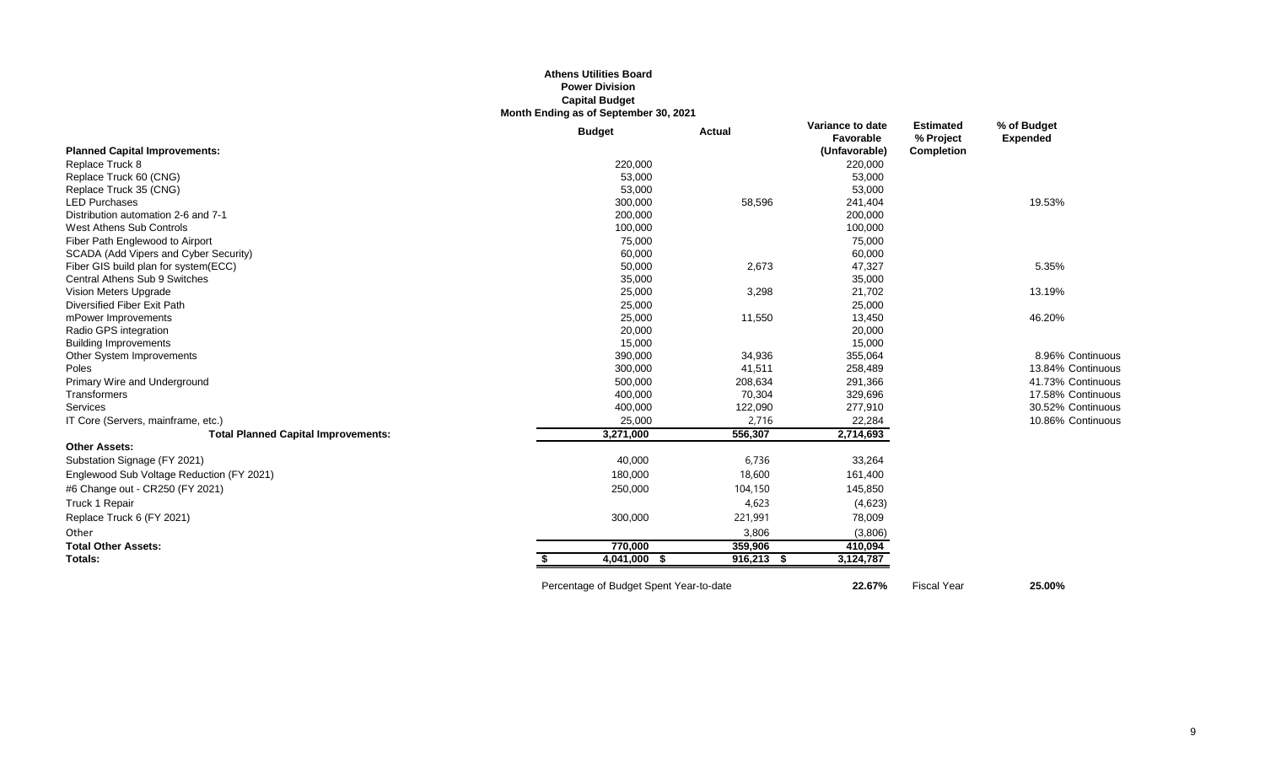#### **Athens Utilities Board Power Division Capital Budget Month Ending as of September 30, 2021**

|                                            | <b>Budget</b> | <b>Actual</b> | Variance to date<br>Favorable | <b>Estimated</b><br>% Project | % of Budget<br><b>Expended</b> |
|--------------------------------------------|---------------|---------------|-------------------------------|-------------------------------|--------------------------------|
| <b>Planned Capital Improvements:</b>       |               |               | (Unfavorable)                 | Completion                    |                                |
| Replace Truck 8                            | 220,000       |               | 220,000                       |                               |                                |
| Replace Truck 60 (CNG)                     | 53,000        |               | 53,000                        |                               |                                |
| Replace Truck 35 (CNG)                     | 53,000        |               | 53,000                        |                               |                                |
| <b>LED Purchases</b>                       | 300,000       | 58,596        | 241,404                       |                               | 19.53%                         |
| Distribution automation 2-6 and 7-1        | 200,000       |               | 200,000                       |                               |                                |
| West Athens Sub Controls                   | 100,000       |               | 100,000                       |                               |                                |
| Fiber Path Englewood to Airport            | 75,000        |               | 75,000                        |                               |                                |
| SCADA (Add Vipers and Cyber Security)      | 60,000        |               | 60,000                        |                               |                                |
| Fiber GIS build plan for system(ECC)       | 50,000        | 2,673         | 47,327                        |                               | 5.35%                          |
| Central Athens Sub 9 Switches              | 35,000        |               | 35,000                        |                               |                                |
| Vision Meters Upgrade                      | 25,000        | 3,298         | 21,702                        |                               | 13.19%                         |
| Diversified Fiber Exit Path                | 25,000        |               | 25,000                        |                               |                                |
| mPower Improvements                        | 25,000        | 11,550        | 13,450                        |                               | 46.20%                         |
| Radio GPS integration                      | 20,000        |               | 20,000                        |                               |                                |
| <b>Building Improvements</b>               | 15,000        |               | 15,000                        |                               |                                |
| Other System Improvements                  | 390,000       | 34,936        | 355,064                       |                               | 8.96% Continuous               |
| Poles                                      | 300,000       | 41,511        | 258,489                       |                               | 13.84% Continuous              |
| Primary Wire and Underground               | 500,000       | 208,634       | 291,366                       |                               | 41.73% Continuous              |
| Transformers                               | 400,000       | 70,304        | 329,696                       |                               | 17.58% Continuous              |
| Services                                   | 400,000       | 122,090       | 277,910                       |                               | 30.52% Continuous              |
| IT Core (Servers, mainframe, etc.)         | 25,000        | 2,716         | 22,284                        |                               | 10.86% Continuous              |
| <b>Total Planned Capital Improvements:</b> | 3,271,000     | 556,307       | 2,714,693                     |                               |                                |
| <b>Other Assets:</b>                       |               |               |                               |                               |                                |
| Substation Signage (FY 2021)               | 40,000        | 6,736         | 33,264                        |                               |                                |
| Englewood Sub Voltage Reduction (FY 2021)  | 180,000       | 18,600        | 161,400                       |                               |                                |
| #6 Change out - CR250 (FY 2021)            | 250,000       | 104,150       | 145,850                       |                               |                                |
| Truck 1 Repair                             |               | 4,623         | (4,623)                       |                               |                                |
| Replace Truck 6 (FY 2021)                  | 300,000       | 221,991       | 78,009                        |                               |                                |
| Other                                      |               | 3,806         | (3,806)                       |                               |                                |
| <b>Total Other Assets:</b>                 | 770,000       | 359,906       | 410,094                       |                               |                                |
| Totals:                                    | 4,041,000 \$  | 916,213 \$    | 3,124,787                     |                               |                                |
|                                            |               |               |                               |                               |                                |

Percentage of Budget Spent Year-to-date **22.67%** Fiscal Year **25.00%**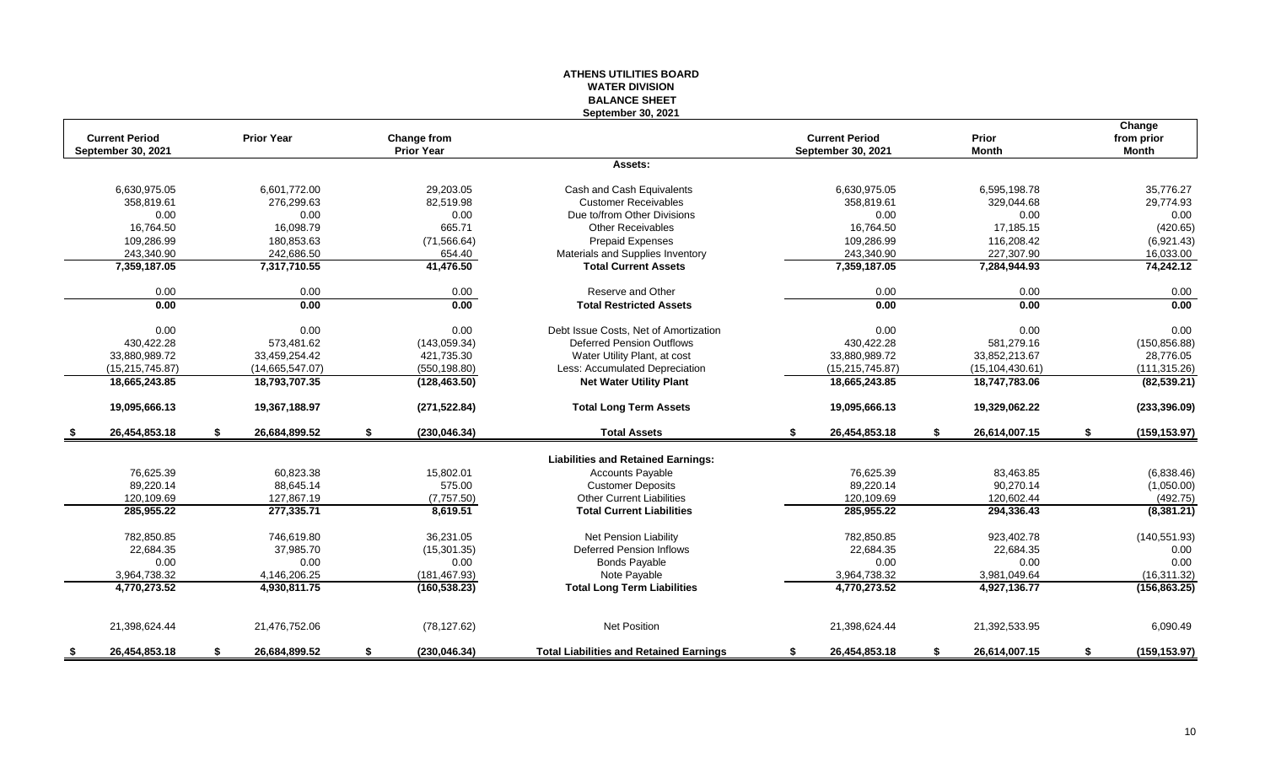## **WATER DIVISION BALANCE SHEET September 30, 2021 Change Current Period Prior Year Change from Current Period Prior from prior September 30, 2021 Prior Year September 30, 2021 Month Month Assets:** 6,630,975.05 6,601,772.00 29,203.05 Cash and Cash Equivalents 6,630,975.05 6,595,198.78 35,776.27 358,819.61 276,299.63 82,519.98 Customer Receivables 358,819.61 329,044.68 29,774.93 0.00 0.00 0.00 Due to/from Other Divisions 0.00 0.00 0.00 16,764.50 16,098.79 665.71 Other Receivables 16,764.50 17,185.15 (420.65) 109,286.99 180,853.63 (71,566.64) Prepaid Expenses 109,286.99 116,208.42 (6,921.43) 227,340.90 227,307.90 242,686.50 654.40 654.40 Materials and Supplies Inventory 243,340.90 227,307.90 227,307.90 16,033.00<br>2.359,187.05 7,317,710.55 41,476.50 Total Current Assets 7,359,187.05 7,359,187.05 7,284,944.93 74, **7,359,187.05 7,317,710.55 41,476.50 Total Current Assets 7,359,187.05 7,284,944.93 74,242.12** 0.00 0.00 0.00 Reserve and Other 0.00 0.00 0.00 **0.00 0.00 0.00 Total Restricted Assets 0.00 0.00 0.00** 0.00 0.00 0.00 0.00 0.00 Debt Issue Costs. Net of Amortization 0.00 0.00 0.00 0.00 0.00 0.00 0.00 430,422.28 573,481.62 (143,059.34) Deferred Pension Outflows 430,422.28 581,279.16 (150,856.88) 33,880,989.72 33,459,254.42 421,735.30 Water Utility Plant, at cost 33,880,989.72 33,852,213.67 28,776.05 (15,215,745.87) (14,665,547.07) (550,198.80) Less: Accumulated Depreciation (15,215,745.87) (15,104,430.61) (111,315.26) **18,665,243.85 18,793,707.35 (128,463.50) Net Water Utility Plant 18,665,243.85 18,747,783.06 (82,539.21) 19,095,666.13 19,367,188.97 (271,522.84) Total Long Term Assets 19,095,666.13 19,329,062.22 (233,396.09) \$ 26,454,853.18 \$ 26,684,899.52 \$ (230,046.34) Total Assets \$ 26,454,853.18 \$ 26,614,007.15 \$ (159,153.97) Liabilities and Retained Earnings:** 76,625.39 60,823.38 15,802.01 Ccounts Payable 76,625.39 83,463.85 (6,838.46) 89,220.14 88,645.14 575.00 Customer Deposits 89,220.14 90,270.14 (1,050.00) 120,109.69 127,867.19 (7,757.50) Other Current Liabilities 120,109.69 120,602.44 (492.75) **285,955.22 277,335.71 8,619.51 Total Current Liabilities 285,955.22 294,336.43 (8,381.21)** 782,850.85 746,619.80 36,231.05 Net Pension Liability 782,850.85 923,402.78 (140,551.93) 22,684.35 37,985.70 (15,301.35) Deferred Pension Inflows 22,684.35 22,684.35 0.00 0.00 0.00 0.00 Bonds Payable 0.00 0.00 0.00 3,964,738.32 4,146,206.25 (181,467.93) 3,964,738.32 3,981,049.64 (16,311.32) **4,770,273.52 4,930,811.75 (160,538.23) Total Long Term Liabilities 4,770,273.52 4,927,136.77 (156,863.25)** 21,398,624.44 21,476,752.06 (78,127.62) Net Position 21,398,624.44 21,392,533.95 6,090.49 **\$ 26,454,853.18 \$ 26,684,899.52 \$ (230,046.34) Total Liabilities and Retained Earnings \$ 26,454,853.18 \$ 26,614,007.15 \$ (159,153.97)**

**ATHENS UTILITIES BOARD**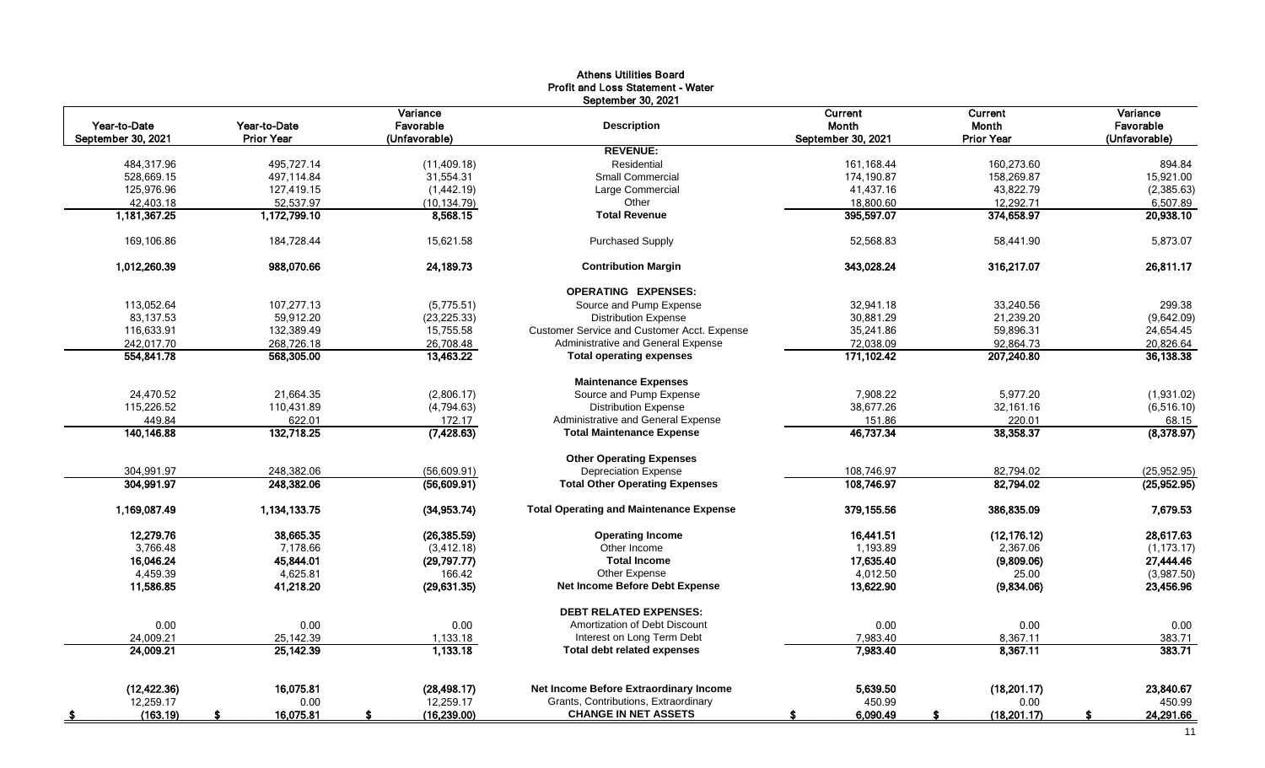|                          |                   |                       | <b>Athens Utilities Board</b><br>Profit and Loss Statement - Water<br>September 30, 2021 |                    |                         |                       |
|--------------------------|-------------------|-----------------------|------------------------------------------------------------------------------------------|--------------------|-------------------------|-----------------------|
| Year-to-Date             | Year-to-Date      | Variance<br>Favorable | <b>Description</b>                                                                       | Current<br>Month   | <b>Current</b><br>Month | Variance<br>Favorable |
| September 30, 2021       | <b>Prior Year</b> | (Unfavorable)         |                                                                                          | September 30, 2021 | <b>Prior Year</b>       | (Unfavorable)         |
|                          |                   |                       | <b>REVENUE:</b>                                                                          |                    |                         |                       |
| 484,317.96               | 495,727.14        | (11, 409.18)          | Residential                                                                              | 161,168.44         | 160,273.60              | 894.84                |
| 528,669.15               | 497,114.84        | 31,554.31             | Small Commercial                                                                         | 174,190.87         | 158,269.87              | 15,921.00             |
| 125,976.96               | 127,419.15        | (1,442.19)            | Large Commercial                                                                         | 41,437.16          | 43,822.79               | (2,385.63)            |
| 42,403.18                | 52,537.97         | (10, 134.79)          | Other                                                                                    | 18,800.60          | 12,292.71               | 6,507.89              |
| 1,181,367.25             | 1,172,799.10      | 8,568.15              | <b>Total Revenue</b>                                                                     | 395,597.07         | 374,658.97              | 20,938.10             |
| 169,106.86               | 184,728.44        | 15,621.58             | <b>Purchased Supply</b>                                                                  | 52,568.83          | 58,441.90               | 5,873.07              |
| 1,012,260.39             | 988,070.66        | 24,189.73             | <b>Contribution Margin</b>                                                               | 343,028.24         | 316,217.07              | 26,811.17             |
|                          |                   |                       | <b>OPERATING EXPENSES:</b>                                                               |                    |                         |                       |
| 113,052.64               | 107,277.13        | (5,775.51)            | Source and Pump Expense                                                                  | 32,941.18          | 33,240.56               | 299.38                |
| 83,137.53                | 59,912.20         | (23, 225.33)          | <b>Distribution Expense</b>                                                              | 30,881.29          | 21,239.20               | (9,642.09)            |
| 116,633.91               | 132,389.49        | 15,755.58             | Customer Service and Customer Acct. Expense                                              | 35,241.86          | 59,896.31               | 24,654.45             |
| 242,017.70               | 268,726.18        | 26,708.48             | Administrative and General Expense                                                       | 72,038.09          | 92,864.73               | 20,826.64             |
| 554,841.78               | 568,305.00        | 13,463.22             | <b>Total operating expenses</b>                                                          | 171,102.42         | 207,240.80              | 36,138.38             |
|                          |                   |                       | <b>Maintenance Expenses</b>                                                              |                    |                         |                       |
| 24,470.52                | 21,664.35         | (2,806.17)            | Source and Pump Expense                                                                  | 7,908.22           | 5,977.20                | (1,931.02)            |
| 115,226.52               | 110,431.89        | (4,794.63)            | <b>Distribution Expense</b>                                                              | 38,677.26          | 32,161.16               | (6, 516.10)           |
| 449.84                   | 622.01            | 172.17                | Administrative and General Expense                                                       | 151.86             | 220.01                  | 68.15                 |
| 140,146.88               | 132,718.25        | (7,428.63)            | <b>Total Maintenance Expense</b>                                                         | 46,737.34          | 38,358.37               | (8,378.97)            |
|                          |                   |                       | <b>Other Operating Expenses</b>                                                          |                    |                         |                       |
| 304,991.97<br>304,991.97 | 248,382.06        | (56,609.91)           | <b>Depreciation Expense</b>                                                              | 108,746.97         | 82,794.02               | (25, 952.95)          |
|                          | 248,382.06        | (56,609.91)           | <b>Total Other Operating Expenses</b>                                                    | 108,746.97         | 82,794.02               | (25,952.95)           |
| 1,169,087.49             | 1,134,133.75      | (34, 953.74)          | <b>Total Operating and Maintenance Expense</b>                                           | 379,155.56         | 386,835.09              | 7,679.53              |
| 12,279.76                | 38,665.35         | (26, 385.59)          | <b>Operating Income</b>                                                                  | 16,441.51          | (12, 176.12)            | 28,617.63             |
| 3,766.48                 | 7,178.66          | (3, 412.18)           | Other Income                                                                             | 1,193.89           | 2,367.06                | (1, 173.17)           |
| 16,046.24                | 45,844.01         | (29,797.77)           | <b>Total Income</b>                                                                      | 17,635.40          | (9,809.06)              | 27,444.46             |
| 4,459.39                 | 4,625.81          | 166.42                | Other Expense                                                                            | 4,012.50           | 25.00                   | (3,987.50)            |
| 11,586.85                | 41,218.20         | (29, 631.35)          | Net Income Before Debt Expense                                                           | 13,622.90          | (9,834.06)              | 23,456.96             |
|                          |                   |                       | <b>DEBT RELATED EXPENSES:</b>                                                            |                    |                         |                       |
| 0.00                     | 0.00              | 0.00                  | Amortization of Debt Discount                                                            | 0.00               | 0.00                    | 0.00                  |
| 24,009.21                | 25,142.39         | 1,133.18              | Interest on Long Term Debt                                                               | 7,983.40           | 8,367.11                | 383.71                |
| 24,009.21                | 25,142.39         | 1,133.18              | <b>Total debt related expenses</b>                                                       | 7,983.40           | 8,367.11                | 383.71                |
| (12, 422.36)             | 16,075.81         | (28, 498.17)          | Net Income Before Extraordinary Income                                                   | 5,639.50           | (18, 201.17)            | 23,840.67             |
| 12,259.17                | 0.00              | 12,259.17             | Grants, Contributions, Extraordinary                                                     | 450.99             | 0.00                    | 450.99                |
| (163.19)                 | 16,075.81         | (16, 239.00)          | <b>CHANGE IN NET ASSETS</b>                                                              | 6,090.49           | (18, 201.17)            | 24,291.66             |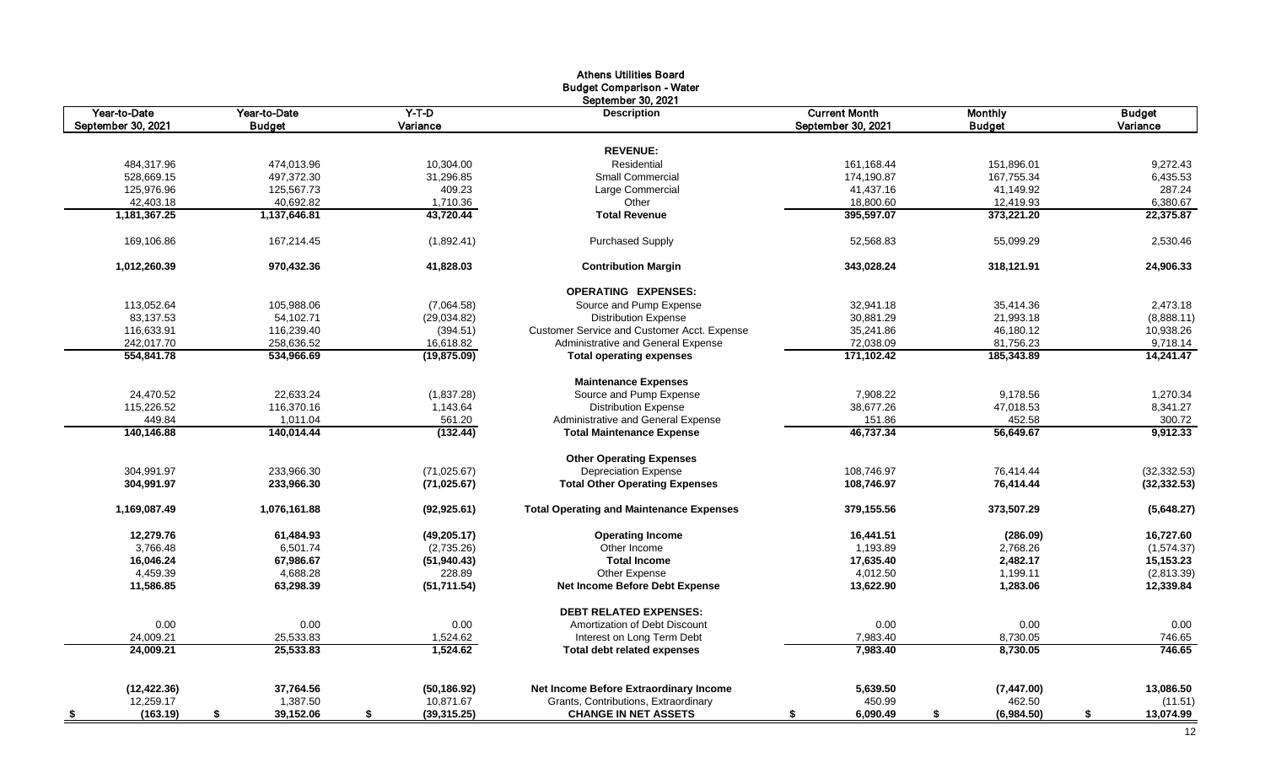|                        |                        |                    | <b>Athens Utilities Board</b>                                          |                      |                     |                    |
|------------------------|------------------------|--------------------|------------------------------------------------------------------------|----------------------|---------------------|--------------------|
|                        |                        |                    | <b>Budget Comparison - Water</b>                                       |                      |                     |                    |
|                        |                        |                    | September 30, 2021                                                     |                      |                     |                    |
| Year-to-Date           | Year-to-Date           | $Y-T-D$            | <b>Description</b>                                                     | <b>Current Month</b> | <b>Monthly</b>      | <b>Budget</b>      |
| September 30, 2021     | <b>Budget</b>          | Variance           |                                                                        | September 30, 2021   | <b>Budget</b>       | Variance           |
|                        |                        |                    |                                                                        |                      |                     |                    |
|                        |                        |                    | <b>REVENUE:</b>                                                        |                      |                     |                    |
| 484,317.96             | 474,013.96             | 10,304.00          | Residential                                                            | 161, 168.44          | 151,896.01          | 9,272.43           |
| 528,669.15             | 497,372.30             | 31,296.85          | Small Commercial                                                       | 174,190.87           | 167,755.34          | 6,435.53           |
| 125,976.96             | 125,567.73             | 409.23             | Large Commercial                                                       | 41,437.16            | 41,149.92           | 287.24             |
| 42,403.18              | 40,692.82              | 1,710.36           | Other                                                                  | 18,800.60            | 12,419.93           | 6,380.67           |
| 1,181,367.25           | 1,137,646.81           | 43,720.44          | <b>Total Revenue</b>                                                   | 395,597.07           | 373,221.20          | 22,375.87          |
| 169,106.86             | 167,214.45             | (1,892.41)         | <b>Purchased Supply</b>                                                | 52,568.83            | 55,099.29           | 2,530.46           |
| 1.012.260.39           | 970,432.36             | 41,828.03          | <b>Contribution Margin</b>                                             | 343,028.24           | 318,121.91          | 24,906.33          |
|                        |                        |                    | <b>OPERATING EXPENSES:</b>                                             |                      |                     |                    |
| 113,052.64             | 105,988.06             | (7,064.58)         | Source and Pump Expense                                                | 32,941.18            | 35,414.36           | 2,473.18           |
| 83,137.53              | 54,102.71              | (29,034.82)        | <b>Distribution Expense</b>                                            | 30,881.29            | 21,993.18           | (8,888.11)         |
| 116,633.91             | 116,239.40             | (394.51)           | Customer Service and Customer Acct. Expense                            | 35,241.86            | 46,180.12           | 10,938.26          |
| 242,017.70             | 258,636.52             | 16,618.82          | Administrative and General Expense                                     | 72,038.09            | 81,756.23           | 9,718.14           |
| 554,841.78             | 534,966.69             | (19, 875.09)       | <b>Total operating expenses</b>                                        | 171,102.42           | 185,343.89          | 14,241.47          |
|                        |                        |                    | <b>Maintenance Expenses</b>                                            |                      |                     |                    |
| 24,470.52              | 22,633.24              | (1,837.28)         | Source and Pump Expense                                                | 7,908.22             | 9,178.56            | 1,270.34           |
|                        |                        |                    |                                                                        |                      |                     |                    |
| 115,226.52             | 116,370.16             | 1,143.64           | <b>Distribution Expense</b>                                            | 38,677.26            | 47,018.53           | 8,341.27<br>300.72 |
| 449.84<br>140.146.88   | 1,011.04<br>140.014.44 | 561.20<br>(132.44) | Administrative and General Expense<br><b>Total Maintenance Expense</b> | 151.86<br>46.737.34  | 452.58<br>56,649.67 | 9,912.33           |
|                        |                        |                    |                                                                        |                      |                     |                    |
|                        |                        |                    | <b>Other Operating Expenses</b>                                        |                      |                     |                    |
| 304,991.97             | 233,966.30             | (71, 025.67)       | <b>Depreciation Expense</b>                                            | 108,746.97           | 76,414.44           | (32, 332.53)       |
| 304,991.97             | 233,966.30             | (71, 025.67)       | <b>Total Other Operating Expenses</b>                                  | 108,746.97           | 76,414.44           | (32, 332.53)       |
| 1,169,087.49           | 1,076,161.88           | (92, 925.61)       | <b>Total Operating and Maintenance Expenses</b>                        | 379,155.56           | 373,507.29          | (5,648.27)         |
| 12,279.76              | 61,484.93              | (49, 205.17)       | <b>Operating Income</b>                                                | 16,441.51            | (286.09)            | 16,727.60          |
| 3,766.48               | 6,501.74               | (2,735.26)         | Other Income                                                           | 1,193.89             | 2,768.26            | (1,574.37)         |
| 16,046.24              | 67,986.67              | (51, 940.43)       | <b>Total Income</b>                                                    | 17,635.40            | 2,482.17            | 15,153.23          |
| 4,459.39               | 4,688.28               | 228.89             | Other Expense                                                          | 4,012.50             | 1,199.11            | (2,813.39)         |
| 11,586.85              | 63,298.39              | (51, 711.54)       | Net Income Before Debt Expense                                         | 13,622.90            | 1,283.06            | 12,339.84          |
|                        |                        |                    | <b>DEBT RELATED EXPENSES:</b>                                          |                      |                     |                    |
| 0.00                   | 0.00                   | 0.00               | Amortization of Debt Discount                                          | 0.00                 | 0.00                | 0.00               |
| 24,009.21              | 25,533.83              | 1,524.62           | Interest on Long Term Debt                                             | 7,983.40             | 8,730.05            | 746.65             |
| 24,009.21              | 25,533.83              | 1.524.62           | <b>Total debt related expenses</b>                                     | 7,983.40             | 8,730.05            | 746.65             |
|                        |                        |                    |                                                                        |                      |                     |                    |
| (12, 422.36)           | 37,764.56              | (50, 186.92)       | Net Income Before Extraordinary Income                                 | 5,639.50             | (7,447.00)          | 13,086.50          |
| 12,259.17              | 1,387.50               | 10,871.67          | Grants, Contributions, Extraordinary                                   | 450.99               | 462.50              | (11.51)            |
| (163.19)<br><u>_\$</u> | 39,152.06<br>\$        | \$<br>(39, 315.25) | <b>CHANGE IN NET ASSETS</b>                                            | 6,090.49<br>\$       | \$<br>(6,984.50)    | \$<br>13,074.99    |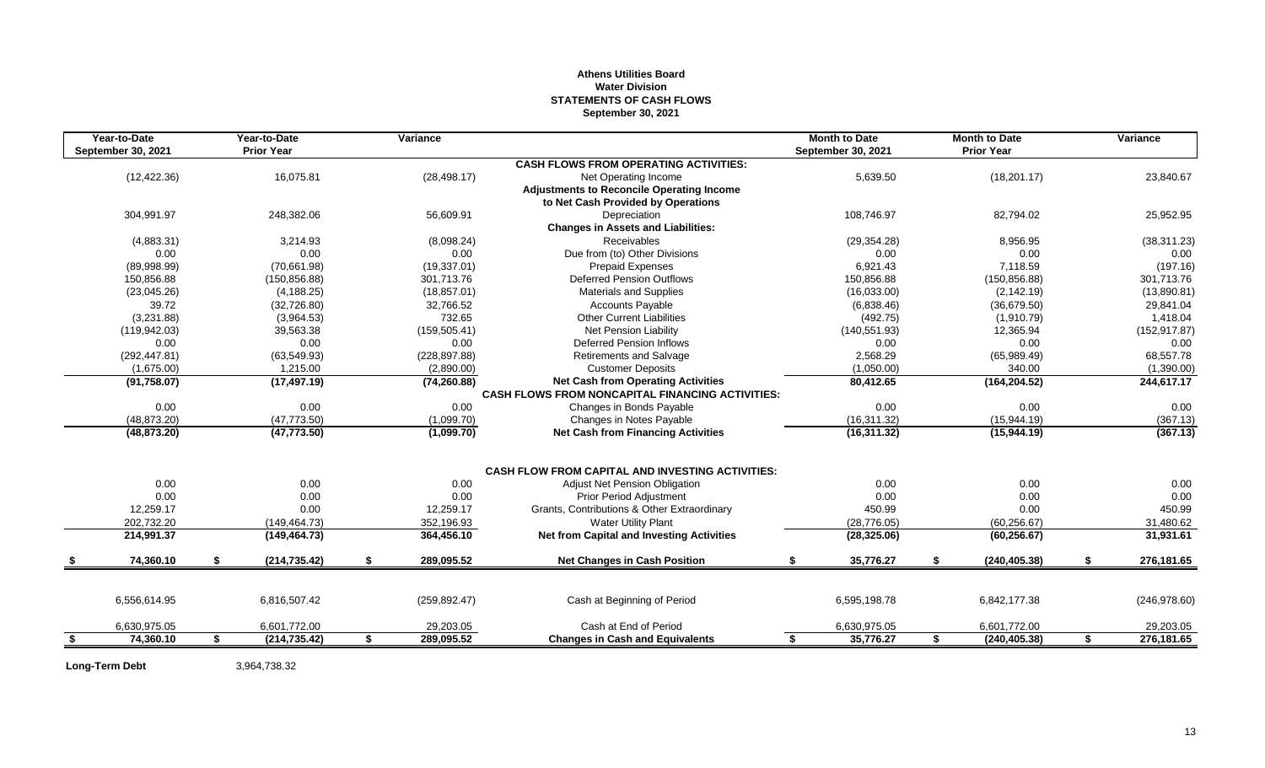#### **Athens Utilities Board Water Division STATEMENTS OF CASH FLOWS September 30, 2021**

| <b>CASH FLOWS FROM OPERATING ACTIVITIES:</b><br>(12, 422.36)<br>16,075.81<br>5,639.50<br>(18, 201.17)<br>(28, 498.17)<br>Net Operating Income<br><b>Adjustments to Reconcile Operating Income</b><br>to Net Cash Provided by Operations<br>304,991.97<br>248.382.06<br>56,609.91<br>108,746.97<br>Depreciation<br>82,794.02<br><b>Changes in Assets and Liabilities:</b><br>(4,883.31)<br>Receivables<br>3,214.93<br>(8,098.24)<br>(29, 354.28)<br>8,956.95<br>0.00<br>Due from (to) Other Divisions<br>0.00<br>0.00<br>0.00<br>0.00<br>(19, 337.01)<br>7.118.59<br>(89,998.99)<br>(70,661.98)<br><b>Prepaid Expenses</b><br>6,921.43<br>Deferred Pension Outflows<br>150.856.88<br>(150, 856.88)<br>301.713.76<br>150.856.88<br>(150, 856.88)<br><b>Materials and Supplies</b><br>(16,033.00)<br>(23,045.26)<br>(4, 188.25)<br>(18, 857.01)<br>(2, 142.19)<br>39.72<br>(6,838.46)<br>(32, 726.80)<br>32,766.52<br><b>Accounts Payable</b><br>(36,679.50)<br>(3,231.88)<br>732.65<br><b>Other Current Liabilities</b><br>(492.75)<br>(3,964.53)<br>(1,910.79)<br>(159, 505.41)<br>(119, 942.03)<br>39,563.38<br><b>Net Pension Liability</b><br>(140, 551.93)<br>12,365.94<br>0.00<br><b>Deferred Pension Inflows</b><br>0.00<br>0.00<br>0.00<br>0.00<br>(292, 447.81)<br>(63, 549.93)<br>(228, 897.88)<br><b>Retirements and Salvage</b><br>2.568.29<br>(65,989.49)<br><b>Customer Deposits</b><br>(1,050.00)<br>(1,675.00)<br>1,215.00<br>(2,890.00)<br>340.00<br>(91, 758.07)<br><b>Net Cash from Operating Activities</b><br>80,412.65<br>(164, 204.52)<br>(17, 497.19)<br>(74, 260.88)<br><b>CASH FLOWS FROM NONCAPITAL FINANCING ACTIVITIES:</b><br>0.00<br>0.00<br>0.00<br>0.00<br>0.00<br>Changes in Bonds Payable<br>(48, 873.20)<br>(47, 773.50)<br>(15,944.19)<br>(1,099.70)<br>Changes in Notes Payable<br>(16, 311.32)<br>(48, 873.20)<br>(47, 773.50)<br>(1,099.70)<br><b>Net Cash from Financing Activities</b><br>(16, 311.32)<br>(15,944.19)<br><b>CASH FLOW FROM CAPITAL AND INVESTING ACTIVITIES:</b><br>0.00<br>0.00<br>0.00<br>0.00<br><b>Adjust Net Pension Obligation</b><br>0.00<br>0.00<br>0.00<br>0.00<br>0.00<br><b>Prior Period Adjustment</b><br>0.00<br>12.259.17<br>0.00<br>12,259.17<br>Grants, Contributions & Other Extraordinary<br>450.99<br>0.00<br>202,732.20<br><b>Water Utility Plant</b><br>(149, 464.73)<br>352,196.93<br>(28, 776.05)<br>(60, 256.67)<br>364,456.10<br><b>Net from Capital and Investing Activities</b><br>214,991.37<br>(149, 464.73)<br>(28, 325.06)<br>(60, 256.67)<br>74,360.10<br>289,095.52<br>35,776.27<br>(214, 735.42)<br>S.<br><b>Net Changes in Cash Position</b><br>(240, 405.38)<br>S.<br>\$<br>- \$<br>S<br>6,842,177.38<br>6,556,614.95<br>6,816,507.42<br>(259, 892.47)<br>Cash at Beginning of Period<br>6,595,198.78 | Year-to-Date<br>September 30, 2021 | Year-to-Date<br><b>Prior Year</b> | Variance |  | <b>Month to Date</b><br><b>September 30, 2021</b> | <b>Month to Date</b><br><b>Prior Year</b> | Variance      |
|---------------------------------------------------------------------------------------------------------------------------------------------------------------------------------------------------------------------------------------------------------------------------------------------------------------------------------------------------------------------------------------------------------------------------------------------------------------------------------------------------------------------------------------------------------------------------------------------------------------------------------------------------------------------------------------------------------------------------------------------------------------------------------------------------------------------------------------------------------------------------------------------------------------------------------------------------------------------------------------------------------------------------------------------------------------------------------------------------------------------------------------------------------------------------------------------------------------------------------------------------------------------------------------------------------------------------------------------------------------------------------------------------------------------------------------------------------------------------------------------------------------------------------------------------------------------------------------------------------------------------------------------------------------------------------------------------------------------------------------------------------------------------------------------------------------------------------------------------------------------------------------------------------------------------------------------------------------------------------------------------------------------------------------------------------------------------------------------------------------------------------------------------------------------------------------------------------------------------------------------------------------------------------------------------------------------------------------------------------------------------------------------------------------------------------------------------------------------------------------------------------------------------------------------------------------------------------------------------------------------------------------------------------------------------------------------------------------------------------------------------------------------------------------------------|------------------------------------|-----------------------------------|----------|--|---------------------------------------------------|-------------------------------------------|---------------|
|                                                                                                                                                                                                                                                                                                                                                                                                                                                                                                                                                                                                                                                                                                                                                                                                                                                                                                                                                                                                                                                                                                                                                                                                                                                                                                                                                                                                                                                                                                                                                                                                                                                                                                                                                                                                                                                                                                                                                                                                                                                                                                                                                                                                                                                                                                                                                                                                                                                                                                                                                                                                                                                                                                                                                                                                   |                                    |                                   |          |  |                                                   |                                           |               |
|                                                                                                                                                                                                                                                                                                                                                                                                                                                                                                                                                                                                                                                                                                                                                                                                                                                                                                                                                                                                                                                                                                                                                                                                                                                                                                                                                                                                                                                                                                                                                                                                                                                                                                                                                                                                                                                                                                                                                                                                                                                                                                                                                                                                                                                                                                                                                                                                                                                                                                                                                                                                                                                                                                                                                                                                   |                                    |                                   |          |  |                                                   |                                           | 23,840.67     |
|                                                                                                                                                                                                                                                                                                                                                                                                                                                                                                                                                                                                                                                                                                                                                                                                                                                                                                                                                                                                                                                                                                                                                                                                                                                                                                                                                                                                                                                                                                                                                                                                                                                                                                                                                                                                                                                                                                                                                                                                                                                                                                                                                                                                                                                                                                                                                                                                                                                                                                                                                                                                                                                                                                                                                                                                   |                                    |                                   |          |  |                                                   |                                           |               |
|                                                                                                                                                                                                                                                                                                                                                                                                                                                                                                                                                                                                                                                                                                                                                                                                                                                                                                                                                                                                                                                                                                                                                                                                                                                                                                                                                                                                                                                                                                                                                                                                                                                                                                                                                                                                                                                                                                                                                                                                                                                                                                                                                                                                                                                                                                                                                                                                                                                                                                                                                                                                                                                                                                                                                                                                   |                                    |                                   |          |  |                                                   |                                           |               |
|                                                                                                                                                                                                                                                                                                                                                                                                                                                                                                                                                                                                                                                                                                                                                                                                                                                                                                                                                                                                                                                                                                                                                                                                                                                                                                                                                                                                                                                                                                                                                                                                                                                                                                                                                                                                                                                                                                                                                                                                                                                                                                                                                                                                                                                                                                                                                                                                                                                                                                                                                                                                                                                                                                                                                                                                   |                                    |                                   |          |  |                                                   |                                           | 25,952.95     |
|                                                                                                                                                                                                                                                                                                                                                                                                                                                                                                                                                                                                                                                                                                                                                                                                                                                                                                                                                                                                                                                                                                                                                                                                                                                                                                                                                                                                                                                                                                                                                                                                                                                                                                                                                                                                                                                                                                                                                                                                                                                                                                                                                                                                                                                                                                                                                                                                                                                                                                                                                                                                                                                                                                                                                                                                   |                                    |                                   |          |  |                                                   |                                           |               |
|                                                                                                                                                                                                                                                                                                                                                                                                                                                                                                                                                                                                                                                                                                                                                                                                                                                                                                                                                                                                                                                                                                                                                                                                                                                                                                                                                                                                                                                                                                                                                                                                                                                                                                                                                                                                                                                                                                                                                                                                                                                                                                                                                                                                                                                                                                                                                                                                                                                                                                                                                                                                                                                                                                                                                                                                   |                                    |                                   |          |  |                                                   |                                           | (38, 311.23)  |
|                                                                                                                                                                                                                                                                                                                                                                                                                                                                                                                                                                                                                                                                                                                                                                                                                                                                                                                                                                                                                                                                                                                                                                                                                                                                                                                                                                                                                                                                                                                                                                                                                                                                                                                                                                                                                                                                                                                                                                                                                                                                                                                                                                                                                                                                                                                                                                                                                                                                                                                                                                                                                                                                                                                                                                                                   |                                    |                                   |          |  |                                                   |                                           | 0.00          |
|                                                                                                                                                                                                                                                                                                                                                                                                                                                                                                                                                                                                                                                                                                                                                                                                                                                                                                                                                                                                                                                                                                                                                                                                                                                                                                                                                                                                                                                                                                                                                                                                                                                                                                                                                                                                                                                                                                                                                                                                                                                                                                                                                                                                                                                                                                                                                                                                                                                                                                                                                                                                                                                                                                                                                                                                   |                                    |                                   |          |  |                                                   |                                           | (197.16)      |
|                                                                                                                                                                                                                                                                                                                                                                                                                                                                                                                                                                                                                                                                                                                                                                                                                                                                                                                                                                                                                                                                                                                                                                                                                                                                                                                                                                                                                                                                                                                                                                                                                                                                                                                                                                                                                                                                                                                                                                                                                                                                                                                                                                                                                                                                                                                                                                                                                                                                                                                                                                                                                                                                                                                                                                                                   |                                    |                                   |          |  |                                                   |                                           | 301.713.76    |
|                                                                                                                                                                                                                                                                                                                                                                                                                                                                                                                                                                                                                                                                                                                                                                                                                                                                                                                                                                                                                                                                                                                                                                                                                                                                                                                                                                                                                                                                                                                                                                                                                                                                                                                                                                                                                                                                                                                                                                                                                                                                                                                                                                                                                                                                                                                                                                                                                                                                                                                                                                                                                                                                                                                                                                                                   |                                    |                                   |          |  |                                                   |                                           | (13,890.81)   |
|                                                                                                                                                                                                                                                                                                                                                                                                                                                                                                                                                                                                                                                                                                                                                                                                                                                                                                                                                                                                                                                                                                                                                                                                                                                                                                                                                                                                                                                                                                                                                                                                                                                                                                                                                                                                                                                                                                                                                                                                                                                                                                                                                                                                                                                                                                                                                                                                                                                                                                                                                                                                                                                                                                                                                                                                   |                                    |                                   |          |  |                                                   |                                           | 29,841.04     |
|                                                                                                                                                                                                                                                                                                                                                                                                                                                                                                                                                                                                                                                                                                                                                                                                                                                                                                                                                                                                                                                                                                                                                                                                                                                                                                                                                                                                                                                                                                                                                                                                                                                                                                                                                                                                                                                                                                                                                                                                                                                                                                                                                                                                                                                                                                                                                                                                                                                                                                                                                                                                                                                                                                                                                                                                   |                                    |                                   |          |  |                                                   |                                           | 1,418.04      |
|                                                                                                                                                                                                                                                                                                                                                                                                                                                                                                                                                                                                                                                                                                                                                                                                                                                                                                                                                                                                                                                                                                                                                                                                                                                                                                                                                                                                                                                                                                                                                                                                                                                                                                                                                                                                                                                                                                                                                                                                                                                                                                                                                                                                                                                                                                                                                                                                                                                                                                                                                                                                                                                                                                                                                                                                   |                                    |                                   |          |  |                                                   |                                           | (152, 917.87) |
|                                                                                                                                                                                                                                                                                                                                                                                                                                                                                                                                                                                                                                                                                                                                                                                                                                                                                                                                                                                                                                                                                                                                                                                                                                                                                                                                                                                                                                                                                                                                                                                                                                                                                                                                                                                                                                                                                                                                                                                                                                                                                                                                                                                                                                                                                                                                                                                                                                                                                                                                                                                                                                                                                                                                                                                                   |                                    |                                   |          |  |                                                   |                                           | 0.00          |
|                                                                                                                                                                                                                                                                                                                                                                                                                                                                                                                                                                                                                                                                                                                                                                                                                                                                                                                                                                                                                                                                                                                                                                                                                                                                                                                                                                                                                                                                                                                                                                                                                                                                                                                                                                                                                                                                                                                                                                                                                                                                                                                                                                                                                                                                                                                                                                                                                                                                                                                                                                                                                                                                                                                                                                                                   |                                    |                                   |          |  |                                                   |                                           | 68,557.78     |
|                                                                                                                                                                                                                                                                                                                                                                                                                                                                                                                                                                                                                                                                                                                                                                                                                                                                                                                                                                                                                                                                                                                                                                                                                                                                                                                                                                                                                                                                                                                                                                                                                                                                                                                                                                                                                                                                                                                                                                                                                                                                                                                                                                                                                                                                                                                                                                                                                                                                                                                                                                                                                                                                                                                                                                                                   |                                    |                                   |          |  |                                                   |                                           | (1,390.00)    |
|                                                                                                                                                                                                                                                                                                                                                                                                                                                                                                                                                                                                                                                                                                                                                                                                                                                                                                                                                                                                                                                                                                                                                                                                                                                                                                                                                                                                                                                                                                                                                                                                                                                                                                                                                                                                                                                                                                                                                                                                                                                                                                                                                                                                                                                                                                                                                                                                                                                                                                                                                                                                                                                                                                                                                                                                   |                                    |                                   |          |  |                                                   |                                           | 244,617.17    |
|                                                                                                                                                                                                                                                                                                                                                                                                                                                                                                                                                                                                                                                                                                                                                                                                                                                                                                                                                                                                                                                                                                                                                                                                                                                                                                                                                                                                                                                                                                                                                                                                                                                                                                                                                                                                                                                                                                                                                                                                                                                                                                                                                                                                                                                                                                                                                                                                                                                                                                                                                                                                                                                                                                                                                                                                   |                                    |                                   |          |  |                                                   |                                           |               |
|                                                                                                                                                                                                                                                                                                                                                                                                                                                                                                                                                                                                                                                                                                                                                                                                                                                                                                                                                                                                                                                                                                                                                                                                                                                                                                                                                                                                                                                                                                                                                                                                                                                                                                                                                                                                                                                                                                                                                                                                                                                                                                                                                                                                                                                                                                                                                                                                                                                                                                                                                                                                                                                                                                                                                                                                   |                                    |                                   |          |  |                                                   |                                           | 0.00          |
|                                                                                                                                                                                                                                                                                                                                                                                                                                                                                                                                                                                                                                                                                                                                                                                                                                                                                                                                                                                                                                                                                                                                                                                                                                                                                                                                                                                                                                                                                                                                                                                                                                                                                                                                                                                                                                                                                                                                                                                                                                                                                                                                                                                                                                                                                                                                                                                                                                                                                                                                                                                                                                                                                                                                                                                                   |                                    |                                   |          |  |                                                   |                                           | (367.13)      |
|                                                                                                                                                                                                                                                                                                                                                                                                                                                                                                                                                                                                                                                                                                                                                                                                                                                                                                                                                                                                                                                                                                                                                                                                                                                                                                                                                                                                                                                                                                                                                                                                                                                                                                                                                                                                                                                                                                                                                                                                                                                                                                                                                                                                                                                                                                                                                                                                                                                                                                                                                                                                                                                                                                                                                                                                   |                                    |                                   |          |  |                                                   |                                           | (367.13)      |
|                                                                                                                                                                                                                                                                                                                                                                                                                                                                                                                                                                                                                                                                                                                                                                                                                                                                                                                                                                                                                                                                                                                                                                                                                                                                                                                                                                                                                                                                                                                                                                                                                                                                                                                                                                                                                                                                                                                                                                                                                                                                                                                                                                                                                                                                                                                                                                                                                                                                                                                                                                                                                                                                                                                                                                                                   |                                    |                                   |          |  |                                                   |                                           |               |
|                                                                                                                                                                                                                                                                                                                                                                                                                                                                                                                                                                                                                                                                                                                                                                                                                                                                                                                                                                                                                                                                                                                                                                                                                                                                                                                                                                                                                                                                                                                                                                                                                                                                                                                                                                                                                                                                                                                                                                                                                                                                                                                                                                                                                                                                                                                                                                                                                                                                                                                                                                                                                                                                                                                                                                                                   |                                    |                                   |          |  |                                                   |                                           | 0.00          |
|                                                                                                                                                                                                                                                                                                                                                                                                                                                                                                                                                                                                                                                                                                                                                                                                                                                                                                                                                                                                                                                                                                                                                                                                                                                                                                                                                                                                                                                                                                                                                                                                                                                                                                                                                                                                                                                                                                                                                                                                                                                                                                                                                                                                                                                                                                                                                                                                                                                                                                                                                                                                                                                                                                                                                                                                   |                                    |                                   |          |  |                                                   |                                           | 0.00          |
|                                                                                                                                                                                                                                                                                                                                                                                                                                                                                                                                                                                                                                                                                                                                                                                                                                                                                                                                                                                                                                                                                                                                                                                                                                                                                                                                                                                                                                                                                                                                                                                                                                                                                                                                                                                                                                                                                                                                                                                                                                                                                                                                                                                                                                                                                                                                                                                                                                                                                                                                                                                                                                                                                                                                                                                                   |                                    |                                   |          |  |                                                   |                                           | 450.99        |
|                                                                                                                                                                                                                                                                                                                                                                                                                                                                                                                                                                                                                                                                                                                                                                                                                                                                                                                                                                                                                                                                                                                                                                                                                                                                                                                                                                                                                                                                                                                                                                                                                                                                                                                                                                                                                                                                                                                                                                                                                                                                                                                                                                                                                                                                                                                                                                                                                                                                                                                                                                                                                                                                                                                                                                                                   |                                    |                                   |          |  |                                                   |                                           | 31,480.62     |
|                                                                                                                                                                                                                                                                                                                                                                                                                                                                                                                                                                                                                                                                                                                                                                                                                                                                                                                                                                                                                                                                                                                                                                                                                                                                                                                                                                                                                                                                                                                                                                                                                                                                                                                                                                                                                                                                                                                                                                                                                                                                                                                                                                                                                                                                                                                                                                                                                                                                                                                                                                                                                                                                                                                                                                                                   |                                    |                                   |          |  |                                                   |                                           | 31,931.61     |
|                                                                                                                                                                                                                                                                                                                                                                                                                                                                                                                                                                                                                                                                                                                                                                                                                                                                                                                                                                                                                                                                                                                                                                                                                                                                                                                                                                                                                                                                                                                                                                                                                                                                                                                                                                                                                                                                                                                                                                                                                                                                                                                                                                                                                                                                                                                                                                                                                                                                                                                                                                                                                                                                                                                                                                                                   |                                    |                                   |          |  |                                                   |                                           | 276,181.65    |
|                                                                                                                                                                                                                                                                                                                                                                                                                                                                                                                                                                                                                                                                                                                                                                                                                                                                                                                                                                                                                                                                                                                                                                                                                                                                                                                                                                                                                                                                                                                                                                                                                                                                                                                                                                                                                                                                                                                                                                                                                                                                                                                                                                                                                                                                                                                                                                                                                                                                                                                                                                                                                                                                                                                                                                                                   |                                    |                                   |          |  |                                                   |                                           |               |
|                                                                                                                                                                                                                                                                                                                                                                                                                                                                                                                                                                                                                                                                                                                                                                                                                                                                                                                                                                                                                                                                                                                                                                                                                                                                                                                                                                                                                                                                                                                                                                                                                                                                                                                                                                                                                                                                                                                                                                                                                                                                                                                                                                                                                                                                                                                                                                                                                                                                                                                                                                                                                                                                                                                                                                                                   |                                    |                                   |          |  |                                                   |                                           | (246, 978.60) |
| 6,630,975.05<br>6,601,772.00<br>29,203.05<br>Cash at End of Period<br>6,630,975.05<br>6,601,772.00                                                                                                                                                                                                                                                                                                                                                                                                                                                                                                                                                                                                                                                                                                                                                                                                                                                                                                                                                                                                                                                                                                                                                                                                                                                                                                                                                                                                                                                                                                                                                                                                                                                                                                                                                                                                                                                                                                                                                                                                                                                                                                                                                                                                                                                                                                                                                                                                                                                                                                                                                                                                                                                                                                |                                    |                                   |          |  |                                                   |                                           | 29,203.05     |
| 289,095.52<br>35,776.27<br>(240, 405.38)<br>\$<br>74,360.10<br>(214, 735.42)<br>\$<br><b>Changes in Cash and Equivalents</b><br>\$<br>S.<br>-S<br>- 56                                                                                                                                                                                                                                                                                                                                                                                                                                                                                                                                                                                                                                                                                                                                                                                                                                                                                                                                                                                                                                                                                                                                                                                                                                                                                                                                                                                                                                                                                                                                                                                                                                                                                                                                                                                                                                                                                                                                                                                                                                                                                                                                                                                                                                                                                                                                                                                                                                                                                                                                                                                                                                            |                                    |                                   |          |  |                                                   |                                           | 276,181.65    |

**Long-Term Debt** 3,964,738.32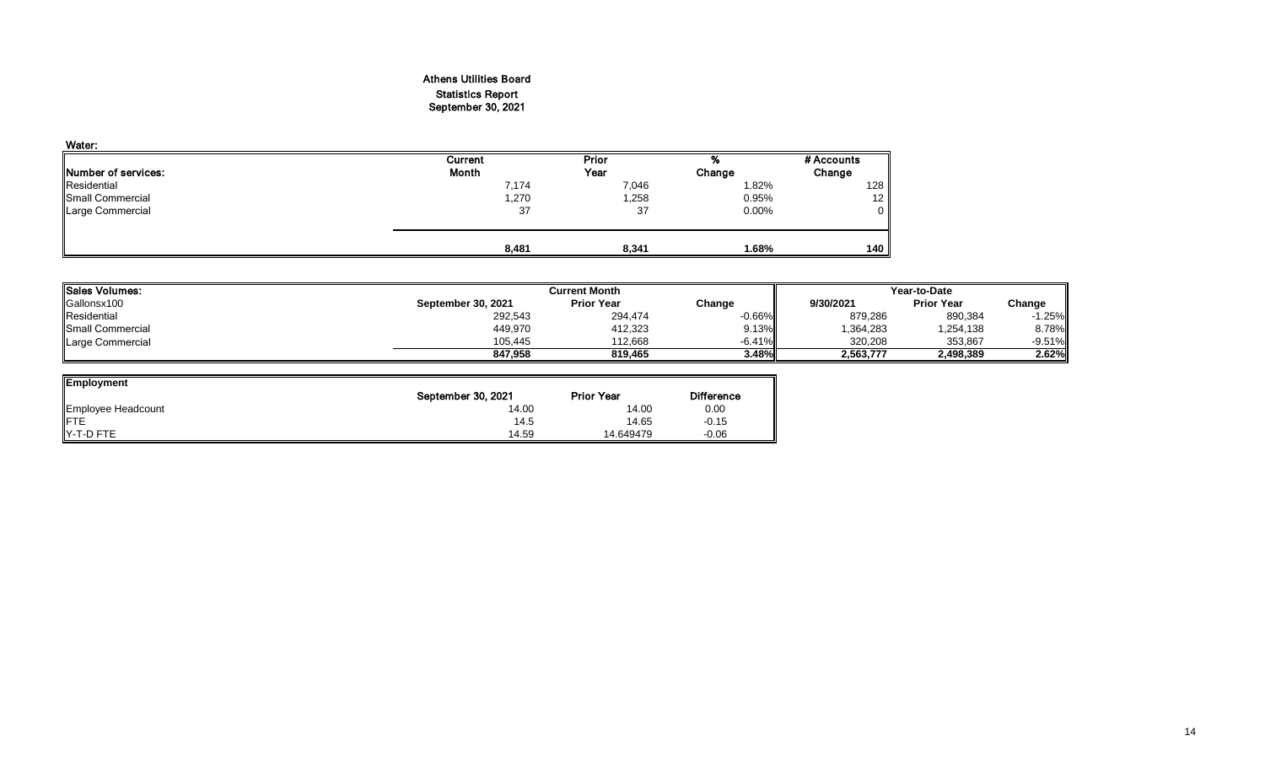### Athens Utilities Board Statistics Report September 30, 2021

| Water:                      |         |       |          |            |
|-----------------------------|---------|-------|----------|------------|
|                             | Current | Prior | %        | # Accounts |
| <b>INumber of services:</b> | Month   | Year  | Change   | Change     |
| Residential                 | 7,174   | 7,046 | 1.82%    | 128        |
| Small Commercial            | 1,270   | ,258  | 0.95%    | 12         |
| <b>Large Commercial</b>     | 37      | 37    | $0.00\%$ | 0          |
|                             |         |       |          |            |
|                             | 8,481   | 8,341 | 1.68%    | 140        |

| Sales Volumes:          |                    | <b>Current Month</b> |           | Year-to-Date |                   |           |
|-------------------------|--------------------|----------------------|-----------|--------------|-------------------|-----------|
| Gallonsx100             | September 30, 2021 | <b>Prior Year</b>    | Change    | 9/30/2021    | <b>Prior Year</b> | Change    |
| Residential             | 292,543            | 294,474              | $-0.66\%$ | 879,286      | 890,384           | $-1.25\%$ |
| <b>Small Commercial</b> | 449,970            | 412,323              | 9.13%     | .364,283     | 1,254,138         | 8.78%     |
| Large Commercial        | 105,445            | 112.668              | $-6.41\%$ | 320.208      | 353,867           | $-9.51%$  |
|                         | 847.958            | 819.465              | 3.48%     | 2,563,777    | 2,498,389         | 2.62%     |

| <b>Employment</b>  |                    |                   |                   |
|--------------------|--------------------|-------------------|-------------------|
|                    | September 30, 2021 | <b>Prior Year</b> | <b>Difference</b> |
| Employee Headcount | 14.00              | 14.00             | 0.00              |
| FTE<br>Y-T-D FTE   | 14.5               | 14.65             | $-0.15$           |
|                    | 14.59              | 14.649479         | $-0.06$           |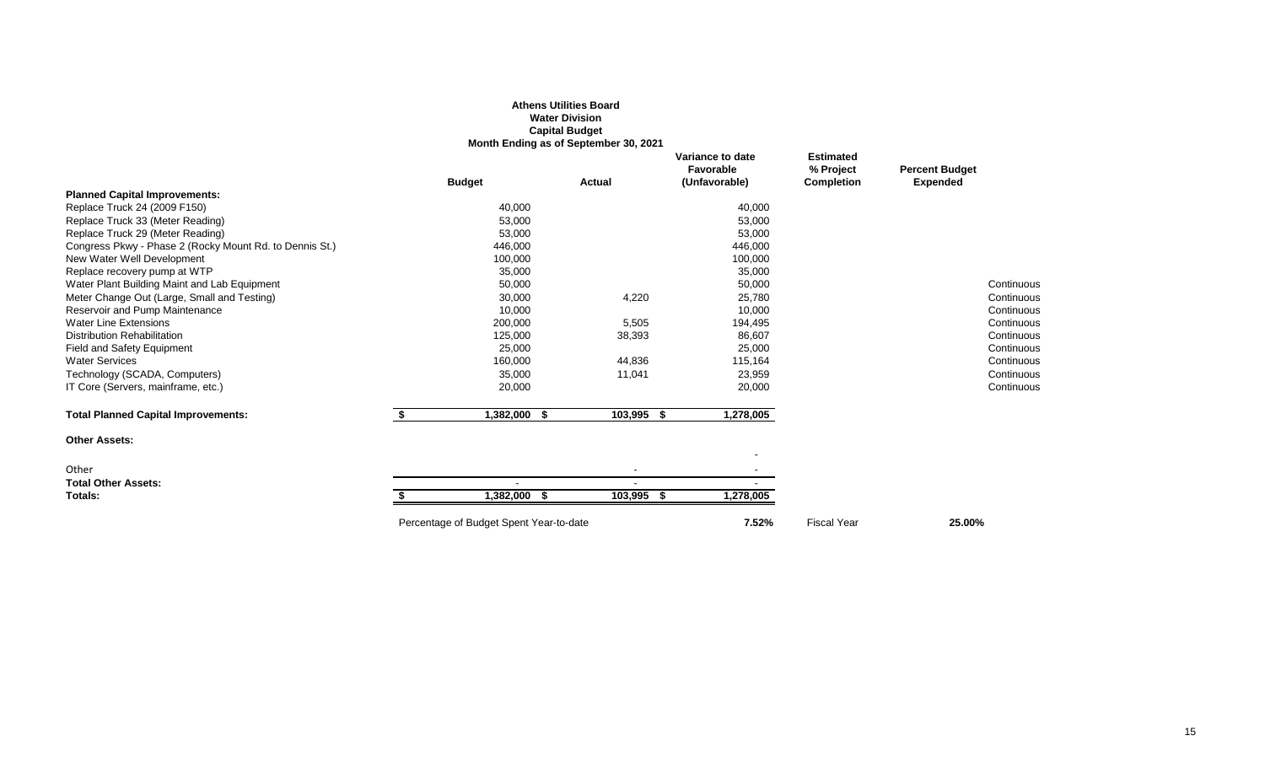|                                                         |    |               | <b>Athens Utilities Board</b><br><b>Water Division</b><br><b>Capital Budget</b><br>Month Ending as of September 30, 2021 |                |                                                |                                                    |                                          |            |
|---------------------------------------------------------|----|---------------|--------------------------------------------------------------------------------------------------------------------------|----------------|------------------------------------------------|----------------------------------------------------|------------------------------------------|------------|
|                                                         |    | <b>Budget</b> | <b>Actual</b>                                                                                                            |                | Variance to date<br>Favorable<br>(Unfavorable) | <b>Estimated</b><br>% Project<br><b>Completion</b> | <b>Percent Budget</b><br><b>Expended</b> |            |
| <b>Planned Capital Improvements:</b>                    |    |               |                                                                                                                          |                |                                                |                                                    |                                          |            |
| Replace Truck 24 (2009 F150)                            |    | 40,000        |                                                                                                                          |                | 40,000                                         |                                                    |                                          |            |
| Replace Truck 33 (Meter Reading)                        |    | 53,000        |                                                                                                                          |                | 53,000                                         |                                                    |                                          |            |
| Replace Truck 29 (Meter Reading)                        |    | 53,000        |                                                                                                                          |                | 53,000                                         |                                                    |                                          |            |
| Congress Pkwy - Phase 2 (Rocky Mount Rd. to Dennis St.) |    | 446,000       |                                                                                                                          |                | 446,000                                        |                                                    |                                          |            |
| New Water Well Development                              |    | 100,000       |                                                                                                                          |                | 100,000                                        |                                                    |                                          |            |
| Replace recovery pump at WTP                            |    | 35,000        |                                                                                                                          |                | 35,000                                         |                                                    |                                          |            |
| Water Plant Building Maint and Lab Equipment            |    | 50,000        |                                                                                                                          |                | 50,000                                         |                                                    |                                          | Continuous |
| Meter Change Out (Large, Small and Testing)             |    | 30,000        |                                                                                                                          | 4,220          | 25,780                                         |                                                    |                                          | Continuous |
| Reservoir and Pump Maintenance                          |    | 10,000        |                                                                                                                          |                | 10,000                                         |                                                    |                                          | Continuous |
| <b>Water Line Extensions</b>                            |    | 200,000       |                                                                                                                          | 5,505          | 194,495                                        |                                                    |                                          | Continuous |
| <b>Distribution Rehabilitation</b>                      |    | 125,000       |                                                                                                                          | 38,393         | 86,607                                         |                                                    |                                          | Continuous |
| Field and Safety Equipment                              |    | 25,000        |                                                                                                                          |                | 25,000                                         |                                                    |                                          | Continuous |
| <b>Water Services</b>                                   |    | 160,000       |                                                                                                                          | 44,836         | 115,164                                        |                                                    |                                          | Continuous |
| Technology (SCADA, Computers)                           |    | 35,000        |                                                                                                                          | 11,041         | 23,959                                         |                                                    |                                          | Continuous |
| IT Core (Servers, mainframe, etc.)                      |    | 20,000        |                                                                                                                          |                | 20,000                                         |                                                    |                                          | Continuous |
| <b>Total Planned Capital Improvements:</b>              | S. | 1,382,000 \$  |                                                                                                                          | 103,995 \$     | 1,278,005                                      |                                                    |                                          |            |
| <b>Other Assets:</b>                                    |    |               |                                                                                                                          |                |                                                |                                                    |                                          |            |
|                                                         |    |               |                                                                                                                          |                |                                                |                                                    |                                          |            |
| Other                                                   |    |               |                                                                                                                          |                |                                                |                                                    |                                          |            |
| <b>Total Other Assets:</b>                              |    |               |                                                                                                                          |                |                                                |                                                    |                                          |            |
| Totals:                                                 |    | 1,382,000 \$  |                                                                                                                          | 103,995<br>- 5 | 1,278,005                                      |                                                    |                                          |            |
|                                                         |    |               |                                                                                                                          |                |                                                |                                                    |                                          |            |

Percentage of Budget Spent Year-to-date **7.52%** Fiscal Year **25.00%**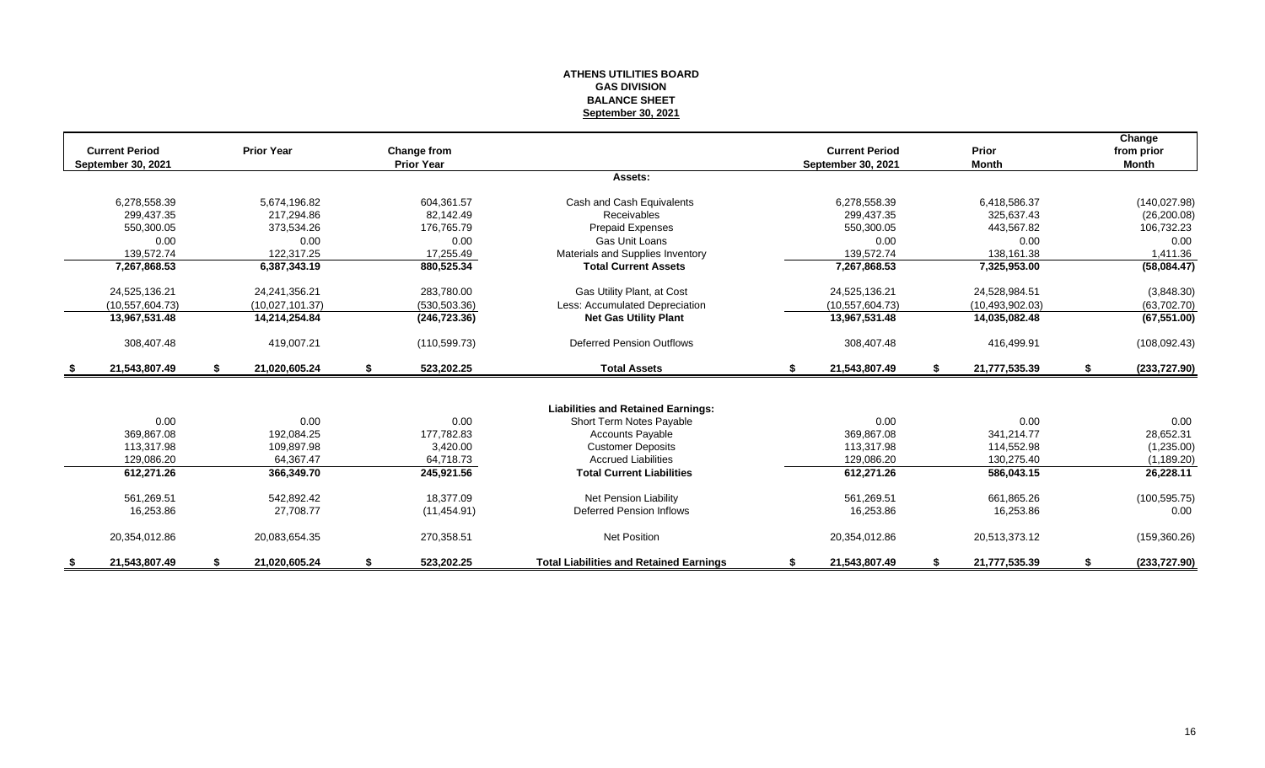#### **ATHENS UTILITIES BOARD GAS DIVISION BALANCE SHEET September 30, 2021**

|      | <b>Current Period</b><br>September 30, 2021 | <b>Prior Year</b>   | Change from<br><b>Prior Year</b> |                                                |    | <b>Current Period</b><br>September 30, 2021 |    | <b>Prior</b><br><b>Month</b> | Change<br>from prior<br><b>Month</b> |
|------|---------------------------------------------|---------------------|----------------------------------|------------------------------------------------|----|---------------------------------------------|----|------------------------------|--------------------------------------|
|      |                                             |                     |                                  | Assets:                                        |    |                                             |    |                              |                                      |
|      | 6,278,558.39                                | 5,674,196.82        | 604,361.57                       | Cash and Cash Equivalents                      |    | 6,278,558.39                                |    | 6,418,586.37                 | (140, 027.98)                        |
|      | 299.437.35                                  | 217.294.86          | 82.142.49                        | Receivables                                    |    | 299.437.35                                  |    | 325.637.43                   | (26, 200.08)                         |
|      | 550,300.05                                  | 373,534.26          | 176,765.79                       | <b>Prepaid Expenses</b>                        |    | 550,300.05                                  |    | 443,567.82                   | 106,732.23                           |
|      | 0.00                                        | 0.00                | 0.00                             | Gas Unit Loans                                 |    | 0.00                                        |    | 0.00                         | 0.00                                 |
|      | 139,572.74                                  | 122,317.25          | 17,255.49                        | Materials and Supplies Inventory               |    | 139,572.74                                  |    | 138,161.38                   | 1,411.36                             |
|      | 7,267,868.53                                | 6,387,343.19        | 880,525.34                       | <b>Total Current Assets</b>                    |    | 7,267,868.53                                |    | 7,325,953.00                 | (58,084.47)                          |
|      | 24,525,136.21                               | 24,241,356.21       | 283,780.00                       | Gas Utility Plant, at Cost                     |    | 24,525,136.21                               |    | 24,528,984.51                | (3,848.30)                           |
|      | (10, 557, 604.73)                           | (10,027,101.37)     | (530, 503.36)                    | Less: Accumulated Depreciation                 |    | (10.557, 604.73)                            |    | (10, 493, 902.03)            | (63,702.70)                          |
|      | 13,967,531.48                               | 14,214,254.84       | (246, 723.36)                    | <b>Net Gas Utility Plant</b>                   |    | 13,967,531.48                               |    | 14,035,082.48                | (67, 551.00)                         |
|      | 308,407.48                                  | 419,007.21          | (110, 599.73)                    | <b>Deferred Pension Outflows</b>               |    | 308,407.48                                  |    | 416,499.91                   | (108,092.43)                         |
| - \$ | 21.543.807.49                               | \$<br>21.020.605.24 | \$<br>523,202.25                 | <b>Total Assets</b>                            | S. | 21,543,807.49                               | S. | 21,777,535.39                | \$<br>(233, 727.90)                  |
|      |                                             |                     |                                  |                                                |    |                                             |    |                              |                                      |
|      |                                             |                     |                                  | <b>Liabilities and Retained Earnings:</b>      |    |                                             |    |                              |                                      |
|      | 0.00                                        | 0.00                | 0.00                             | Short Term Notes Payable                       |    | 0.00                                        |    | 0.00                         | 0.00                                 |
|      | 369.867.08                                  | 192.084.25          | 177,782.83                       | <b>Accounts Payable</b>                        |    | 369,867.08                                  |    | 341,214.77                   | 28,652.31                            |
|      | 113,317.98                                  | 109,897.98          | 3,420.00                         | <b>Customer Deposits</b>                       |    | 113,317.98                                  |    | 114,552.98                   | (1,235.00)                           |
|      | 129,086.20                                  | 64,367.47           | 64,718.73                        | <b>Accrued Liabilities</b>                     |    | 129,086.20                                  |    | 130,275.40                   | (1, 189.20)                          |
|      | 612,271.26                                  | 366,349.70          | 245,921.56                       | <b>Total Current Liabilities</b>               |    | 612,271.26                                  |    | 586,043.15                   | 26,228.11                            |
|      | 561,269.51                                  | 542.892.42          | 18.377.09                        | Net Pension Liability                          |    | 561,269.51                                  |    | 661,865.26                   | (100, 595.75)                        |
|      | 16,253.86                                   | 27,708.77           | (11, 454.91)                     | Deferred Pension Inflows                       |    | 16,253.86                                   |    | 16,253.86                    | 0.00                                 |
|      | 20,354,012.86                               | 20,083,654.35       | 270,358.51                       | <b>Net Position</b>                            |    | 20,354,012.86                               |    | 20,513,373.12                | (159, 360.26)                        |
| S.   | 21,543,807.49                               | \$<br>21,020,605.24 | \$<br>523,202.25                 | <b>Total Liabilities and Retained Earnings</b> | S  | 21,543,807.49                               | S  | 21,777,535.39                | \$<br>(233,727.90)                   |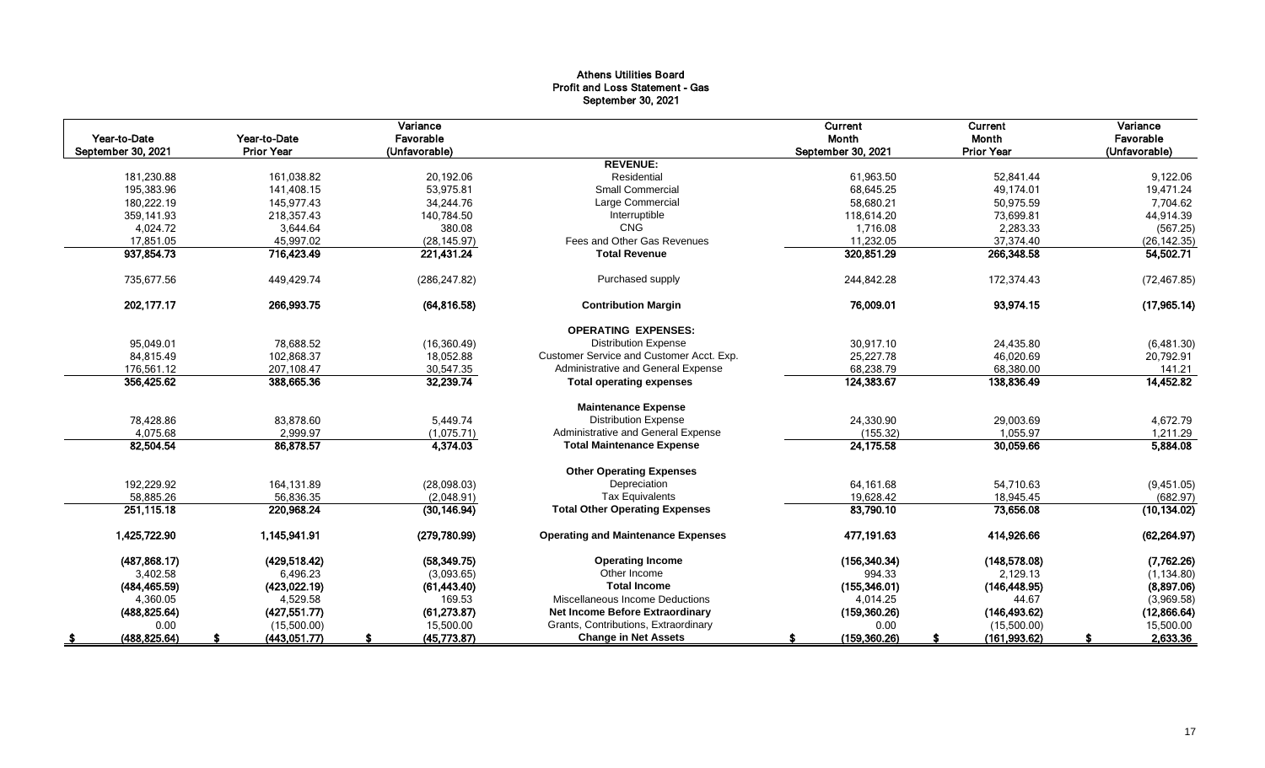### Athens Utilities Board Profit and Loss Statement - Gas September 30, 2021

|                    |                   | Variance      |                                           | Current            | Current           | Variance      |
|--------------------|-------------------|---------------|-------------------------------------------|--------------------|-------------------|---------------|
| Year-to-Date       | Year-to-Date      | Favorable     |                                           | Month              | Month             | Favorable     |
| September 30, 2021 | <b>Prior Year</b> | (Unfavorable) |                                           | September 30, 2021 | <b>Prior Year</b> | (Unfavorable) |
|                    |                   |               | <b>REVENUE:</b>                           |                    |                   |               |
| 181,230.88         | 161,038.82        | 20,192.06     | Residential                               | 61,963.50          | 52,841.44         | 9,122.06      |
| 195,383.96         | 141,408.15        | 53,975.81     | <b>Small Commercial</b>                   | 68.645.25          | 49,174.01         | 19,471.24     |
| 180,222.19         | 145,977.43        | 34,244.76     | Large Commercial                          | 58,680.21          | 50,975.59         | 7,704.62      |
| 359.141.93         | 218,357.43        | 140.784.50    | Interruptible                             | 118,614.20         | 73,699.81         | 44,914.39     |
| 4,024.72           | 3,644.64          | 380.08        | CNG                                       | 1,716.08           | 2,283.33          | (567.25)      |
| 17,851.05          | 45,997.02         | (28, 145.97)  | Fees and Other Gas Revenues               | 11,232.05          | 37,374.40         | (26, 142.35)  |
| 937,854.73         | 716,423.49        | 221,431.24    | <b>Total Revenue</b>                      | 320,851.29         | 266,348.58        | 54,502.71     |
| 735,677.56         | 449,429.74        | (286, 247.82) | Purchased supply                          | 244,842.28         | 172,374.43        | (72, 467.85)  |
| 202, 177. 17       | 266,993.75        | (64, 816.58)  | <b>Contribution Margin</b>                | 76,009.01          | 93,974.15         | (17, 965.14)  |
|                    |                   |               | <b>OPERATING EXPENSES:</b>                |                    |                   |               |
| 95,049.01          | 78,688.52         | (16, 360.49)  | <b>Distribution Expense</b>               | 30,917.10          | 24,435.80         | (6,481.30)    |
| 84,815.49          | 102.868.37        | 18,052.88     | Customer Service and Customer Acct. Exp.  | 25,227.78          | 46,020.69         | 20,792.91     |
| 176,561.12         | 207,108.47        | 30,547.35     | Administrative and General Expense        | 68,238.79          | 68,380.00         | 141.21        |
| 356,425.62         | 388,665.36        | 32,239.74     | <b>Total operating expenses</b>           | 124,383.67         | 138,836.49        | 14,452.82     |
|                    |                   |               | <b>Maintenance Expense</b>                |                    |                   |               |
| 78,428.86          | 83,878.60         | 5,449.74      | <b>Distribution Expense</b>               | 24,330.90          | 29,003.69         | 4,672.79      |
| 4,075.68           | 2,999.97          | (1,075.71)    | Administrative and General Expense        | (155.32)           | 1,055.97          | 1,211.29      |
| 82,504.54          | 86,878.57         | 4,374.03      | <b>Total Maintenance Expense</b>          | 24,175.58          | 30,059.66         | 5,884.08      |
|                    |                   |               | <b>Other Operating Expenses</b>           |                    |                   |               |
| 192,229.92         | 164,131.89        | (28,098.03)   | Depreciation                              | 64,161.68          | 54,710.63         | (9,451.05)    |
| 58,885.26          | 56.836.35         | (2,048.91)    | <b>Tax Equivalents</b>                    | 19,628.42          | 18,945.45         | (682.97)      |
| 251,115.18         | 220,968.24        | (30, 146.94)  | <b>Total Other Operating Expenses</b>     | 83,790.10          | 73,656.08         | (10, 134.02)  |
| 1,425,722.90       | 1,145,941.91      | (279, 780.99) | <b>Operating and Maintenance Expenses</b> | 477,191.63         | 414,926.66        | (62, 264.97)  |
| (487, 868.17)      | (429, 518.42)     | (58, 349.75)  | <b>Operating Income</b>                   | (156, 340.34)      | (148, 578.08)     | (7,762.26)    |
| 3,402.58           | 6,496.23          | (3,093.65)    | Other Income                              | 994.33             | 2,129.13          | (1, 134.80)   |
| (484, 465.59)      | (423, 022.19)     | (61, 443.40)  | <b>Total Income</b>                       | (155,346.01)       | (146, 448.95)     | (8,897.06)    |
| 4,360.05           | 4,529.58          | 169.53        | Miscellaneous Income Deductions           | 4,014.25           | 44.67             | (3,969.58)    |
| (488, 825.64)      | (427, 551.77)     | (61, 273.87)  | Net Income Before Extraordinary           | (159, 360.26)      | (146, 493.62)     | (12,866.64)   |
| 0.00               | (15,500.00)       | 15,500.00     | Grants, Contributions, Extraordinary      | 0.00               | (15,500.00)       | 15,500.00     |
| (488, 825.64)      | (443,051.77)      | (45,773.87)   | <b>Change in Net Assets</b>               | (159, 360.26)      | (161, 993.62)     | 2,633.36      |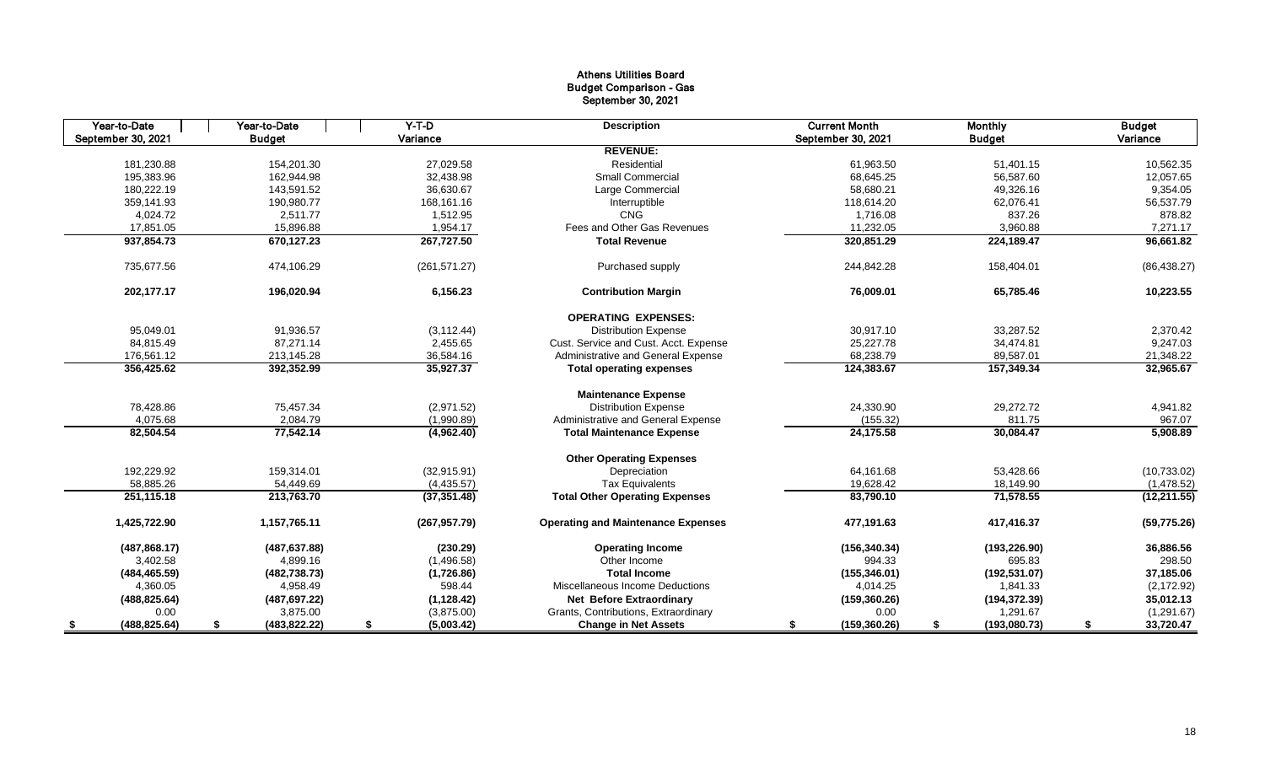### Athens Utilities Board Budget Comparison - Gas September 30, 2021

| Year-to-Date       | Year-to-Date       | $Y-T-D$         | <b>Description</b>                        | <b>Current Month</b> | <b>Monthly</b>     | <b>Budget</b>   |
|--------------------|--------------------|-----------------|-------------------------------------------|----------------------|--------------------|-----------------|
| September 30, 2021 | <b>Budget</b>      | Variance        |                                           | September 30, 2021   | <b>Budget</b>      | Variance        |
|                    |                    |                 | <b>REVENUE:</b>                           |                      |                    |                 |
| 181,230.88         | 154,201.30         | 27,029.58       | Residential                               | 61,963.50            | 51,401.15          | 10,562.35       |
| 195,383.96         | 162.944.98         | 32,438.98       | <b>Small Commercial</b>                   | 68.645.25            | 56,587.60          | 12,057.65       |
| 180,222.19         | 143,591.52         | 36,630.67       | Large Commercial                          | 58,680.21            | 49,326.16          | 9,354.05        |
| 359,141.93         | 190,980.77         | 168,161.16      | Interruptible                             | 118,614.20           | 62,076.41          | 56,537.79       |
| 4,024.72           | 2,511.77           | 1,512.95        | <b>CNG</b>                                | 1,716.08             | 837.26             | 878.82          |
| 17,851.05          | 15,896.88          | 1,954.17        | Fees and Other Gas Revenues               | 11,232.05            | 3,960.88           | 7,271.17        |
| 937,854.73         | 670,127.23         | 267,727.50      | <b>Total Revenue</b>                      | 320,851.29           | 224,189.47         | 96,661.82       |
| 735,677.56         | 474,106.29         | (261, 571.27)   | Purchased supply                          | 244,842.28           | 158,404.01         | (86, 438.27)    |
| 202,177.17         | 196,020.94         | 6,156.23        | <b>Contribution Margin</b>                | 76,009.01            | 65,785.46          | 10,223.55       |
|                    |                    |                 | <b>OPERATING EXPENSES:</b>                |                      |                    |                 |
| 95,049.01          | 91,936.57          | (3, 112.44)     | <b>Distribution Expense</b>               | 30,917.10            | 33,287.52          | 2,370.42        |
| 84,815.49          | 87,271.14          | 2,455.65        | Cust. Service and Cust. Acct. Expense     | 25,227.78            | 34,474.81          | 9,247.03        |
| 176,561.12         | 213,145.28         | 36,584.16       | Administrative and General Expense        | 68,238.79            | 89,587.01          | 21,348.22       |
| 356,425.62         | 392,352.99         | 35,927.37       | <b>Total operating expenses</b>           | 124,383.67           | 157,349.34         | 32,965.67       |
|                    |                    |                 | <b>Maintenance Expense</b>                |                      |                    |                 |
| 78,428.86          | 75,457.34          | (2,971.52)      | <b>Distribution Expense</b>               | 24,330.90            | 29,272.72          | 4,941.82        |
| 4,075.68           | 2,084.79           | (1,990.89)      | Administrative and General Expense        | (155.32)             | 811.75             | 967.07          |
| 82,504.54          | 77,542.14          | (4,962.40)      | <b>Total Maintenance Expense</b>          | 24,175.58            | 30,084.47          | 5,908.89        |
|                    |                    |                 | <b>Other Operating Expenses</b>           |                      |                    |                 |
| 192,229.92         | 159,314.01         | (32, 915.91)    | Depreciation                              | 64,161.68            | 53,428.66          | (10, 733.02)    |
| 58,885.26          | 54,449.69          | (4,435.57)      | <b>Tax Equivalents</b>                    | 19,628.42            | 18,149.90          | (1,478.52)      |
| 251,115.18         | 213,763.70         | (37, 351.48)    | <b>Total Other Operating Expenses</b>     | 83,790.10            | 71,578.55          | (12, 211.55)    |
| 1,425,722.90       | 1,157,765.11       | (267, 957.79)   | <b>Operating and Maintenance Expenses</b> | 477,191.63           | 417,416.37         | (59, 775.26)    |
| (487, 868.17)      | (487, 637.88)      | (230.29)        | <b>Operating Income</b>                   | (156, 340.34)        | (193, 226.90)      | 36,886.56       |
| 3,402.58           | 4,899.16           | (1,496.58)      | Other Income                              | 994.33               | 695.83             | 298.50          |
| (484, 465.59)      | (482, 738.73)      | (1,726.86)      | <b>Total Income</b>                       | (155, 346.01)        | (192, 531.07)      | 37,185.06       |
| 4,360.05           | 4,958.49           | 598.44          | Miscellaneous Income Deductions           | 4,014.25             | 1,841.33           | (2, 172.92)     |
| (488, 825.64)      | (487, 697.22)      | (1, 128.42)     | <b>Net Before Extraordinary</b>           | (159, 360.26)        | (194, 372.39)      | 35,012.13       |
| 0.00               | 3,875.00           | (3,875.00)      | Grants, Contributions, Extraordinary      | 0.00                 | 1,291.67           | (1,291.67)      |
| (488, 825.64)      | (483, 822.22)<br>S | (5,003.42)<br>S | <b>Change in Net Assets</b>               | (159, 360.26)<br>S   | \$<br>(193,080.73) | 33,720.47<br>\$ |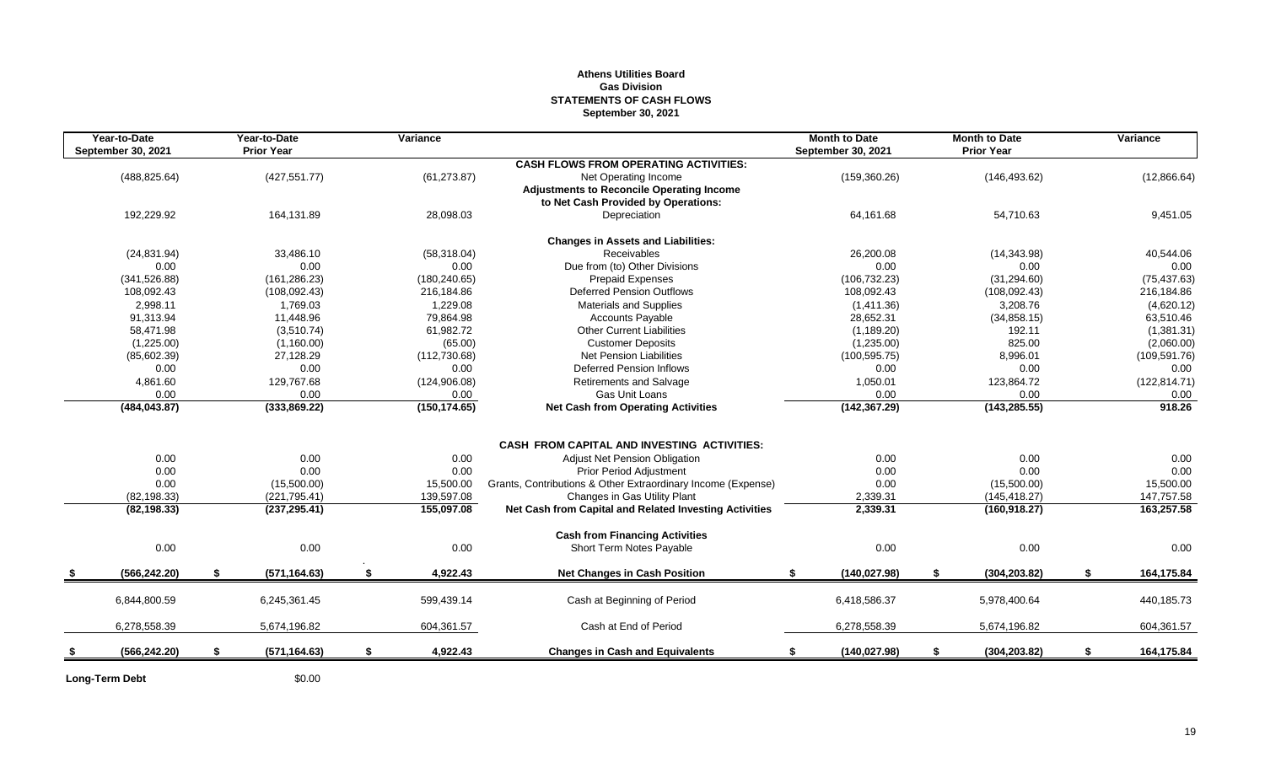#### **Athens Utilities Board Gas Division STATEMENTS OF CASH FLOWS September 30, 2021**

| Year-to-Date<br>September 30, 2021 | Year-to-Date<br><b>Prior Year</b> | Variance       |                                                              | <b>Month to Date</b><br>September 30, 2021 | <b>Month to Date</b><br><b>Prior Year</b> | Variance         |
|------------------------------------|-----------------------------------|----------------|--------------------------------------------------------------|--------------------------------------------|-------------------------------------------|------------------|
|                                    |                                   |                | <b>CASH FLOWS FROM OPERATING ACTIVITIES:</b>                 |                                            |                                           |                  |
| (488, 825.64)                      | (427, 551.77)                     | (61, 273.87)   | Net Operating Income                                         | (159, 360.26)                              | (146, 493.62)                             | (12,866.64)      |
|                                    |                                   |                | <b>Adjustments to Reconcile Operating Income</b>             |                                            |                                           |                  |
|                                    |                                   |                | to Net Cash Provided by Operations:                          |                                            |                                           |                  |
| 192,229.92                         | 164,131.89                        | 28,098.03      | Depreciation                                                 | 64,161.68                                  | 54,710.63                                 | 9,451.05         |
|                                    |                                   |                | <b>Changes in Assets and Liabilities:</b>                    |                                            |                                           |                  |
| (24, 831.94)                       | 33,486.10                         | (58, 318.04)   | Receivables                                                  | 26,200.08                                  | (14,343.98)                               | 40,544.06        |
| 0.00                               | 0.00                              | 0.00           | Due from (to) Other Divisions                                | 0.00                                       | 0.00                                      | 0.00             |
| (341, 526.88)                      | (161, 286.23)                     | (180, 240.65)  | <b>Prepaid Expenses</b>                                      | (106, 732.23)                              | (31, 294.60)                              | (75, 437.63)     |
| 108.092.43                         | (108, 092.43)                     | 216,184.86     | <b>Deferred Pension Outflows</b>                             | 108,092.43                                 | (108, 092.43)                             | 216,184.86       |
| 2,998.11                           | 1,769.03                          | 1,229.08       | <b>Materials and Supplies</b>                                | (1,411.36)                                 | 3,208.76                                  | (4,620.12)       |
| 91,313.94                          | 11,448.96                         | 79,864.98      | <b>Accounts Payable</b>                                      | 28,652.31                                  | (34, 858.15)                              | 63,510.46        |
| 58,471.98                          | (3,510.74)                        | 61,982.72      | <b>Other Current Liabilities</b>                             | (1, 189.20)                                | 192.11                                    | (1,381.31)       |
| (1,225.00)                         | (1,160.00)                        | (65.00)        | <b>Customer Deposits</b>                                     | (1,235.00)                                 | 825.00                                    | (2,060.00)       |
| (85,602.39)                        | 27,128.29                         | (112, 730.68)  | <b>Net Pension Liabilities</b>                               | (100, 595.75)                              | 8,996.01                                  | (109, 591.76)    |
| 0.00                               | 0.00                              | 0.00           | Deferred Pension Inflows                                     | 0.00                                       | 0.00                                      | 0.00             |
| 4,861.60                           | 129,767.68                        | (124, 906.08)  | Retirements and Salvage                                      | 1,050.01                                   | 123,864.72                                | (122, 814.71)    |
| 0.00                               | 0.00                              | 0.00           | Gas Unit Loans                                               | 0.00                                       | 0.00                                      | 0.00             |
| (484, 043.87)                      | (333,869.22)                      | (150, 174.65)  | <b>Net Cash from Operating Activities</b>                    | (142, 367.29)                              | (143, 285.55)                             | 918.26           |
|                                    |                                   |                |                                                              |                                            |                                           |                  |
|                                    |                                   |                | <b>CASH FROM CAPITAL AND INVESTING ACTIVITIES:</b>           |                                            |                                           |                  |
| 0.00                               | 0.00                              | 0.00           | Adjust Net Pension Obligation                                | 0.00                                       | 0.00                                      | 0.00             |
| 0.00                               | 0.00                              | 0.00           | <b>Prior Period Adjustment</b>                               | 0.00                                       | 0.00                                      | 0.00             |
| 0.00                               | (15,500.00)                       | 15,500.00      | Grants, Contributions & Other Extraordinary Income (Expense) | 0.00                                       | (15,500.00)                               | 15,500.00        |
| (82, 198.33)                       | (221, 795.41)                     | 139,597.08     | Changes in Gas Utility Plant                                 | 2,339.31                                   | (145, 418.27)                             | 147,757.58       |
| (82, 198.33)                       | (237, 295.41)                     | 155,097.08     | Net Cash from Capital and Related Investing Activities       | 2,339.31                                   | (160, 918.27)                             | 163,257.58       |
|                                    |                                   |                | <b>Cash from Financing Activities</b>                        |                                            |                                           |                  |
| 0.00                               | 0.00                              | 0.00           | Short Term Notes Payable                                     | 0.00                                       | 0.00                                      | 0.00             |
| (566, 242.20)                      | \$<br>(571, 164.63)               | \$<br>4,922.43 | <b>Net Changes in Cash Position</b>                          | \$<br>(140, 027.98)                        | \$<br>(304, 203.82)                       | \$<br>164,175.84 |
|                                    |                                   |                |                                                              |                                            |                                           |                  |
| 6,844,800.59                       | 6,245,361.45                      | 599,439.14     | Cash at Beginning of Period                                  | 6,418,586.37                               | 5,978,400.64                              | 440,185.73       |
| 6,278,558.39                       | 5,674,196.82                      | 604,361.57     | Cash at End of Period                                        | 6,278,558.39                               | 5,674,196.82                              | 604,361.57       |
| (566, 242.20)                      | \$<br>(571, 164.63)               | \$<br>4,922.43 | <b>Changes in Cash and Equivalents</b>                       | (140, 027.98)<br>\$                        | \$<br>(304, 203.82)                       | \$<br>164,175.84 |
|                                    |                                   |                |                                                              |                                            |                                           |                  |

**Long-Term Debt** \$0.00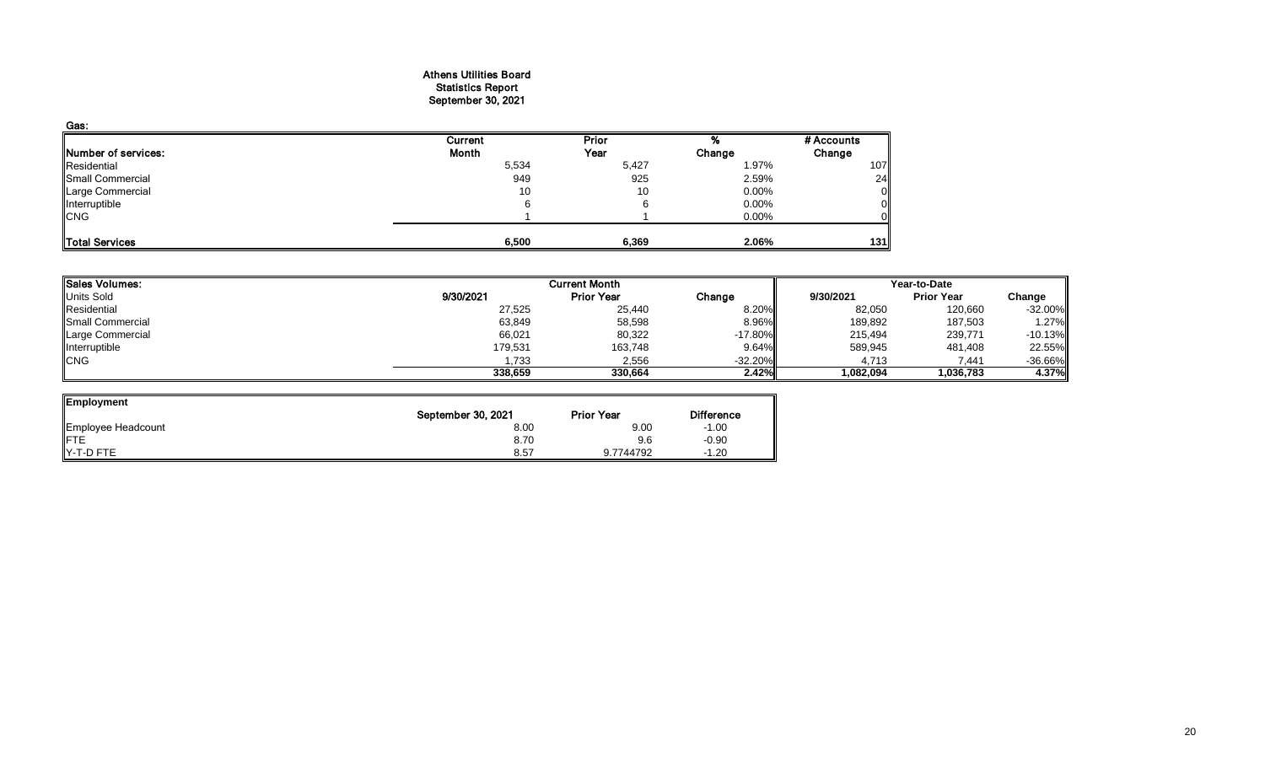#### Athens Utilities Board Statistics Report September 30, 2021

| Gas:                |         |              |          |            |
|---------------------|---------|--------------|----------|------------|
|                     | Current | <b>Prior</b> |          | # Accounts |
| Number of services: | Month   | Year         | Change   | Change     |
| Residential         | 5,534   | 5,427        | 1.97%    | 107        |
| Small Commercial    | 949     | 925          | 2.59%    | 24         |
| Large Commercial    | 10      | 10           | $0.00\%$ | 0          |
| Interruptible       | 6       |              | 0.00%    |            |
| <b>CNG</b>          |         |              | 0.00%    |            |
|                     |         |              |          |            |
| Total Services      | 6,500   | 6,369        | 2.06%    | 131        |

| <b>Sales Volumes:</b> |           | <b>Current Month</b> |            |           |                   | Year-to-Date |  |  |  |
|-----------------------|-----------|----------------------|------------|-----------|-------------------|--------------|--|--|--|
| <b>Units Sold</b>     | 9/30/2021 | <b>Prior Year</b>    | Change     | 9/30/2021 | <b>Prior Year</b> | Change       |  |  |  |
| Residential           | 27,525    | 25,440               | 8.20%      | 82,050    | 120,660           | $-32.00%$    |  |  |  |
| Small Commercial      | 63,849    | 58,598               | 8.96%      | 189,892   | 187,503           | 1.27%        |  |  |  |
| Large Commercial      | 66,021    | 80,322               | $-17.80\%$ | 215,494   | 239,771           | $-10.13%$    |  |  |  |
| Interruptible         | 179,531   | 163,748              | $9.64\%$   | 589,945   | 481,408           | 22.55%       |  |  |  |
| <b>CNG</b>            | 1,733     | 2,556                | $-32.20%$  | 4,713     | 7,441             | $-36.66%$    |  |  |  |
|                       | 338,659   | 330.664              | 2.42%      | 1,082,094 | 1,036,783         | 4.37%        |  |  |  |

 $\overline{\phantom{a}}$ 

| Employment         |                    |                   |                   |
|--------------------|--------------------|-------------------|-------------------|
|                    | September 30, 2021 | <b>Prior Year</b> | <b>Difference</b> |
| Employee Headcount | 8.00               | 9.00              | $-1.00$           |
| <b>IFTE</b>        | 8.70               | 9.6               | $-0.90$           |
| Y-T-D FTE          | 8.57               | 9.7744792         | $-1.20$           |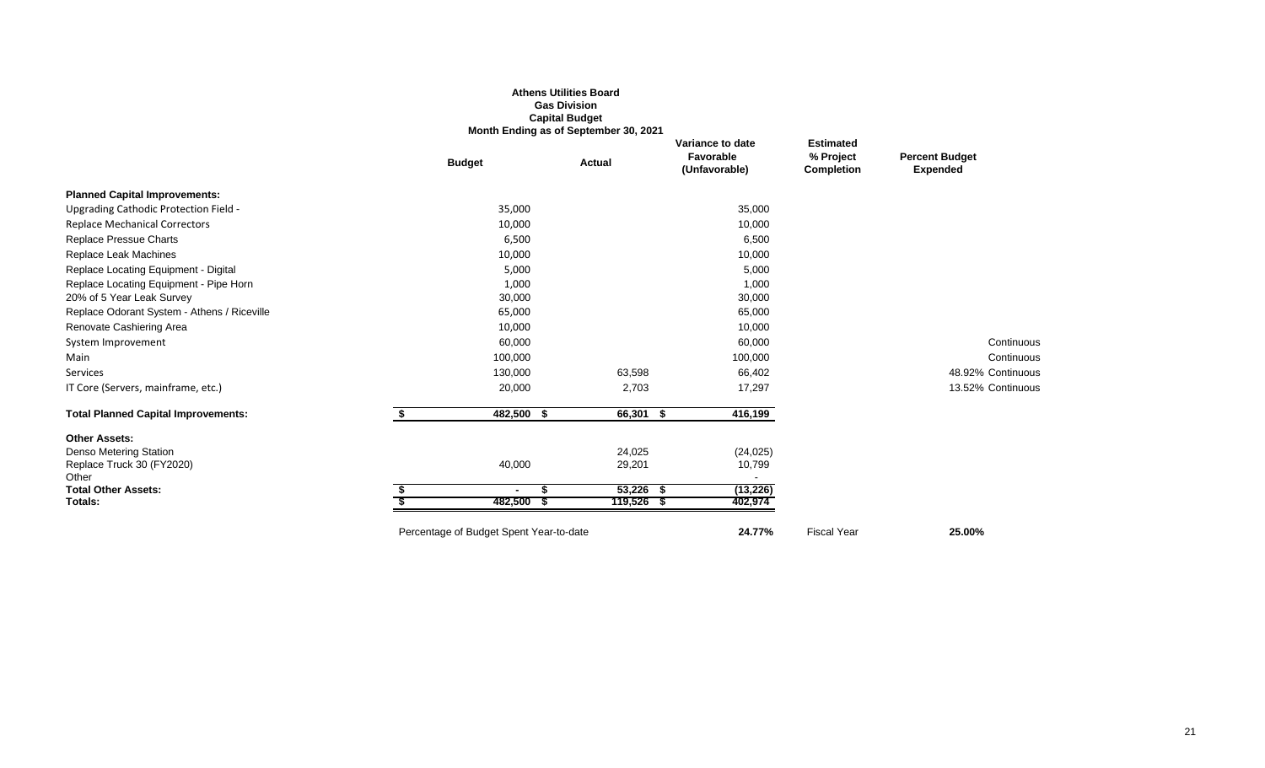#### **Athens Utilities Board Gas Division Capital Budget Month Ending as of September 30, 2021**

|                                             | <b>Budget</b>                           | <b>Actual</b> | Variance to date<br>Favorable<br>(Unfavorable) | <b>Estimated</b><br>% Project<br><b>Completion</b> | <b>Percent Budget</b><br><b>Expended</b> |
|---------------------------------------------|-----------------------------------------|---------------|------------------------------------------------|----------------------------------------------------|------------------------------------------|
| <b>Planned Capital Improvements:</b>        |                                         |               |                                                |                                                    |                                          |
| Upgrading Cathodic Protection Field -       | 35,000                                  |               | 35,000                                         |                                                    |                                          |
| <b>Replace Mechanical Correctors</b>        | 10,000                                  |               | 10,000                                         |                                                    |                                          |
| <b>Replace Pressue Charts</b>               | 6,500                                   |               | 6,500                                          |                                                    |                                          |
| Replace Leak Machines                       | 10,000                                  |               | 10,000                                         |                                                    |                                          |
| Replace Locating Equipment - Digital        | 5,000                                   |               | 5,000                                          |                                                    |                                          |
| Replace Locating Equipment - Pipe Horn      | 1,000                                   |               | 1,000                                          |                                                    |                                          |
| 20% of 5 Year Leak Survey                   | 30,000                                  |               | 30,000                                         |                                                    |                                          |
| Replace Odorant System - Athens / Riceville | 65,000                                  |               | 65,000                                         |                                                    |                                          |
| Renovate Cashiering Area                    | 10,000                                  |               | 10,000                                         |                                                    |                                          |
| System Improvement                          | 60,000                                  |               | 60,000                                         |                                                    | Continuous                               |
| Main                                        | 100,000                                 |               | 100,000                                        |                                                    | Continuous                               |
| Services                                    | 130,000                                 | 63,598        | 66,402                                         |                                                    | 48.92% Continuous                        |
| IT Core (Servers, mainframe, etc.)          | 20,000                                  | 2,703         | 17,297                                         |                                                    | 13.52% Continuous                        |
| <b>Total Planned Capital Improvements:</b>  | 482,500<br>-S                           | 66,301 \$     | 416,199                                        |                                                    |                                          |
| <b>Other Assets:</b>                        |                                         |               |                                                |                                                    |                                          |
| Denso Metering Station                      |                                         | 24,025        | (24, 025)                                      |                                                    |                                          |
| Replace Truck 30 (FY2020)                   | 40,000                                  | 29,201        | 10,799                                         |                                                    |                                          |
| Other<br><b>Total Other Assets:</b>         |                                         | $53,226$ \$   | (13, 226)                                      |                                                    |                                          |
| Totals:                                     | 482,500                                 | 119,526 \$    | 402,974                                        |                                                    |                                          |
|                                             | Percentage of Budget Spent Year-to-date |               | 24.77%                                         | <b>Fiscal Year</b>                                 | 25.00%                                   |
|                                             |                                         |               |                                                |                                                    |                                          |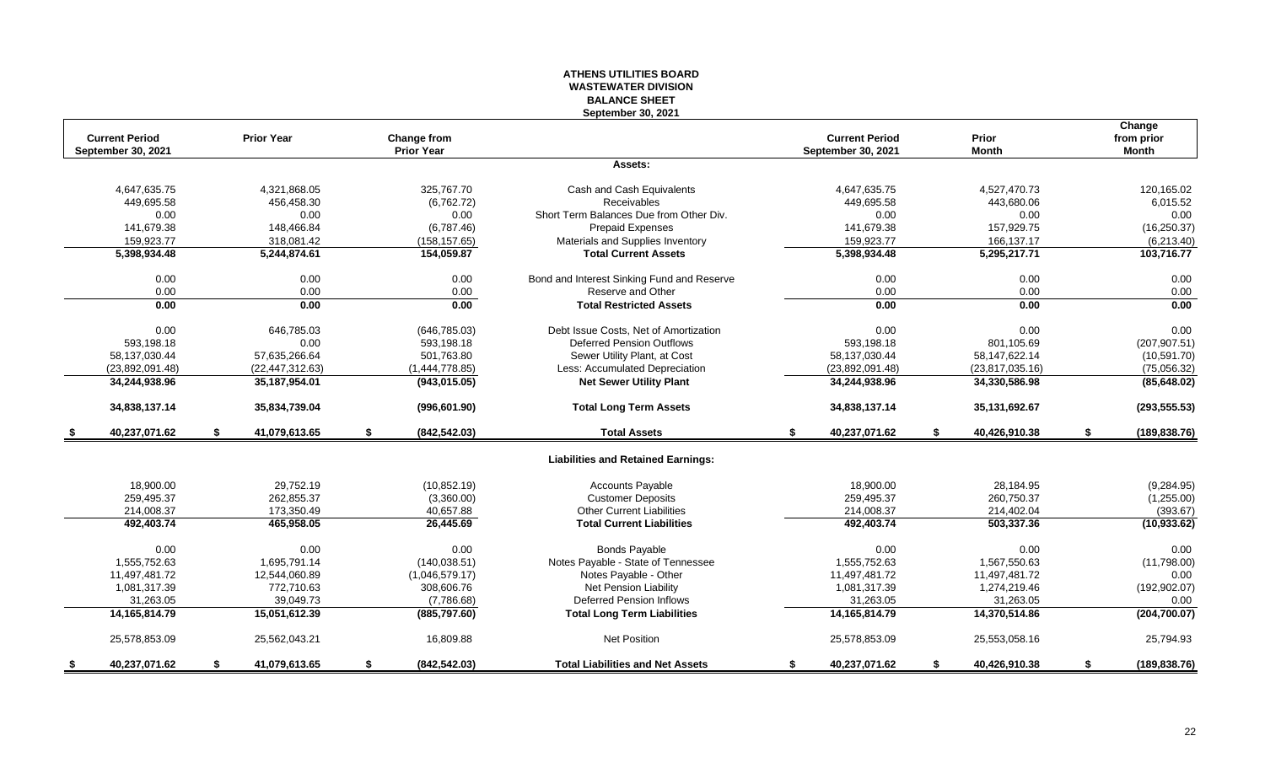#### **ATHENS UTILITIES BOARD WASTEWATER DIVISION BALANCE SHEET September 30, 2021**

|      | <b>Current Period</b><br>September 30, 2021 | <b>Prior Year</b>   | <b>Change from</b><br><b>Prior Year</b> |                                            |    | <b>Current Period</b><br>September 30, 2021 |    | Prior<br><b>Month</b> |    | Change<br>from prior<br><b>Month</b> |
|------|---------------------------------------------|---------------------|-----------------------------------------|--------------------------------------------|----|---------------------------------------------|----|-----------------------|----|--------------------------------------|
|      |                                             |                     |                                         | Assets:                                    |    |                                             |    |                       |    |                                      |
|      | 4,647,635.75                                | 4,321,868.05        | 325.767.70                              | Cash and Cash Equivalents                  |    | 4,647,635.75                                |    | 4,527,470.73          |    | 120,165.02                           |
|      | 449,695.58                                  | 456,458.30          | (6,762.72)                              | Receivables                                |    | 449,695.58                                  |    | 443,680.06            |    | 6,015.52                             |
|      | 0.00                                        | 0.00                | 0.00                                    | Short Term Balances Due from Other Div.    |    | 0.00                                        |    | 0.00                  |    | 0.00                                 |
|      | 141.679.38                                  | 148.466.84          | (6,787.46)                              | <b>Prepaid Expenses</b>                    |    | 141.679.38                                  |    | 157,929.75            |    | (16, 250.37)                         |
|      | 159,923.77                                  | 318,081.42          | (158, 157.65)                           | Materials and Supplies Inventory           |    | 159,923.77                                  |    | 166,137.17            |    | (6,213.40)                           |
|      | 5,398,934.48                                | 5,244,874.61        | 154,059.87                              | <b>Total Current Assets</b>                |    | 5,398,934.48                                |    | 5,295,217.71          |    | 103,716.77                           |
|      | 0.00                                        | 0.00                | 0.00                                    | Bond and Interest Sinking Fund and Reserve |    | 0.00                                        |    | 0.00                  |    | 0.00                                 |
|      | 0.00                                        | 0.00                | 0.00                                    | Reserve and Other                          |    | 0.00                                        |    | 0.00                  |    | 0.00                                 |
|      | 0.00                                        | 0.00                | 0.00                                    | <b>Total Restricted Assets</b>             |    | 0.00                                        |    | 0.00                  |    | 0.00                                 |
|      | 0.00                                        | 646,785.03          | (646, 785.03)                           | Debt Issue Costs, Net of Amortization      |    | 0.00                                        |    | 0.00                  |    | 0.00                                 |
|      | 593,198.18                                  | 0.00                | 593,198.18                              | <b>Deferred Pension Outflows</b>           |    | 593,198.18                                  |    | 801,105.69            |    | (207, 907.51)                        |
|      | 58,137,030.44                               | 57,635,266.64       | 501,763.80                              | Sewer Utility Plant, at Cost               |    | 58,137,030.44                               |    | 58, 147, 622. 14      |    | (10, 591.70)                         |
|      | (23,892,091.48)                             | (22, 447, 312.63)   | (1,444,778.85)                          | Less: Accumulated Depreciation             |    | (23,892,091.48)                             |    | (23,817,035.16)       |    | (75,056.32)                          |
|      | 34,244,938.96                               | 35,187,954.01       | (943,015.05)                            | <b>Net Sewer Utility Plant</b>             |    | 34,244,938.96                               |    | 34,330,586.98         |    | (85, 648.02)                         |
|      | 34,838,137.14                               | 35,834,739.04       | (996, 601.90)                           | <b>Total Long Term Assets</b>              |    | 34,838,137.14                               |    | 35,131,692.67         |    | (293, 555.53)                        |
| - 56 | 40,237,071.62                               | \$<br>41,079,613.65 | \$<br>(842, 542.03)                     | <b>Total Assets</b>                        | S. | 40,237,071.62                               | S. | 40,426,910.38         | S. | (189, 838.76)                        |
|      |                                             |                     |                                         | <b>Liabilities and Retained Earnings:</b>  |    |                                             |    |                       |    |                                      |
|      | 18,900.00                                   | 29,752.19           | (10, 852.19)                            | <b>Accounts Payable</b>                    |    | 18,900.00                                   |    | 28,184.95             |    | (9, 284.95)                          |
|      | 259,495.37                                  | 262,855.37          | (3,360.00)                              | <b>Customer Deposits</b>                   |    | 259,495.37                                  |    | 260,750.37            |    | (1,255.00)                           |
|      | 214,008.37                                  | 173,350.49          | 40,657.88                               | <b>Other Current Liabilities</b>           |    | 214,008.37                                  |    | 214,402.04            |    | (393.67)                             |
|      | 492,403.74                                  | 465,958.05          | 26,445.69                               | <b>Total Current Liabilities</b>           |    | 492,403.74                                  |    | 503,337.36            |    | (10, 933.62)                         |
|      | 0.00                                        | 0.00                | 0.00                                    | <b>Bonds Payable</b>                       |    | 0.00                                        |    | 0.00                  |    | 0.00                                 |
|      | 1,555,752.63                                | 1.695.791.14        | (140.038.51)                            | Notes Payable - State of Tennessee         |    | 1.555.752.63                                |    | 1,567,550.63          |    | (11,798.00)                          |
|      | 11,497,481.72                               | 12,544,060.89       | (1,046,579.17)                          | Notes Payable - Other                      |    | 11,497,481.72                               |    | 11,497,481.72         |    | 0.00                                 |
|      | 1,081,317.39                                | 772,710.63          | 308,606.76                              | <b>Net Pension Liability</b>               |    | 1,081,317.39                                |    | 1,274,219.46          |    | (192, 902.07)                        |
|      | 31,263.05                                   | 39,049.73           | (7,786.68)                              | <b>Deferred Pension Inflows</b>            |    | 31,263.05                                   |    | 31,263.05             |    | 0.00                                 |
|      | 14, 165, 814. 79                            | 15,051,612.39       | (885, 797.60)                           | <b>Total Long Term Liabilities</b>         |    | 14,165,814.79                               |    | 14,370,514.86         |    | (204, 700.07)                        |
|      | 25,578,853.09                               | 25,562,043.21       | 16,809.88                               | <b>Net Position</b>                        |    | 25,578,853.09                               |    | 25,553,058.16         |    | 25,794.93                            |
| - 5  | 40,237,071.62                               | \$<br>41,079,613.65 | \$<br>(842, 542.03)                     | <b>Total Liabilities and Net Assets</b>    | S. | 40,237,071.62                               | \$ | 40,426,910.38         | \$ | (189, 838.76)                        |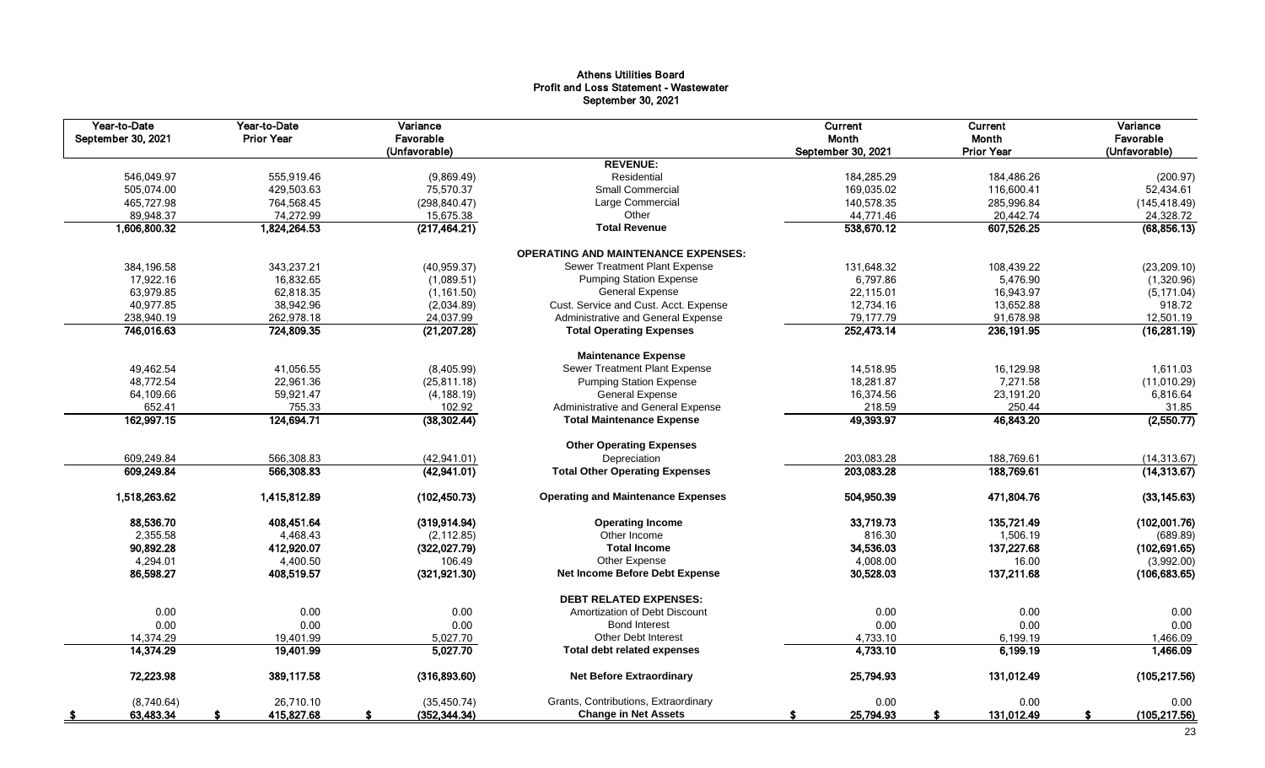#### Athens Utilities Board Profit and Loss Statement - Wastewater September 30, 2021

| Year-to-Date<br>September 30, 2021 | Year-to-Date<br><b>Prior Year</b> | Variance<br>Favorable<br>(Unfavorable) |                                            | <b>Current</b><br>Month<br>September 30, 2021 | Current<br>Month<br><b>Prior Year</b> | Variance<br>Favorable<br>(Unfavorable) |
|------------------------------------|-----------------------------------|----------------------------------------|--------------------------------------------|-----------------------------------------------|---------------------------------------|----------------------------------------|
|                                    |                                   |                                        | <b>REVENUE:</b>                            |                                               |                                       |                                        |
| 546,049.97                         | 555,919.46                        | (9,869.49)                             | Residential                                | 184,285.29                                    | 184,486.26                            | (200.97)                               |
| 505,074.00                         | 429,503.63                        | 75,570.37                              | Small Commercial                           | 169,035.02                                    | 116,600.41                            | 52,434.61                              |
| 465,727.98                         | 764,568.45                        | (298, 840.47)                          | Large Commercial                           | 140,578.35                                    | 285,996.84                            | (145, 418.49)                          |
| 89,948.37                          | 74,272.99                         | 15,675.38                              | Other                                      | 44,771.46                                     | 20,442.74                             | 24,328.72                              |
| 1,606,800.32                       | 1,824,264.53                      | (217, 464.21)                          | <b>Total Revenue</b>                       | 538,670.12                                    | 607,526.25                            | (68, 856.13)                           |
|                                    |                                   |                                        | <b>OPERATING AND MAINTENANCE EXPENSES:</b> |                                               |                                       |                                        |
| 384,196.58                         | 343,237.21                        | (40, 959.37)                           | Sewer Treatment Plant Expense              | 131,648.32                                    | 108,439.22                            | (23, 209.10)                           |
| 17,922.16                          | 16,832.65                         | (1,089.51)                             | <b>Pumping Station Expense</b>             | 6,797.86                                      | 5,476.90                              | (1,320.96)                             |
| 63,979.85                          | 62,818.35                         | (1, 161.50)                            | <b>General Expense</b>                     | 22,115.01                                     | 16,943.97                             | (5, 171.04)                            |
| 40,977.85                          | 38,942.96                         | (2,034.89)                             | Cust. Service and Cust. Acct. Expense      | 12,734.16                                     | 13,652.88                             | 918.72                                 |
| 238,940.19                         | 262,978.18                        | 24,037.99                              | Administrative and General Expense         | 79,177.79                                     | 91,678.98                             | 12,501.19                              |
| 746,016.63                         | 724,809.35                        | (21, 207.28)                           | <b>Total Operating Expenses</b>            | 252,473.14                                    | 236, 191.95                           | (16, 281.19)                           |
|                                    |                                   |                                        | <b>Maintenance Expense</b>                 |                                               |                                       |                                        |
| 49,462.54                          | 41,056.55                         | (8,405.99)                             | Sewer Treatment Plant Expense              | 14,518.95                                     | 16,129.98                             | 1,611.03                               |
| 48,772.54                          | 22,961.36                         | (25, 811.18)                           | <b>Pumping Station Expense</b>             | 18,281.87                                     | 7,271.58                              | (11,010.29)                            |
| 64,109.66                          | 59,921.47                         | (4, 188.19)                            | <b>General Expense</b>                     | 16,374.56                                     | 23,191.20                             | 6,816.64                               |
| 652.41                             | 755.33                            | 102.92                                 | Administrative and General Expense         | 218.59                                        | 250.44                                | 31.85                                  |
| 162,997.15                         | 124,694.71                        | (38, 302.44)                           | <b>Total Maintenance Expense</b>           | 49,393.97                                     | 46,843.20                             | (2,550.77)                             |
|                                    |                                   |                                        | <b>Other Operating Expenses</b>            |                                               |                                       |                                        |
| 609,249.84                         | 566,308.83                        | (42, 941.01)                           | Depreciation                               | 203,083.28                                    | 188,769.61                            | (14, 313.67)                           |
| 609,249.84                         | 566,308.83                        | (42, 941.01)                           | <b>Total Other Operating Expenses</b>      | 203,083.28                                    | 188,769.61                            | (14, 313.67)                           |
| 1,518,263.62                       | 1,415,812.89                      | (102, 450.73)                          | <b>Operating and Maintenance Expenses</b>  | 504,950.39                                    | 471,804.76                            | (33, 145.63)                           |
| 88,536.70                          | 408,451.64                        | (319, 914.94)                          | <b>Operating Income</b>                    | 33,719.73                                     | 135,721.49                            | (102,001.76)                           |
| 2,355.58                           | 4,468.43                          | (2, 112.85)                            | Other Income                               | 816.30                                        | 1,506.19                              | (689.89)                               |
| 90,892.28                          | 412,920.07                        | (322, 027.79)                          | <b>Total Income</b>                        | 34,536.03                                     | 137,227.68                            | (102, 691.65)                          |
| 4,294.01                           | 4,400.50                          | 106.49                                 | Other Expense                              | 4,008.00                                      | 16.00                                 | (3,992.00)                             |
| 86,598.27                          | 408,519.57                        | (321, 921.30)                          | Net Income Before Debt Expense             | 30,528.03                                     | 137,211.68                            | (106, 683.65)                          |
|                                    |                                   |                                        | <b>DEBT RELATED EXPENSES:</b>              |                                               |                                       |                                        |
| 0.00                               | 0.00                              | 0.00                                   | Amortization of Debt Discount              | 0.00                                          | 0.00                                  | 0.00                                   |
| 0.00                               | 0.00                              | 0.00                                   | <b>Bond Interest</b>                       | 0.00                                          | 0.00                                  | 0.00                                   |
| 14,374.29                          | 19.401.99                         | 5,027.70                               | <b>Other Debt Interest</b>                 | 4,733.10                                      | 6,199.19                              | 1,466.09                               |
| 14,374.29                          | 19,401.99                         | 5,027.70                               | <b>Total debt related expenses</b>         | 4,733.10                                      | 6,199.19                              | 1,466.09                               |
| 72,223.98                          | 389,117.58                        | (316, 893.60)                          | <b>Net Before Extraordinary</b>            | 25,794.93                                     | 131,012.49                            | (105, 217.56)                          |
| (8,740.64)                         | 26,710.10                         | (35, 450.74)                           | Grants, Contributions, Extraordinary       | 0.00                                          | 0.00                                  | 0.00                                   |
| 63,483.34<br>- 56                  | 415,827.68                        | (352, 344.34)                          | <b>Change in Net Assets</b>                | 25,794.93<br>-S                               | 131,012.49                            | (105, 217.56)<br>S                     |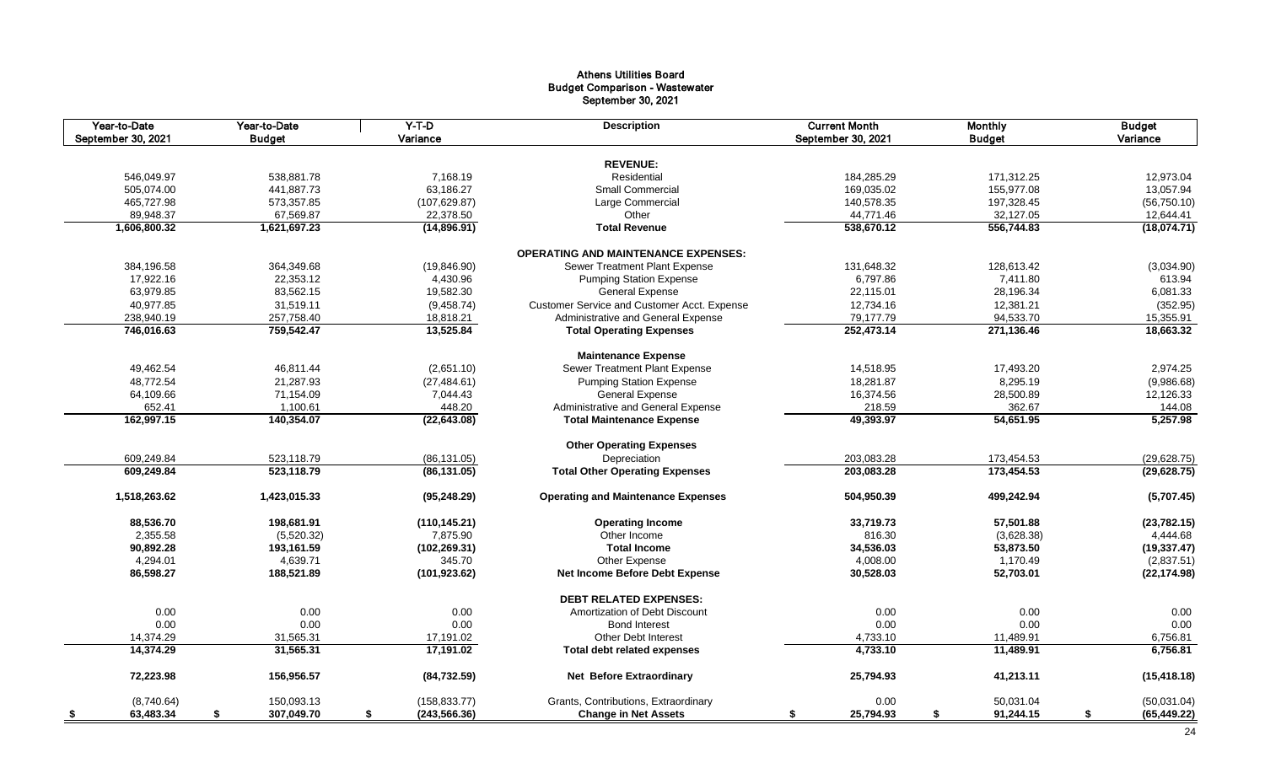#### Athens Utilities Board Budget Comparison - Wastewater September 30, 2021

| Year-to-Date<br>September 30, 2021 | Year-to-Date<br><b>Budget</b> | $Y-T-D$<br>Variance    | <b>Description</b>                          | <b>Current Month</b><br>September 30, 2021 | <b>Monthly</b><br><b>Budget</b> | <b>Budget</b><br>Variance |
|------------------------------------|-------------------------------|------------------------|---------------------------------------------|--------------------------------------------|---------------------------------|---------------------------|
|                                    |                               |                        |                                             |                                            |                                 |                           |
|                                    |                               |                        | <b>REVENUE:</b>                             |                                            |                                 |                           |
| 546,049.97                         | 538,881.78                    | 7,168.19               | Residential                                 | 184,285.29                                 | 171,312.25                      | 12,973.04                 |
| 505,074.00                         | 441,887.73                    | 63,186.27              | Small Commercial                            | 169,035.02                                 | 155,977.08                      | 13,057.94                 |
| 465,727.98                         | 573,357.85                    | (107, 629.87)          | Large Commercial                            | 140,578.35                                 | 197,328.45                      | (56, 750.10)              |
| 89,948.37                          | 67,569.87                     | 22,378.50              | Other                                       | 44,771.46                                  | 32,127.05                       | 12,644.41                 |
| 1,606,800.32                       | 1,621,697.23                  | (14,896.91)            | <b>Total Revenue</b>                        | 538,670.12                                 | 556,744.83                      | (18,074.71)               |
|                                    |                               |                        | <b>OPERATING AND MAINTENANCE EXPENSES:</b>  |                                            |                                 |                           |
| 384,196.58                         | 364,349.68                    | (19, 846.90)           | Sewer Treatment Plant Expense               | 131,648.32                                 | 128,613.42                      | (3,034.90)                |
| 17,922.16                          | 22,353.12                     | 4,430.96               | <b>Pumping Station Expense</b>              | 6,797.86                                   | 7.411.80                        | 613.94                    |
| 63,979.85                          | 83,562.15                     | 19,582.30              | <b>General Expense</b>                      | 22,115.01                                  | 28,196.34                       | 6,081.33                  |
| 40,977.85                          | 31,519.11                     | (9,458.74)             | Customer Service and Customer Acct. Expense | 12,734.16                                  | 12,381.21                       | (352.95)                  |
| 238,940.19                         | 257,758.40                    | 18,818.21              | Administrative and General Expense          | 79,177.79                                  | 94,533.70                       | 15,355.91                 |
| 746,016.63                         | 759,542.47                    | 13,525.84              | <b>Total Operating Expenses</b>             | 252,473.14                                 | 271,136.46                      | 18,663.32                 |
|                                    |                               |                        | <b>Maintenance Expense</b>                  |                                            |                                 |                           |
| 49,462.54                          | 46,811.44                     | (2,651.10)             | Sewer Treatment Plant Expense               | 14,518.95                                  | 17,493.20                       | 2,974.25                  |
| 48,772.54                          | 21,287.93                     | (27, 484.61)           | <b>Pumping Station Expense</b>              | 18,281.87                                  | 8,295.19                        | (9,986.68)                |
| 64,109.66                          | 71,154.09                     | 7,044.43               | <b>General Expense</b>                      | 16,374.56                                  | 28,500.89                       | 12,126.33                 |
| 652.41                             | 1,100.61                      | 448.20                 | Administrative and General Expense          | 218.59                                     | 362.67                          | 144.08                    |
| 162,997.15                         | 140,354.07                    | (22, 643.08)           | <b>Total Maintenance Expense</b>            | 49,393.97                                  | 54,651.95                       | 5,257.98                  |
|                                    |                               |                        |                                             |                                            |                                 |                           |
|                                    |                               |                        | <b>Other Operating Expenses</b>             |                                            |                                 |                           |
| 609,249.84                         | 523,118.79                    | (86, 131.05)           | Depreciation                                | 203,083.28                                 | 173,454.53                      | (29, 628.75)              |
| 609,249.84                         | 523,118.79                    | (86, 131.05)           | <b>Total Other Operating Expenses</b>       | 203,083.28                                 | 173,454.53                      | (29, 628.75)              |
| 1,518,263.62                       | 1,423,015.33                  | (95, 248.29)           | <b>Operating and Maintenance Expenses</b>   | 504,950.39                                 | 499,242.94                      | (5,707.45)                |
| 88,536.70                          | 198,681.91                    | (110, 145.21)          | <b>Operating Income</b>                     | 33,719.73                                  | 57,501.88                       | (23, 782.15)              |
| 2,355.58                           | (5,520.32)                    | 7.875.90               | Other Income                                | 816.30                                     | (3,628.38)                      | 4,444.68                  |
| 90,892.28                          | 193,161.59                    | (102, 269.31)          | <b>Total Income</b>                         | 34,536.03                                  | 53,873.50                       | (19, 337.47)              |
| 4,294.01                           | 4,639.71                      | 345.70                 | Other Expense                               | 4,008.00                                   | 1,170.49                        | (2,837.51)                |
| 86,598.27                          | 188,521.89                    | (101, 923.62)          | Net Income Before Debt Expense              | 30,528.03                                  | 52,703.01                       | (22, 174.98)              |
|                                    |                               |                        | <b>DEBT RELATED EXPENSES:</b>               |                                            |                                 |                           |
| 0.00                               | 0.00                          | 0.00                   | Amortization of Debt Discount               | 0.00                                       | 0.00                            | 0.00                      |
| 0.00                               | 0.00                          | 0.00                   | <b>Bond Interest</b>                        | 0.00                                       | 0.00                            | 0.00                      |
|                                    |                               |                        | <b>Other Debt Interest</b>                  | 4,733.10                                   | 11,489.91                       | 6,756.81                  |
| 14,374.29<br>14,374.29             | 31,565.31<br>31,565.31        | 17,191.02<br>17,191.02 | Total debt related expenses                 | 4,733.10                                   | 11,489.91                       | 6,756.81                  |
|                                    |                               |                        |                                             |                                            |                                 |                           |
| 72,223.98                          | 156,956.57                    | (84, 732.59)           | <b>Net Before Extraordinary</b>             | 25,794.93                                  | 41,213.11                       | (15, 418.18)              |
| (8,740.64)                         | 150,093.13                    | (158, 833.77)          | Grants, Contributions, Extraordinary        | 0.00                                       | 50,031.04                       | (50,031.04)               |
| 63,483.34<br>- \$                  | 307,049.70<br>\$              | \$<br>(243, 566.36)    | <b>Change in Net Assets</b>                 | 25,794.93<br>\$                            | \$<br>91,244.15                 | \$<br>(65, 449.22)        |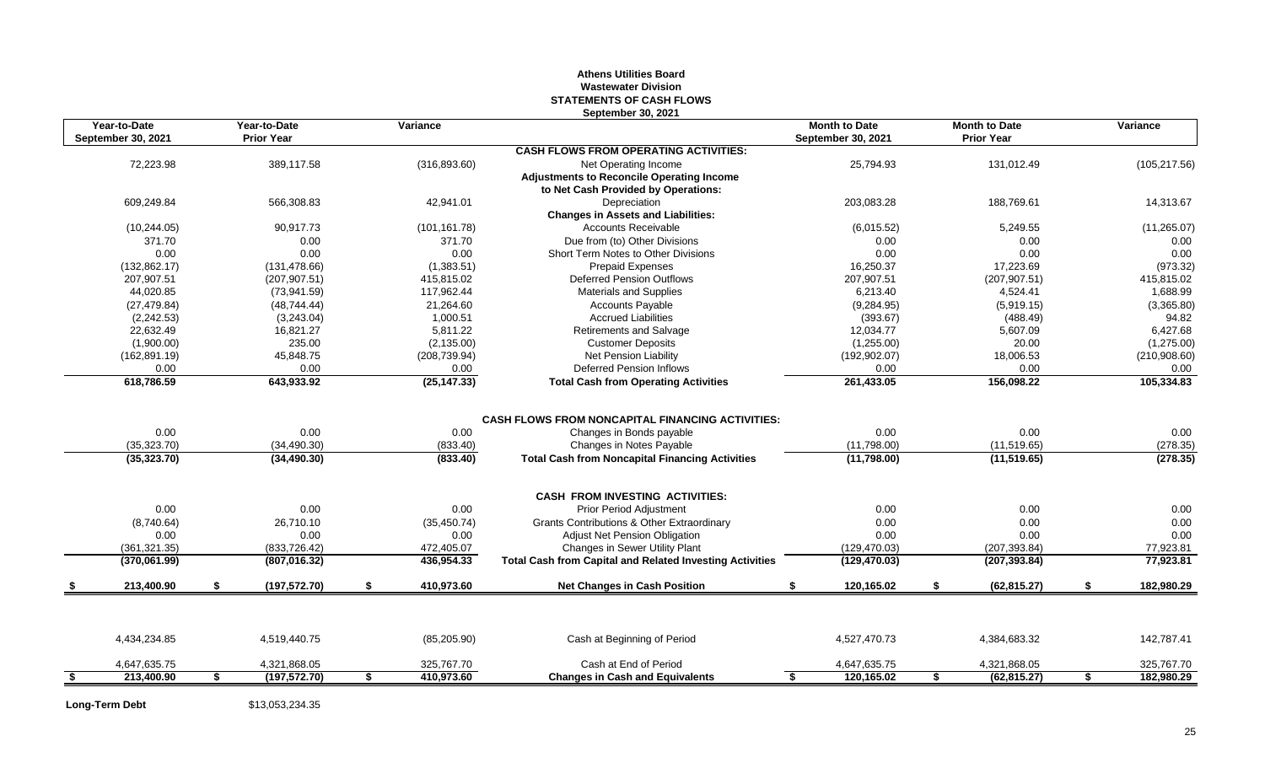#### **Athens Utilities Board Wastewater Division STATEMENTS OF CASH FLOWS September 30, 2021**

|      | Year-to-Date<br>September 30, 2021 | Year-to-Date<br><b>Prior Year</b> | Variance         |                                                                 | <b>Month to Date</b><br><b>September 30, 2021</b> | <b>Month to Date</b><br><b>Prior Year</b> | Variance         |
|------|------------------------------------|-----------------------------------|------------------|-----------------------------------------------------------------|---------------------------------------------------|-------------------------------------------|------------------|
|      |                                    |                                   |                  | <b>CASH FLOWS FROM OPERATING ACTIVITIES:</b>                    |                                                   |                                           |                  |
|      | 72,223.98                          | 389,117.58                        | (316, 893.60)    | Net Operating Income                                            | 25,794.93                                         | 131,012.49                                | (105, 217.56)    |
|      |                                    |                                   |                  | <b>Adjustments to Reconcile Operating Income</b>                |                                                   |                                           |                  |
|      |                                    |                                   |                  | to Net Cash Provided by Operations:                             |                                                   |                                           |                  |
|      | 609.249.84                         | 566.308.83                        | 42,941.01        | Depreciation                                                    | 203,083.28                                        | 188.769.61                                | 14,313.67        |
|      |                                    |                                   |                  | <b>Changes in Assets and Liabilities:</b>                       |                                                   |                                           |                  |
|      | (10, 244.05)                       | 90,917.73                         | (101, 161.78)    | <b>Accounts Receivable</b>                                      | (6,015.52)                                        | 5,249.55                                  | (11, 265.07)     |
|      | 371.70                             | 0.00                              | 371.70           | Due from (to) Other Divisions                                   | 0.00                                              | 0.00                                      | 0.00             |
|      | 0.00                               | 0.00                              | 0.00             | Short Term Notes to Other Divisions                             | 0.00                                              | 0.00                                      | 0.00             |
|      | (132, 862.17)                      | (131, 478.66)                     | (1,383.51)       | <b>Prepaid Expenses</b>                                         | 16,250.37                                         | 17,223.69                                 | (973.32)         |
|      | 207.907.51                         | (207, 907.51)                     | 415,815.02       | <b>Deferred Pension Outflows</b>                                | 207,907.51                                        | (207, 907.51)                             | 415,815.02       |
|      | 44.020.85                          | (73,941.59)                       | 117.962.44       | <b>Materials and Supplies</b>                                   | 6.213.40                                          | 4,524.41                                  | 1.688.99         |
|      | (27, 479.84)                       | (48, 744.44)                      | 21,264.60        | <b>Accounts Payable</b>                                         | (9,284.95)                                        | (5,919.15)                                | (3,365.80)       |
|      | (2, 242.53)                        | (3,243.04)                        | 1,000.51         | <b>Accrued Liabilities</b>                                      | (393.67)                                          | (488.49)                                  | 94.82            |
|      | 22,632.49                          | 16,821.27                         | 5,811.22         | Retirements and Salvage                                         | 12,034.77                                         | 5,607.09                                  | 6,427.68         |
|      | (1,900.00)                         | 235.00                            | (2, 135.00)      | <b>Customer Deposits</b>                                        | (1,255.00)                                        | 20.00                                     | (1,275.00)       |
|      | (162, 891.19)                      | 45.848.75                         | (208, 739.94)    | Net Pension Liability                                           | (192, 902.07)                                     | 18,006.53                                 | (210,908.60)     |
|      | 0.00                               | 0.00                              | 0.00             | <b>Deferred Pension Inflows</b>                                 | 0.00                                              | 0.00                                      | 0.00             |
|      | 618,786.59                         | 643,933.92                        | (25, 147.33)     | <b>Total Cash from Operating Activities</b>                     | 261,433.05                                        | 156,098.22                                | 105,334.83       |
|      |                                    |                                   |                  |                                                                 |                                                   |                                           |                  |
|      |                                    |                                   |                  | <b>CASH FLOWS FROM NONCAPITAL FINANCING ACTIVITIES:</b>         |                                                   |                                           |                  |
|      | 0.00                               | 0.00                              | 0.00             | Changes in Bonds payable                                        | 0.00                                              | 0.00                                      | 0.00             |
|      | (35, 323.70)                       | (34, 490.30)                      | (833.40)         | Changes in Notes Payable                                        | (11,798.00)                                       | (11,519.65)                               | (278.35)         |
|      | (35, 323.70)                       | (34, 490.30)                      | (833.40)         | <b>Total Cash from Noncapital Financing Activities</b>          | (11,798.00)                                       | (11, 519.65)                              | (278.35)         |
|      |                                    |                                   |                  | <b>CASH FROM INVESTING ACTIVITIES:</b>                          |                                                   |                                           |                  |
|      | 0.00                               | 0.00                              | 0.00             | <b>Prior Period Adjustment</b>                                  | 0.00                                              | 0.00                                      | 0.00             |
|      | (8,740.64)                         | 26,710.10                         | (35, 450.74)     | <b>Grants Contributions &amp; Other Extraordinary</b>           | 0.00                                              | 0.00                                      | 0.00             |
|      | 0.00                               | 0.00                              | 0.00             | Adjust Net Pension Obligation                                   | 0.00                                              | 0.00                                      | 0.00             |
|      | (361, 321.35)                      | (833,726.42)                      | 472,405.07       | Changes in Sewer Utility Plant                                  | (129, 470.03)                                     | (207, 393.84)                             | 77,923.81        |
|      | (370,061.99)                       | (807, 016.32)                     | 436,954.33       | <b>Total Cash from Capital and Related Investing Activities</b> | (129, 470.03)                                     | (207, 393.84)                             | 77,923.81        |
|      | 213,400.90                         | \$<br>(197, 572.70)               | \$<br>410,973.60 | <b>Net Changes in Cash Position</b>                             | 120,165.02                                        | \$<br>(62, 815.27)                        | \$<br>182,980.29 |
|      |                                    |                                   |                  |                                                                 |                                                   |                                           |                  |
|      | 4,434,234.85                       | 4,519,440.75                      | (85, 205.90)     | Cash at Beginning of Period                                     | 4,527,470.73                                      | 4,384,683.32                              | 142,787.41       |
|      | 4,647,635.75                       | 4,321,868.05                      | 325,767.70       | Cash at End of Period                                           | 4,647,635.75                                      | 4,321,868.05                              | 325,767.70       |
| - \$ | 213,400.90                         | \$<br>(197, 572.70)               | \$<br>410,973.60 | <b>Changes in Cash and Equivalents</b>                          | \$<br>120,165.02                                  | \$<br>(62, 815.27)                        | \$<br>182,980.29 |

**Long-Term Debt** \$13,053,234.35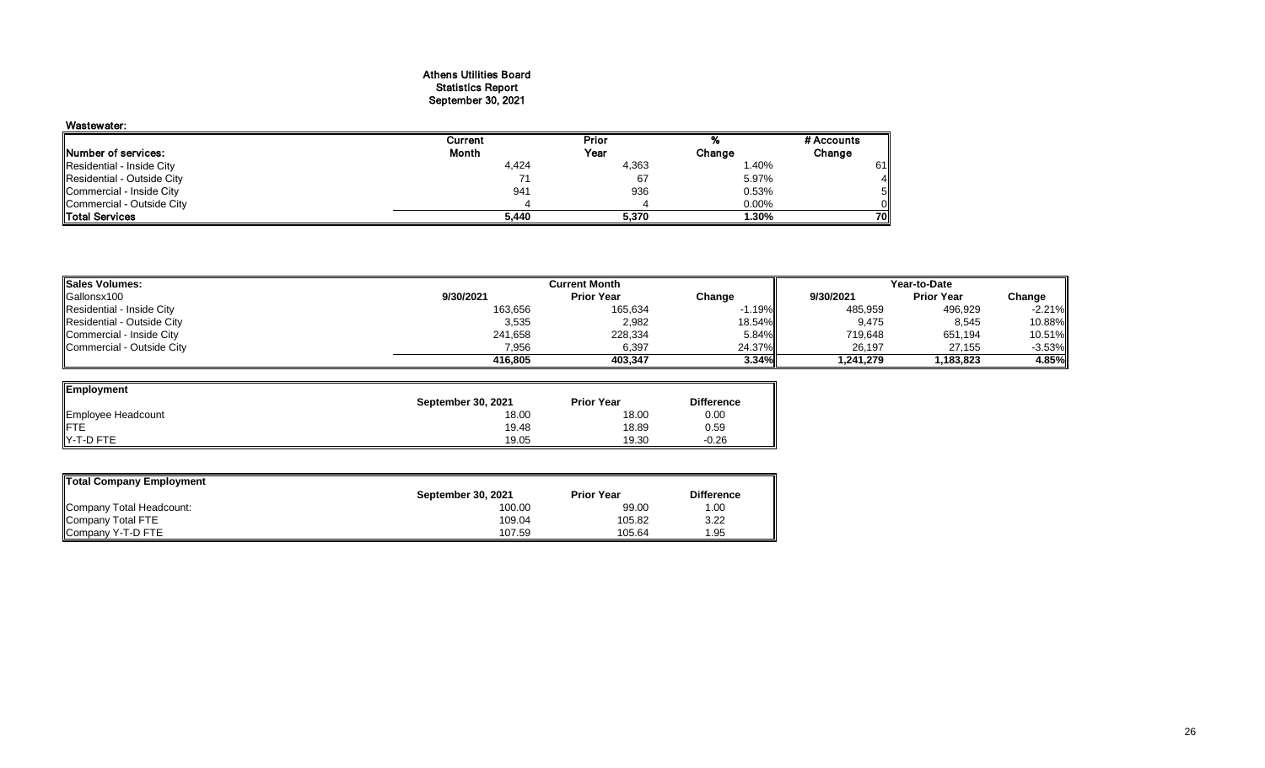#### Athens Utilities Board Statistics Report September 30, 2021

| Wastewater:                |         |       |        |            |
|----------------------------|---------|-------|--------|------------|
|                            | Current | Prior |        | # Accounts |
| Number of services:        | Month   | Year  | Change | Change     |
| Residential - Inside City  | 4,424   | 4,363 | 1.40%  | 61         |
| Residential - Outside City |         | 67    | 5.97%  | 41         |
| Commercial - Inside City   | 941     | 936   | 0.53%  |            |
| Commercial - Outside City  |         |       | 0.00%  |            |
| <b>ITotal Services</b>     | 5.440   | 5.370 | 1.30%  | 70         |

| <b>Sales Volumes:</b>      | <b>Current Month</b> |                   |          | Year-to-Date |                   |           |  |
|----------------------------|----------------------|-------------------|----------|--------------|-------------------|-----------|--|
| Gallonsx100                | 9/30/2021            | <b>Prior Year</b> | Change   | 9/30/2021    | <b>Prior Year</b> | Change    |  |
| Residential - Inside City  | 163,656              | 165,634           | $-1.19%$ | 485,959      | 496,929           | $-2.21%$  |  |
| Residential - Outside City | 3,535                | 2,982             | 18.54%   | 9.475        | 8,545             | 10.88%    |  |
| Commercial - Inside City   | 241.658              | 228,334           | 5.84%    | 719,648      | 651,194           | 10.51%    |  |
| Commercial - Outside City  | 7,956                | 6,397             | 24.37%   | 26.197       | 27,155            | $-3.53\%$ |  |
|                            | 416.805              | 403.347           | 3.34%    | 1.241.279    | 1.183.823         | 4.85%     |  |

| Employment         |                    |                   |                   |
|--------------------|--------------------|-------------------|-------------------|
|                    | September 30, 2021 | <b>Prior Year</b> | <b>Difference</b> |
| Employee Headcount | 18.00              | 18.00             | 0.00              |
| <b>IFTE</b>        | 19.48              | 18.89             | 0.59              |
| Y-T-D FTE          | 19.05              | 19.30             | $-0.26$           |

| Total Company Employment |                           |                   |                   |
|--------------------------|---------------------------|-------------------|-------------------|
|                          | <b>September 30, 2021</b> | <b>Prior Year</b> | <b>Difference</b> |
| Company Total Headcount: | 100.00                    | 99.00             | 1.00              |
| Company Total FTE        | 109.04                    | 105.82            | 3.22              |
| Company Y-T-D FTE        | 107.59                    | 105.64            | l.95              |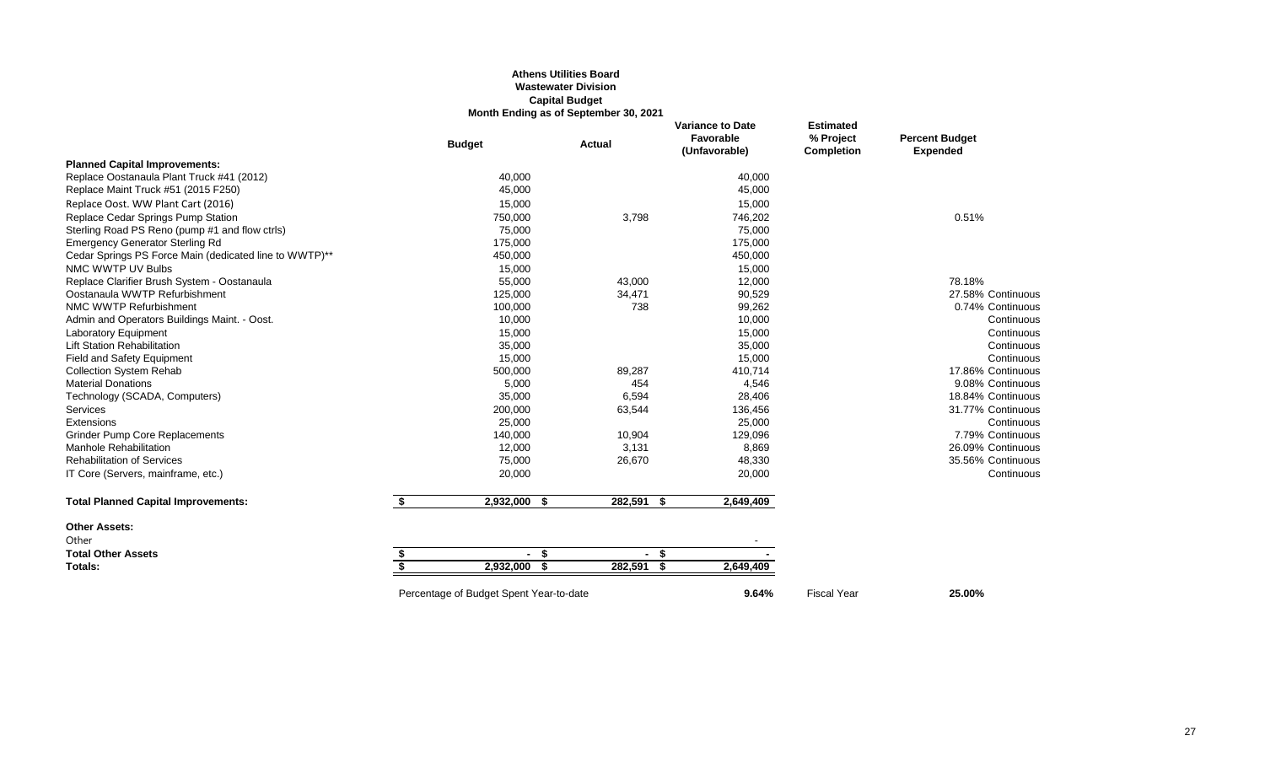#### **Athens Utilities Board Wastewater Division Capital Budget Month Ending as of September 30, 2021**

|                                                        |                         | <b>Budget</b>                           | <b>Actual</b> | <b>Variance to Date</b><br>Favorable<br>(Unfavorable) | <b>Estimated</b><br>% Project<br><b>Completion</b> | <b>Percent Budget</b><br><b>Expended</b> |
|--------------------------------------------------------|-------------------------|-----------------------------------------|---------------|-------------------------------------------------------|----------------------------------------------------|------------------------------------------|
| <b>Planned Capital Improvements:</b>                   |                         |                                         |               |                                                       |                                                    |                                          |
| Replace Oostanaula Plant Truck #41 (2012)              |                         | 40,000                                  |               | 40,000                                                |                                                    |                                          |
| Replace Maint Truck #51 (2015 F250)                    |                         | 45,000                                  |               | 45,000                                                |                                                    |                                          |
| Replace Oost. WW Plant Cart (2016)                     |                         | 15,000                                  |               | 15,000                                                |                                                    |                                          |
| Replace Cedar Springs Pump Station                     |                         | 750,000                                 | 3,798         | 746,202                                               |                                                    | 0.51%                                    |
| Sterling Road PS Reno (pump #1 and flow ctrls)         |                         | 75,000                                  |               | 75,000                                                |                                                    |                                          |
| <b>Emergency Generator Sterling Rd</b>                 |                         | 175,000                                 |               | 175,000                                               |                                                    |                                          |
| Cedar Springs PS Force Main (dedicated line to WWTP)** |                         | 450,000                                 |               | 450,000                                               |                                                    |                                          |
| NMC WWTP UV Bulbs                                      |                         | 15,000                                  |               | 15,000                                                |                                                    |                                          |
| Replace Clarifier Brush System - Oostanaula            |                         | 55,000                                  | 43,000        | 12,000                                                |                                                    | 78.18%                                   |
| Oostanaula WWTP Refurbishment                          |                         | 125,000                                 | 34,471        | 90,529                                                |                                                    | 27.58% Continuous                        |
| NMC WWTP Refurbishment                                 |                         | 100,000                                 | 738           | 99,262                                                |                                                    | 0.74% Continuous                         |
| Admin and Operators Buildings Maint. - Oost.           |                         | 10,000                                  |               | 10,000                                                |                                                    | Continuous                               |
| <b>Laboratory Equipment</b>                            |                         | 15,000                                  |               | 15,000                                                |                                                    | Continuous                               |
| <b>Lift Station Rehabilitation</b>                     |                         | 35,000                                  |               | 35,000                                                |                                                    | Continuous                               |
| <b>Field and Safety Equipment</b>                      |                         | 15,000                                  |               | 15,000                                                |                                                    | Continuous                               |
| <b>Collection System Rehab</b>                         |                         | 500,000                                 | 89,287        | 410,714                                               |                                                    | 17.86% Continuous                        |
| <b>Material Donations</b>                              |                         | 5,000                                   | 454           | 4,546                                                 |                                                    | 9.08% Continuous                         |
| Technology (SCADA, Computers)                          |                         | 35,000                                  | 6,594         | 28,406                                                |                                                    | 18.84% Continuous                        |
| Services                                               |                         | 200,000                                 | 63,544        | 136,456                                               |                                                    | 31.77% Continuous                        |
| Extensions                                             |                         | 25,000                                  |               | 25,000                                                |                                                    | Continuous                               |
| <b>Grinder Pump Core Replacements</b>                  |                         | 140,000                                 | 10,904        | 129,096                                               |                                                    | 7.79% Continuous                         |
| <b>Manhole Rehabilitation</b>                          |                         | 12,000                                  | 3,131         | 8,869                                                 |                                                    | 26.09% Continuous                        |
| <b>Rehabilitation of Services</b>                      |                         | 75,000                                  | 26,670        | 48,330                                                |                                                    | 35.56% Continuous                        |
| IT Core (Servers, mainframe, etc.)                     |                         | 20,000                                  |               | 20,000                                                |                                                    | Continuous                               |
| <b>Total Planned Capital Improvements:</b>             | \$                      | 2,932,000 \$                            | $282,591$ \$  | 2,649,409                                             |                                                    |                                          |
| <b>Other Assets:</b>                                   |                         |                                         |               |                                                       |                                                    |                                          |
| Other                                                  |                         |                                         |               |                                                       |                                                    |                                          |
| <b>Total Other Assets</b>                              | \$                      | - \$                                    | $-5$          |                                                       |                                                    |                                          |
| Totals:                                                | $\overline{\mathbf{s}}$ | $2,932,000$ \$                          | 282,591 \$    | 2,649,409                                             |                                                    |                                          |
|                                                        |                         | Percentage of Budget Spent Year-to-date |               | 9.64%                                                 | <b>Fiscal Year</b>                                 | 25.00%                                   |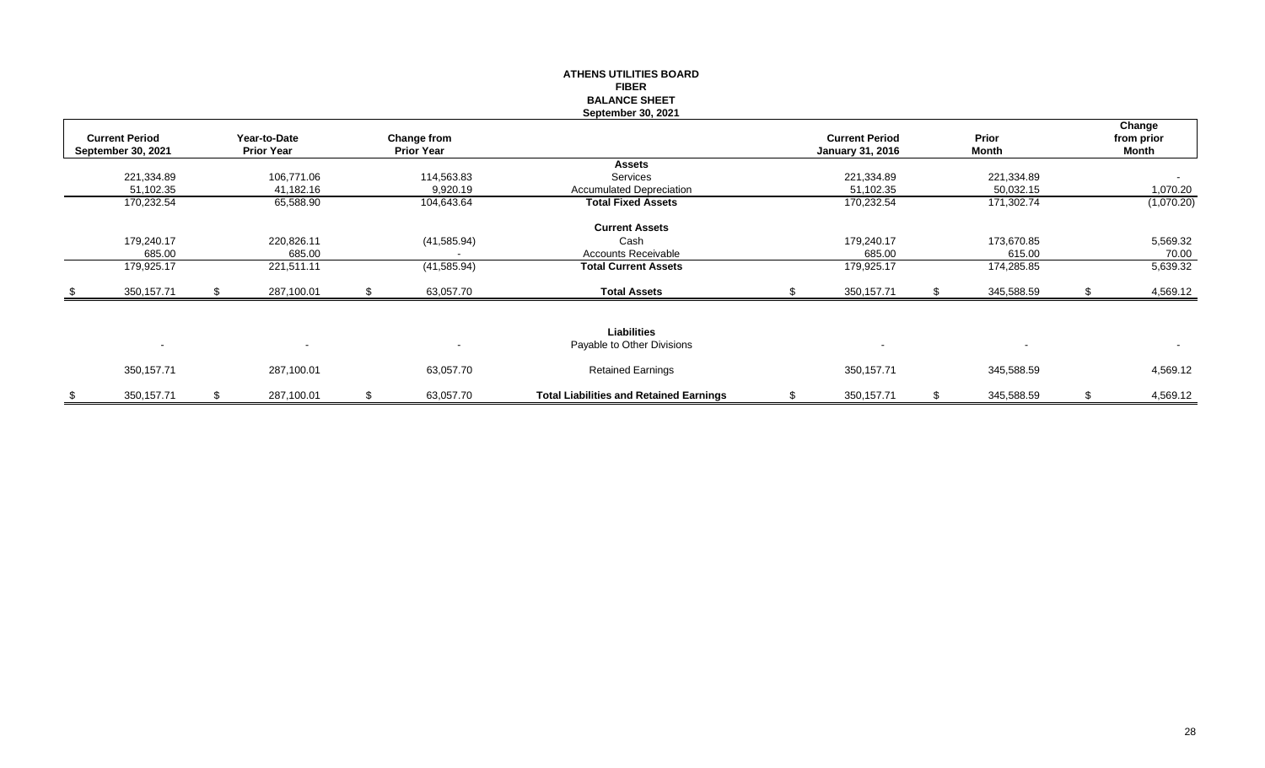|      |                                             |     |                                   |    |                                         | <b>ATHENS UTILITIES BOARD</b><br><b>FIBER</b>  |                                                  |    |                          |    |                               |
|------|---------------------------------------------|-----|-----------------------------------|----|-----------------------------------------|------------------------------------------------|--------------------------------------------------|----|--------------------------|----|-------------------------------|
|      |                                             |     |                                   |    |                                         | <b>BALANCE SHEET</b>                           |                                                  |    |                          |    |                               |
|      |                                             |     |                                   |    |                                         | <b>September 30, 2021</b>                      |                                                  |    |                          |    |                               |
|      | <b>Current Period</b><br>September 30, 2021 |     | Year-to-Date<br><b>Prior Year</b> |    | <b>Change from</b><br><b>Prior Year</b> |                                                | <b>Current Period</b><br><b>January 31, 2016</b> |    | Prior<br>Month           |    | Change<br>from prior<br>Month |
|      |                                             |     |                                   |    |                                         | <b>Assets</b>                                  |                                                  |    |                          |    |                               |
|      | 221,334.89                                  |     | 106,771.06                        |    | 114,563.83                              | Services                                       | 221,334.89                                       |    | 221,334.89               |    | $\sim$                        |
|      | 51,102.35                                   |     | 41,182.16                         |    | 9,920.19                                | <b>Accumulated Depreciation</b>                | 51,102.35                                        |    | 50,032.15                |    | 1,070.20                      |
|      | 170,232.54                                  |     | 65,588.90                         |    | 104,643.64                              | <b>Total Fixed Assets</b>                      | 170,232.54                                       |    | 171,302.74               |    | (1,070.20)                    |
|      |                                             |     |                                   |    |                                         | <b>Current Assets</b>                          |                                                  |    |                          |    |                               |
|      | 179,240.17                                  |     | 220,826.11                        |    | (41, 585.94)                            | Cash                                           | 179,240.17                                       |    | 173,670.85               |    | 5,569.32                      |
|      | 685.00                                      |     | 685.00                            |    |                                         | <b>Accounts Receivable</b>                     | 685.00                                           |    | 615.00                   |    | 70.00                         |
|      | 179,925.17                                  |     | 221,511.11                        |    | (41, 585.94)                            | <b>Total Current Assets</b>                    | 179,925.17                                       |    | 174,285.85               |    | 5,639.32                      |
| - \$ | 350,157.71                                  | -SS | 287,100.01                        | S. | 63,057.70                               | <b>Total Assets</b>                            | 350, 157. 71                                     | Я. | 345,588.59               | £. | 4,569.12                      |
|      |                                             |     |                                   |    |                                         | <b>Liabilities</b>                             |                                                  |    |                          |    |                               |
|      | $\sim$                                      |     | $\blacksquare$                    |    |                                         | Payable to Other Divisions                     |                                                  |    | $\overline{\phantom{a}}$ |    | $\sim$                        |
|      | 350,157.71                                  |     | 287,100.01                        |    | 63,057.70                               | <b>Retained Earnings</b>                       | 350, 157. 71                                     |    | 345,588.59               |    | 4,569.12                      |
| \$   | 350, 157. 71                                | \$  | 287,100.01                        | \$ | 63,057.70                               | <b>Total Liabilities and Retained Earnings</b> | \$<br>350, 157.71                                | \$ | 345,588.59               | \$ | 4,569.12                      |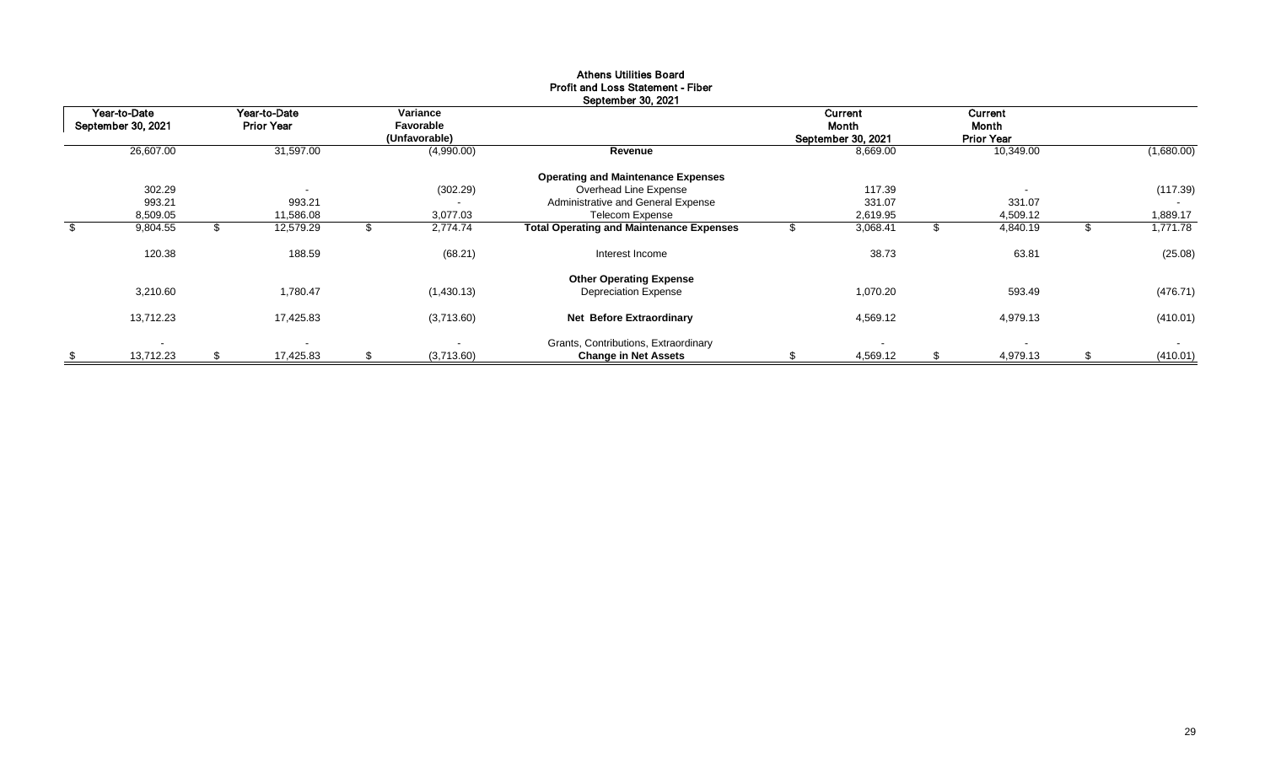| Year-to-Date       | Year-to-Date      | Variance         |                                                 |       | Current            |     | Current           |     |            |
|--------------------|-------------------|------------------|-------------------------------------------------|-------|--------------------|-----|-------------------|-----|------------|
| September 30, 2021 | <b>Prior Year</b> | Favorable        |                                                 | Month |                    |     | <b>Month</b>      |     |            |
|                    |                   | (Unfavorable)    |                                                 |       | September 30, 2021 |     | <b>Prior Year</b> |     |            |
| 26,607.00          | 31,597.00         | (4,990.00)       | Revenue                                         |       | 8,669.00           |     | 10,349.00         |     | (1,680.00) |
|                    |                   |                  | <b>Operating and Maintenance Expenses</b>       |       |                    |     |                   |     |            |
| 302.29             | . .               | (302.29)         | Overhead Line Expense                           |       | 117.39             |     | $\sim$            |     | (117.39)   |
| 993.21             | 993.21            |                  | Administrative and General Expense              |       | 331.07             |     | 331.07            |     |            |
| 8,509.05           | 11,586.08         | 3,077.03         | Telecom Expense                                 |       | 2,619.95           |     | 4,509.12          |     | 1,889.17   |
| 9,804.55           | 12,579.29         | 2,774.74         | <b>Total Operating and Maintenance Expenses</b> |       | 3,068.41           |     | 4,840.19          |     | 1,771.78   |
| 120.38             | 188.59            | (68.21)          | Interest Income                                 |       | 38.73              |     | 63.81             |     | (25.08)    |
|                    |                   |                  | <b>Other Operating Expense</b>                  |       |                    |     |                   |     |            |
| 3,210.60           | 1,780.47          | (1,430.13)       | <b>Depreciation Expense</b>                     |       | 1,070.20           |     | 593.49            |     | (476.71)   |
| 13,712.23          | 17,425.83         | (3,713.60)       | Net Before Extraordinary                        |       | 4,569.12           |     | 4,979.13          |     | (410.01)   |
| $\blacksquare$     |                   |                  | Grants, Contributions, Extraordinary            |       |                    |     | $\sim$            |     | $\sim$     |
| 13,712.23          | \$<br>17,425.83   | \$<br>(3,713.60) | <b>Change in Net Assets</b>                     |       | 4,569.12           | \$. | 4,979.13          | \$. | (410.01)   |

# Athens Utilities Board Profit and Loss Statement - Fiber